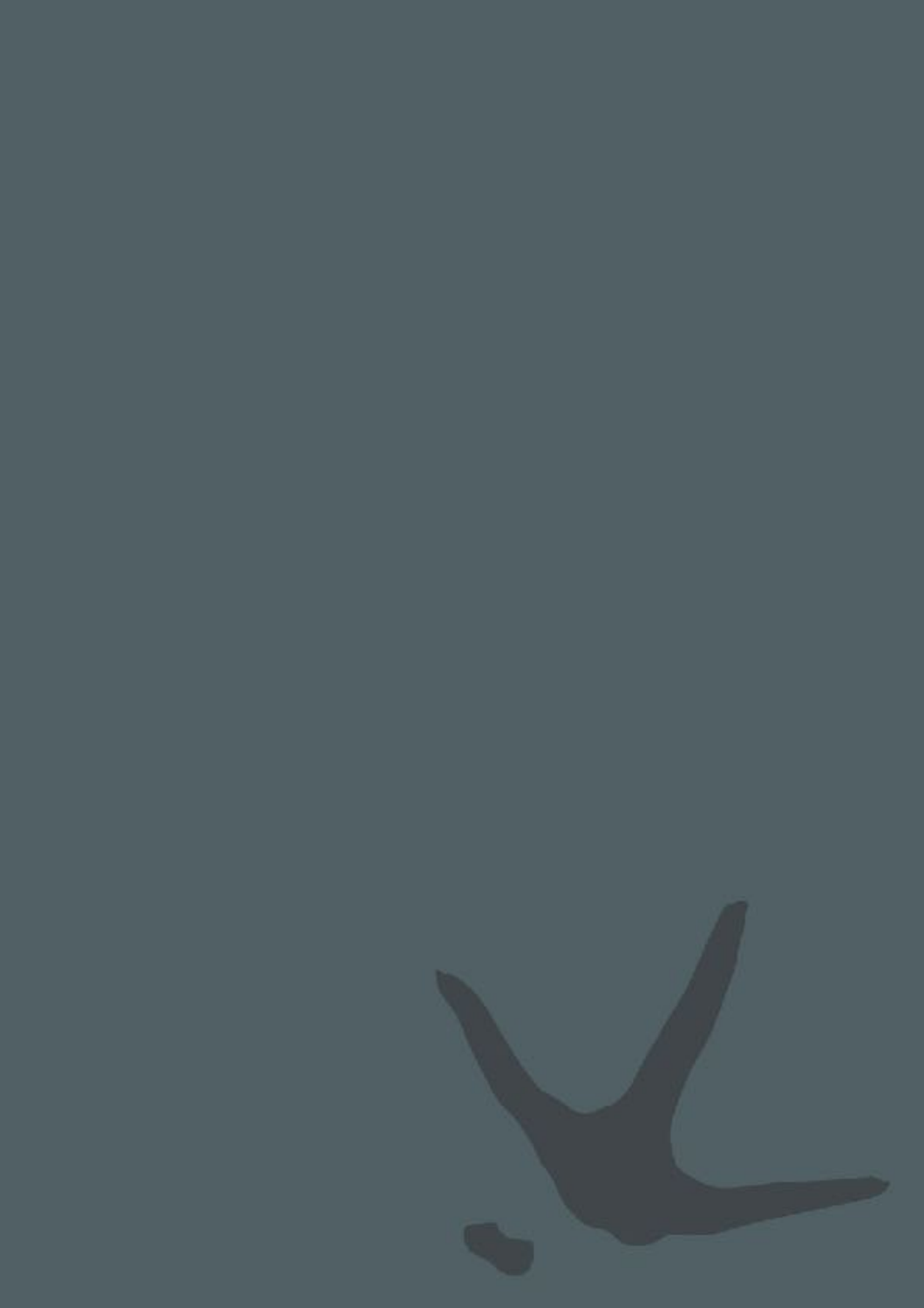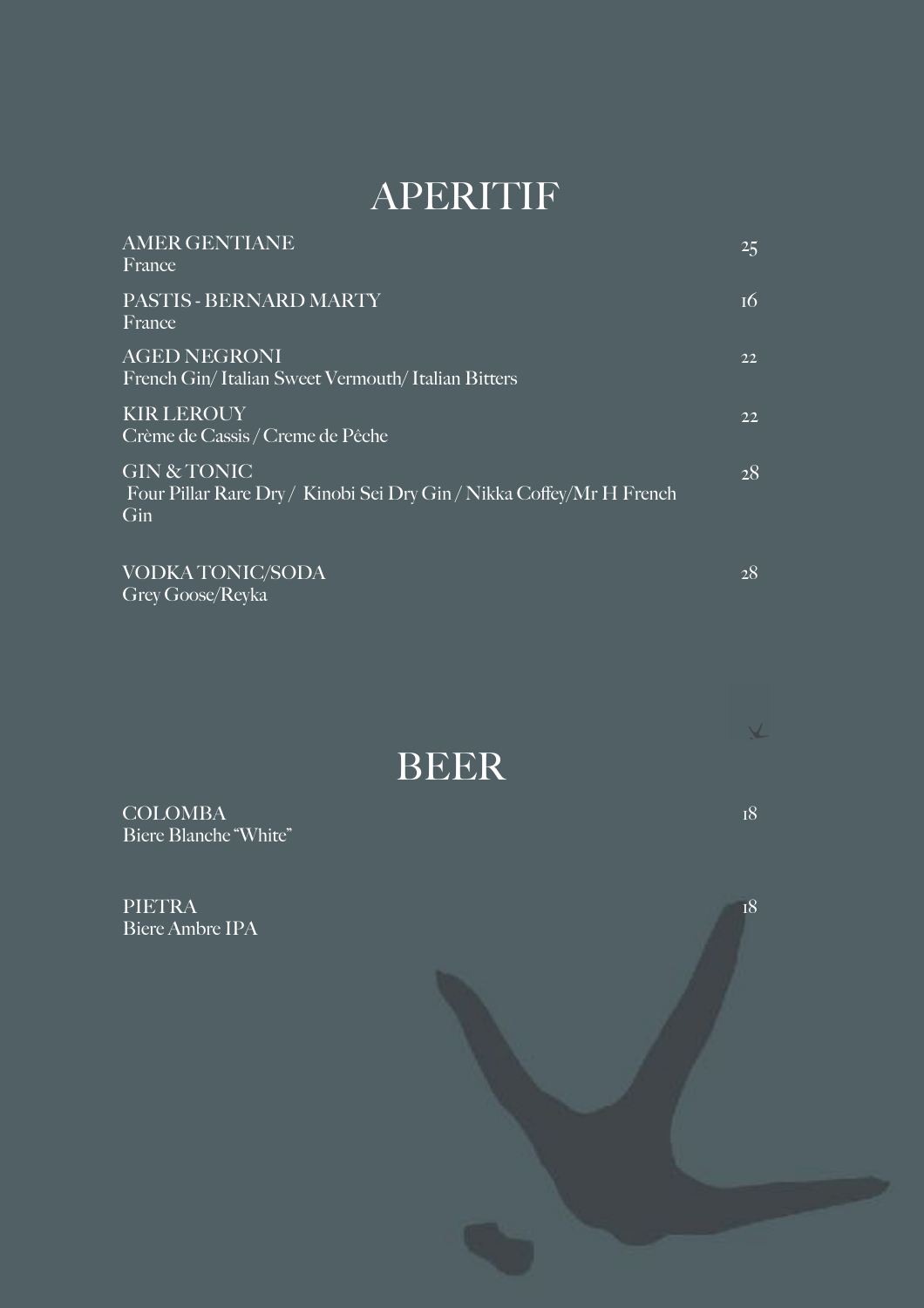# APERITIF

| <b>AMER GENTIANE</b><br>France                                                                        | 25 |
|-------------------------------------------------------------------------------------------------------|----|
| PASTIS - BERNARD MARTY<br>France                                                                      | 16 |
| <b>AGED NEGRONI</b><br>French Gin/Italian Sweet Vermouth/Italian Bitters                              | 22 |
| <b>KIR LEROUY</b><br>Crème de Cassis / Creme de Pêche                                                 | 22 |
| <b>GIN &amp; TONIC</b><br>Four Pillar Rare Dry / Kinobi Sei Dry Gin / Nikka Coffey/Mr H French<br>Gin | 28 |
| VODKA TONIC/SODA<br>Grey Goose/Reyka                                                                  | 28 |



COLOMBA Biere Blanche "White"

PIETRA Biere Ambre IPA



18

 $\vee$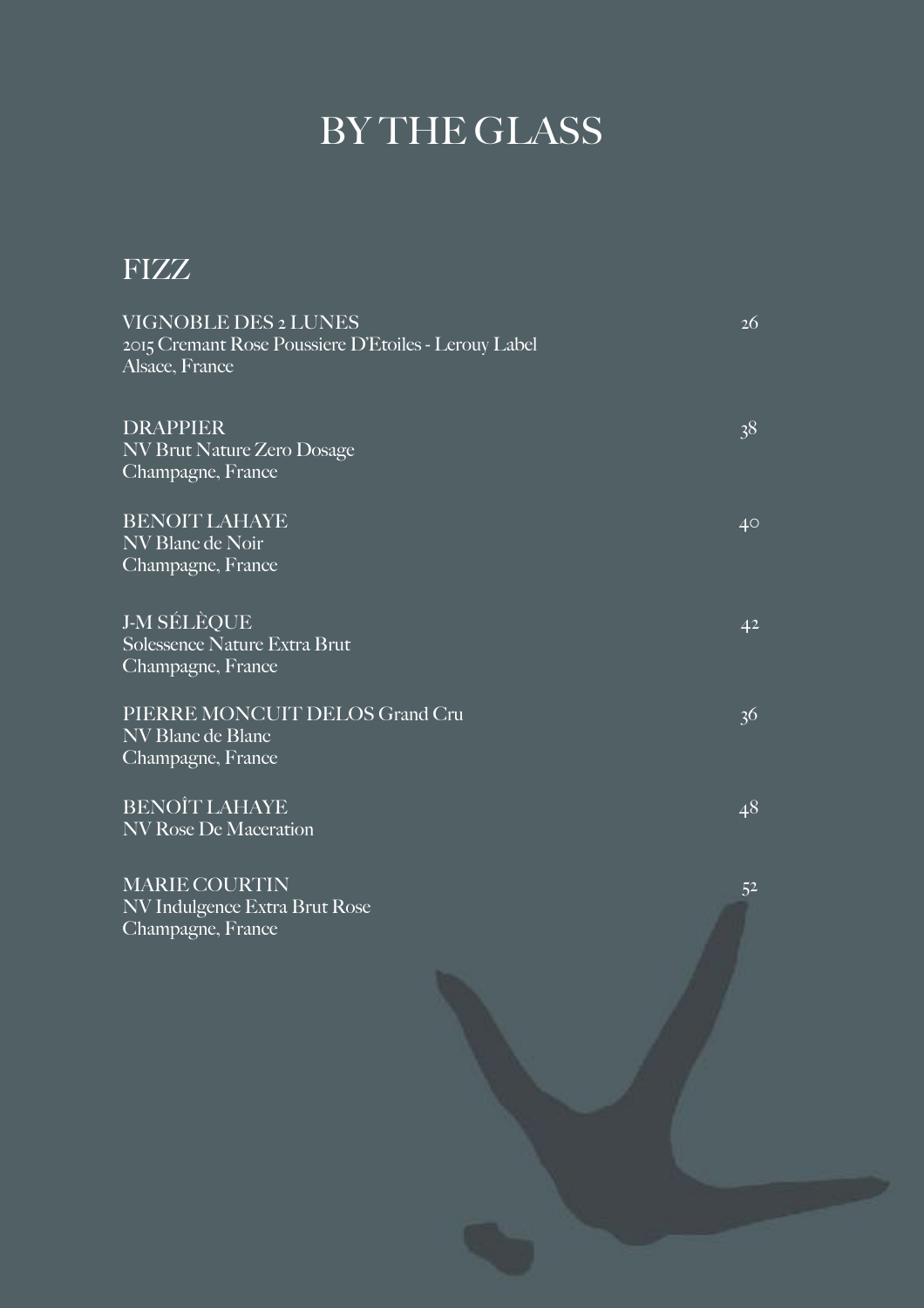# BY THE GLASS

# **FIZZ**

| <b>VIGNOBLE DES 2 LUNES</b><br>2015 Cremant Rose Poussiere D'Etoiles - Lerouy Label<br>Alsace, France | <u>26</u>       |
|-------------------------------------------------------------------------------------------------------|-----------------|
| <b>DRAPPIER</b><br>NV Brut Nature Zero Dosage<br>Champagne, France                                    | 38              |
| <b>BENOIT LAHAYE</b><br>NV Blanc de Noir<br>Champagne, France                                         | 40              |
| <b>J-M SÉLÈQUE</b><br>Solessence Nature Extra Brut<br>Champagne, France                               | 4 <sup>2</sup>  |
| PIERRE MONCUIT DELOS Grand Cru<br>NV Blanc de Blanc<br>Champagne, France                              | $\overline{36}$ |
| <b>BENOÎT LAHAYE</b><br>NV Rose De Maceration                                                         | 48              |
| <b>MARIE COURTIN</b><br>NV Indulgence Extra Brut Rose<br>Champagne, France                            | $\overline{5}2$ |
|                                                                                                       |                 |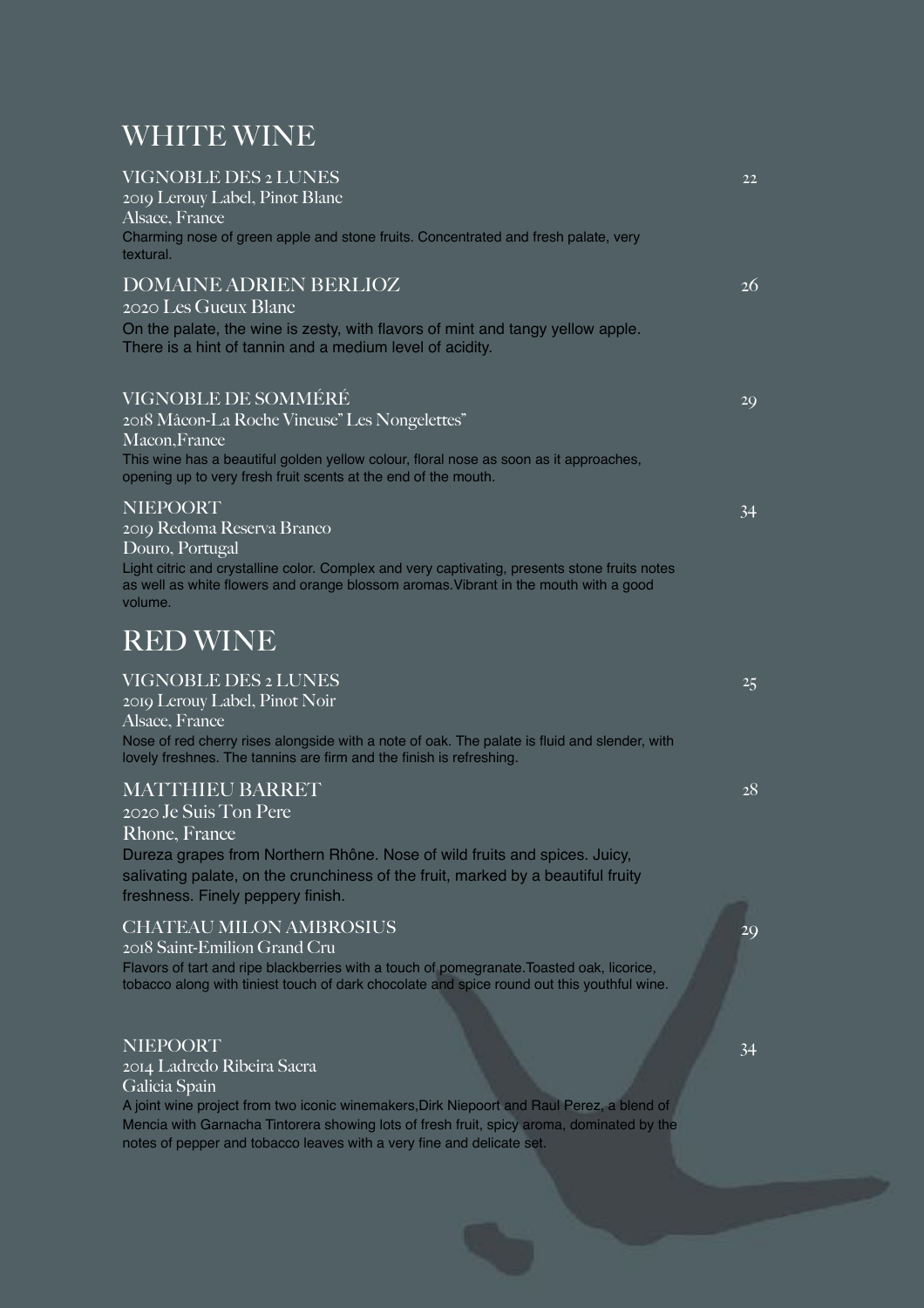# WHITE WINE

| <b>VIGNOBLE DES 2 LUNES</b><br>2019 Lerouy Label, Pinot Blanc<br>Alsace, France                                                                                                                                                                                 |  |
|-----------------------------------------------------------------------------------------------------------------------------------------------------------------------------------------------------------------------------------------------------------------|--|
| Charming nose of green apple and stone fruits. Concentrated and fresh palate, very<br>textural.                                                                                                                                                                 |  |
| <b>DOMAINE ADRIEN BERLIOZ</b><br>2020 Les Gueux Blanc<br>On the palate, the wine is zesty, with flavors of mint and tangy yellow apple.                                                                                                                         |  |
| There is a hint of tannin and a medium level of acidity.                                                                                                                                                                                                        |  |
| VIGNOBLE DE SOMMÉRÉ<br>2018 Mâcon-La Roche Vineuse" Les Nongelettes"<br>Macon, France                                                                                                                                                                           |  |
| This wine has a beautiful golden yellow colour, floral nose as soon as it approaches,<br>opening up to very fresh fruit scents at the end of the mouth.                                                                                                         |  |
| <b>NIEPOORT</b><br><u>2019 Redoma Reserva Branco</u><br>Douro, Portugal                                                                                                                                                                                         |  |
| Light citric and crystalline color. Complex and very captivating, presents stone fruits notes<br>as well as white flowers and orange blossom aromas. Vibrant in the mouth with a good<br>volume.                                                                |  |
| <b>RED WINE</b>                                                                                                                                                                                                                                                 |  |
| <b>VIGNOBLE DES 2 LUNES</b><br>2019 Lerouy Label, Pinot Noir<br>Alsace, France                                                                                                                                                                                  |  |
| Nose of red cherry rises alongside with a note of oak. The palate is fluid and slender, with<br>lovely freshnes. The tannins are firm and the finish is refreshing.                                                                                             |  |
| <b>MATTHIEU BARRET</b><br>2020 Je Suis Ton Pere<br>Rhone, France                                                                                                                                                                                                |  |
| Dureza grapes from Northern Rhône. Nose of wild fruits and spices. Juicy,<br>salivating palate, on the crunchiness of the fruit, marked by a beautiful fruity<br>freshness. Finely peppery finish.                                                              |  |
| <b>CHATEAU MILON AMBROSIUS</b><br>2018 Saint-Emilion Grand Cru<br>Flavors of tart and ripe blackberries with a touch of pomegranate. Toasted oak, licorice,<br>tobacco along with tiniest touch of dark chocolate and spice round out this youthful wine.       |  |
| <b>NIEPOORT</b>                                                                                                                                                                                                                                                 |  |
| <u>2014 Ladredo Ribeira Sacra</u><br>Galicia Spain                                                                                                                                                                                                              |  |
| A joint wine project from two iconic winemakers, Dirk Niepoort and Raul Perez, a blend of<br>Mencia with Garnacha Tintorera showing lots of fresh fruit, spicy aroma, dominated by the<br>notes of pepper and tobacco leaves with a very fine and delicate set. |  |
|                                                                                                                                                                                                                                                                 |  |
|                                                                                                                                                                                                                                                                 |  |

22

26

29

34

25

28

29

 $\frac{1}{4}$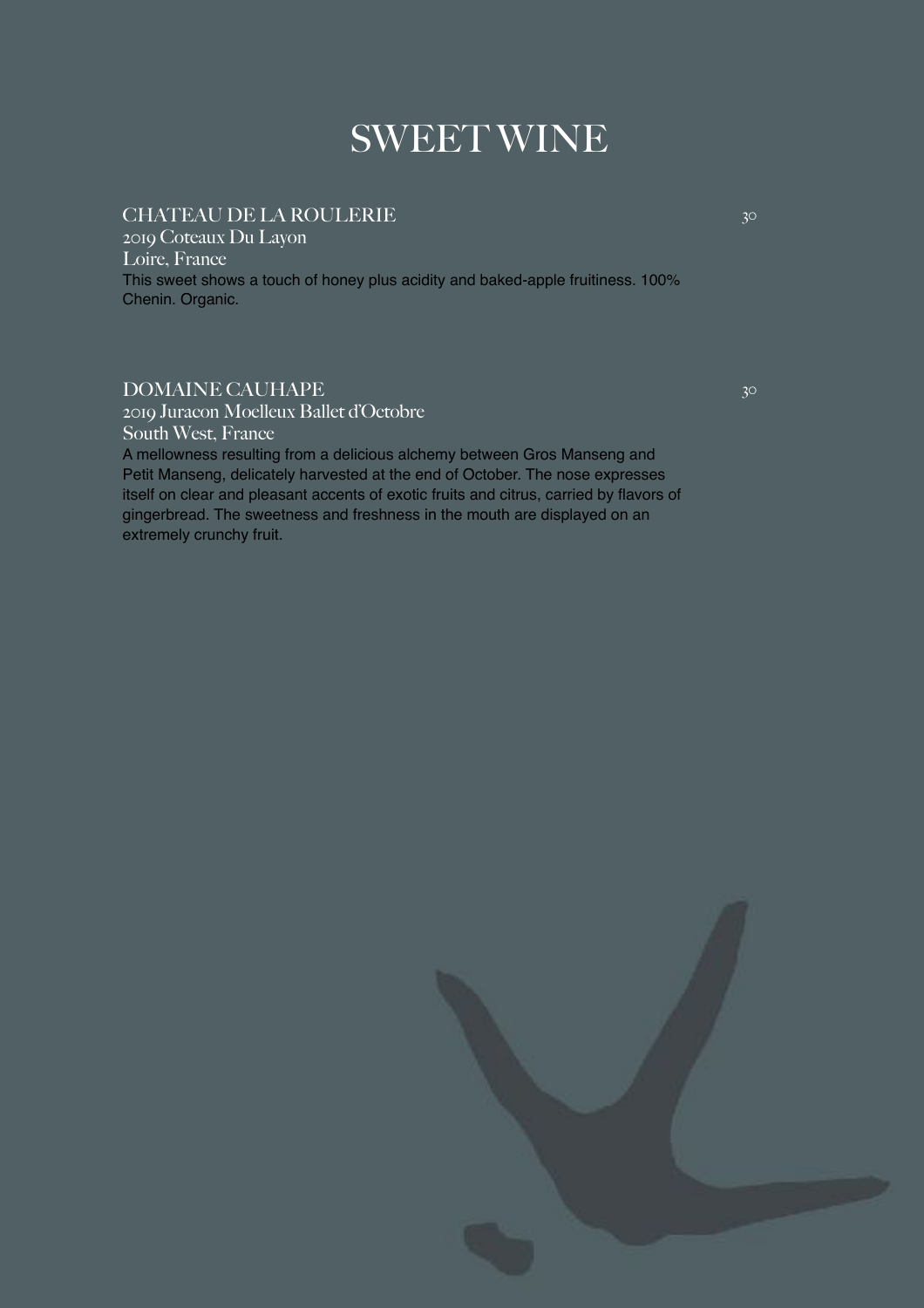# SWEET WINE

# CHATEAU DE LA ROULERIE

2019 Coteaux Du Layon Loire, France This sweet shows a touch of honey plus acidity and baked-apple fruitiness. 100% Chenin. Organic.

# DOMAINE CAUHAPE

#### 2019 Juracon Moelleux Ballet d'Octobre South West, France

A mellowness resulting from a delicious alchemy between Gros Manseng and Petit Manseng, delicately harvested at the end of October. The nose expresses itself on clear and pleasant accents of exotic fruits and citrus, carried by flavors of gingerbread. The sweetness and freshness in the mouth are displayed on an extremely crunchy fruit.

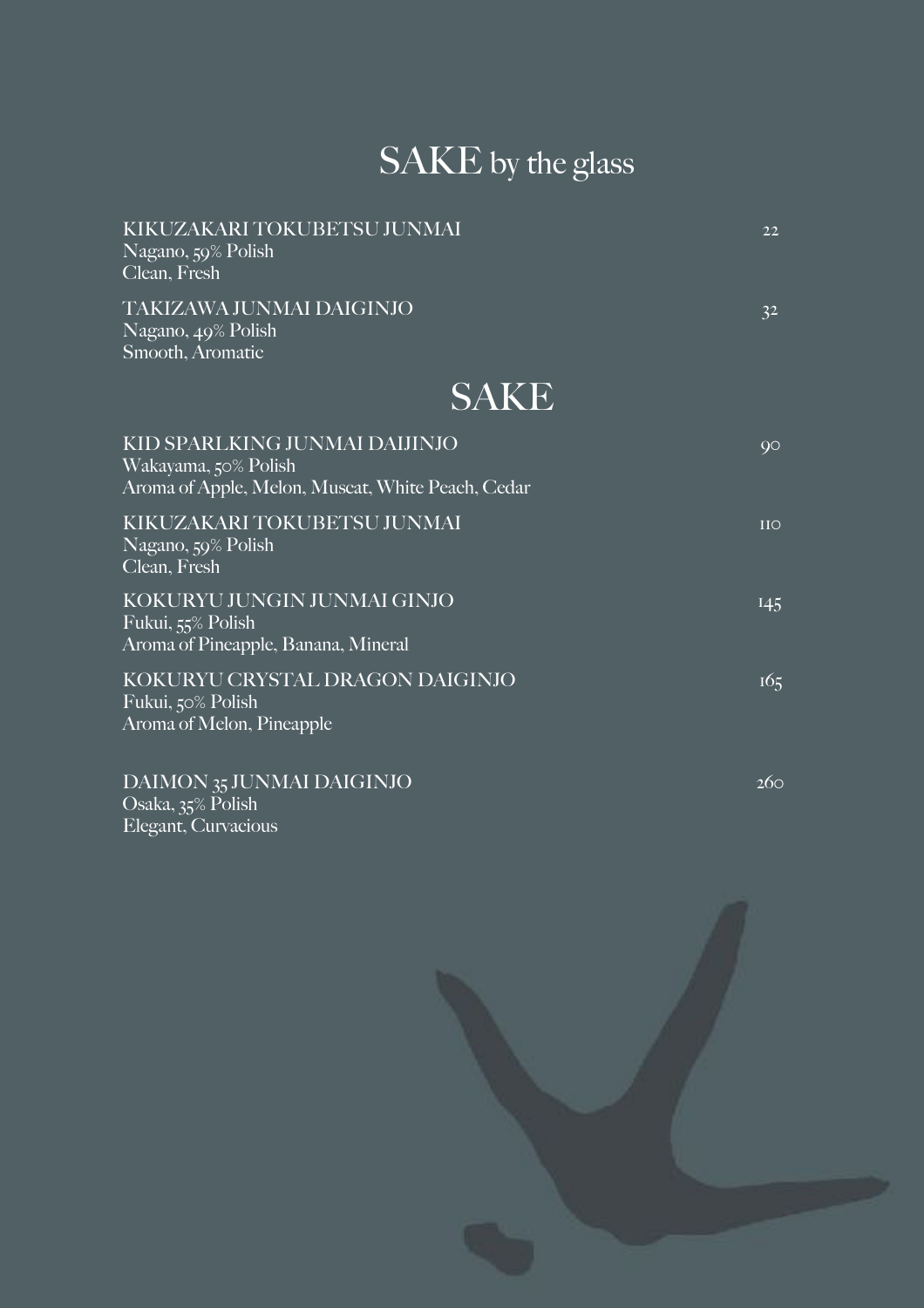# SAKE by the glass

| KIKUZAKARI TOKUBETSU JUNMAI<br>Nagano, 59% Polish<br>Clean, Fresh                                          | 22             |
|------------------------------------------------------------------------------------------------------------|----------------|
| TAKIZAWA JUNMAI DAIGINJO<br>Nagano, 49% Polish<br>Smooth, Aromatic                                         | 3 <sup>2</sup> |
| <b>SAKE</b>                                                                                                |                |
| KID SPARLKING JUNMAI DAIJINJO<br>Wakayama, 50% Polish<br>Aroma of Apple, Melon, Muscat, White Peach, Cedar | 90             |
| KIKUZAKARI TOKUBETSU JUNMAI<br>Nagano, 59% Polish<br>Clean, Fresh                                          | <b>IIO</b>     |
| KOKURYU JUNGIN JUNMAI GINJO<br>Fukui, 55% Polish<br>Aroma of Pineapple, Banana, Mineral                    | 145            |
| KOKURYU CRYSTAL DRAGON DAIGINJO<br>Fukui, 50% Polish<br>Aroma of Melon, Pineapple                          | 165            |
| DAIMON 35 JUNMAI DAIGINJO<br>Osaka, 35% Polish                                                             | 260            |

Elegant, Curvacious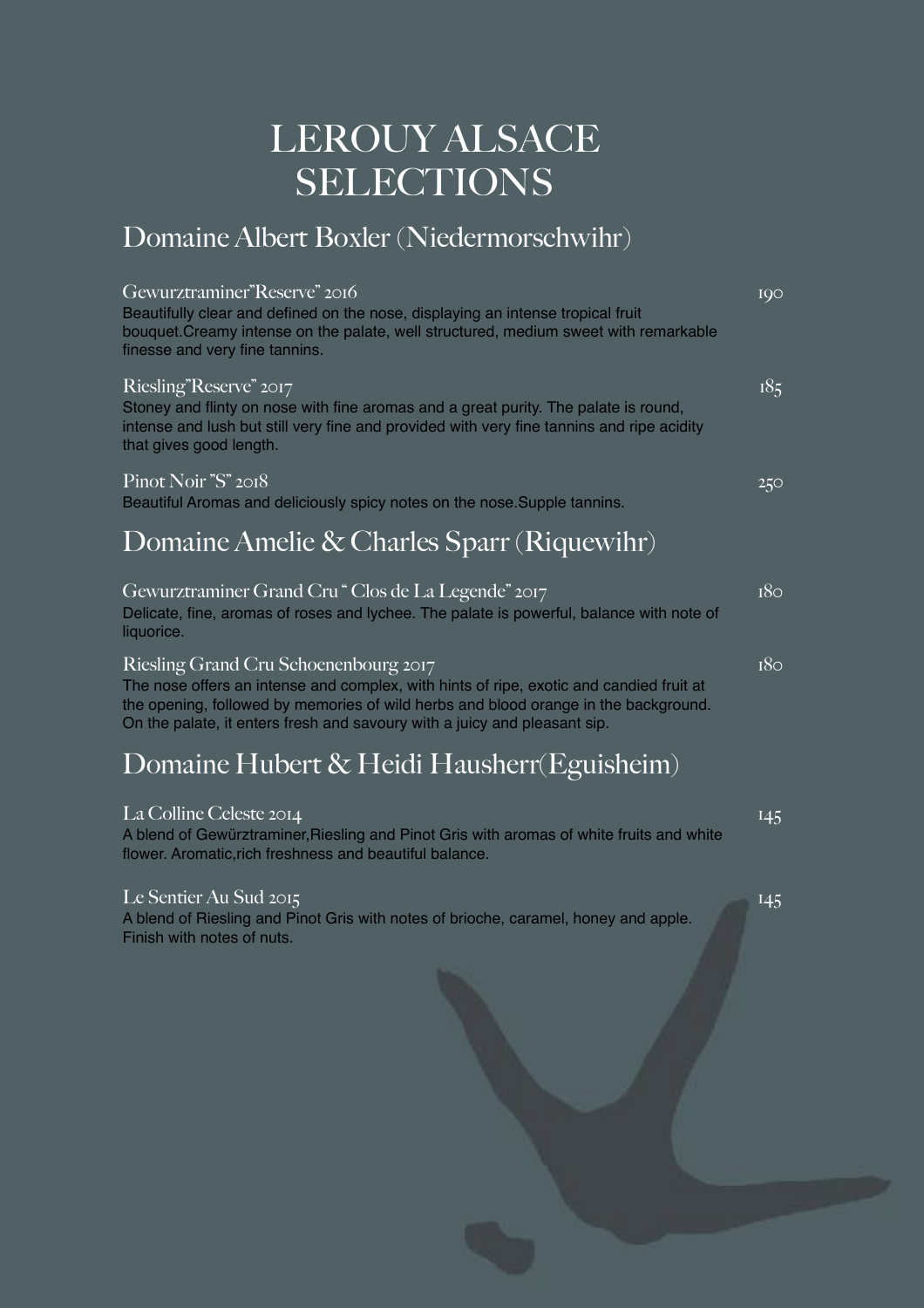# LEROUY ALSACE **SELECTIONS**

# Domaine Albert Boxler (Niedermorschwihr)

| Gewurztraminer"Reserve" 2016<br>Beautifully clear and defined on the nose, displaying an intense tropical fruit<br>bouquet. Creamy intense on the palate, well structured, medium sweet with remarkable<br>finesse and very fine tannins.                                                            | IQO |
|------------------------------------------------------------------------------------------------------------------------------------------------------------------------------------------------------------------------------------------------------------------------------------------------------|-----|
| Riesling"Reserve" 2017<br>Stoney and flinty on nose with fine aromas and a great purity. The palate is round,<br>intense and lush but still very fine and provided with very fine tannins and ripe acidity<br>that gives good length.                                                                | 185 |
| Pinot Noir "S" 2018<br>Beautiful Aromas and deliciously spicy notes on the nose. Supple tannins.                                                                                                                                                                                                     | 250 |
| Domaine Amelie & Charles Sparr (Riquewihr)                                                                                                                                                                                                                                                           |     |
| Gewurztraminer Grand Cru " Clos de La Legende" 2017<br>Delicate, fine, aromas of roses and lychee. The palate is powerful, balance with note of<br>liquorice.                                                                                                                                        | 180 |
| Riesling Grand Cru Schoenenbourg 2017<br>The nose offers an intense and complex, with hints of ripe, exotic and candied fruit at<br>the opening, followed by memories of wild herbs and blood orange in the background.<br>On the palate, it enters fresh and savoury with a juicy and pleasant sip. | 180 |
| Domaine Hubert & Heidi Hausherr (Eguisheim)                                                                                                                                                                                                                                                          |     |
| La Colline Celeste 2014<br>A blend of Gewürztraminer, Riesling and Pinot Gris with aromas of white fruits and white<br>flower. Aromatic, rich freshness and beautiful balance.                                                                                                                       | 145 |
| Le Sentier Au Sud 2015                                                                                                                                                                                                                                                                               | 145 |

A blend of Riesling and Pinot Gris with notes of brioche, caramel, honey and apple. Finish with notes of nuts.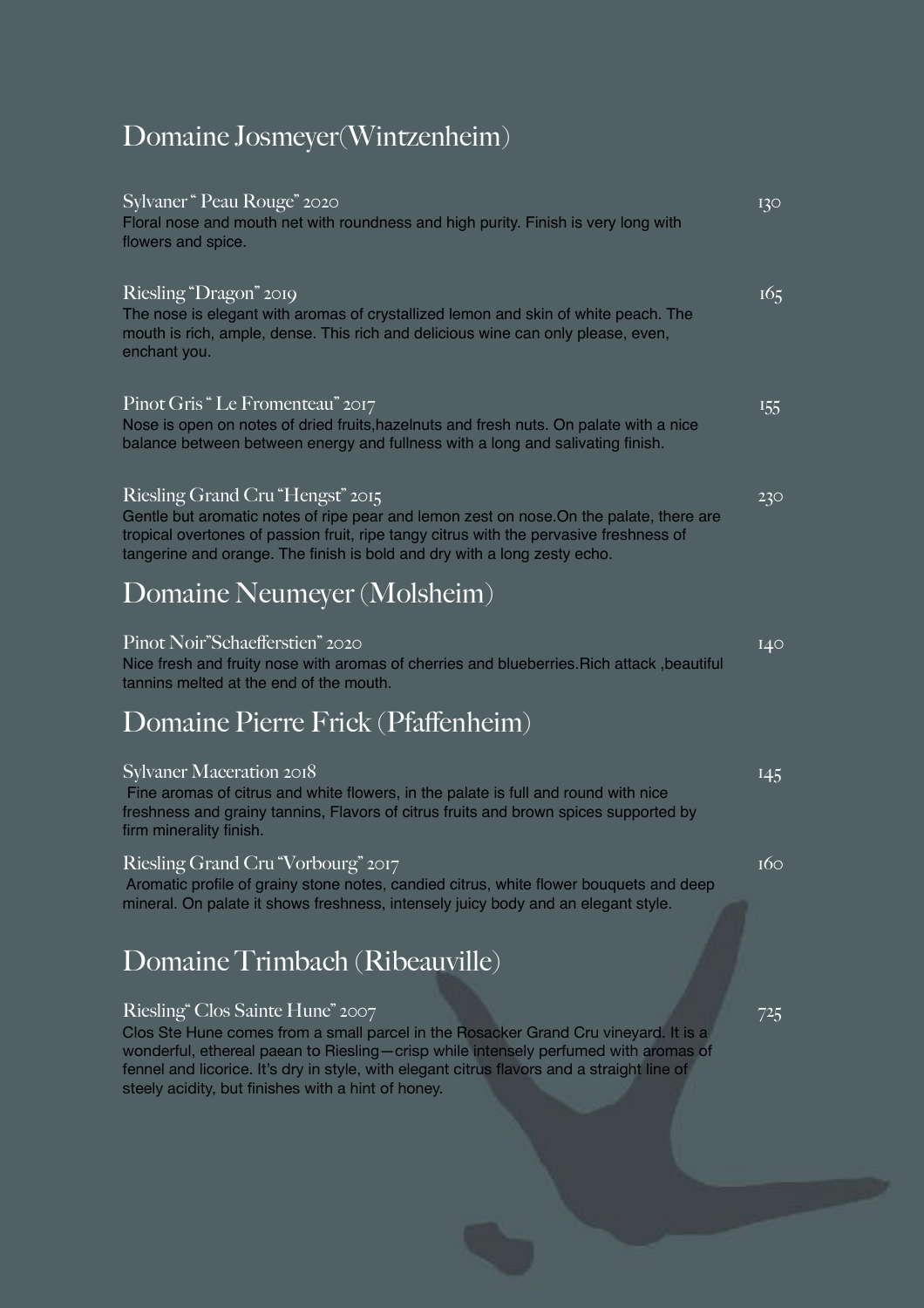# Domaine Josmeyer(Wintzenheim)

| Sylvaner "Peau Rouge" 2020<br>Floral nose and mouth net with roundness and high purity. Finish is very long with<br>flowers and spice.                                                                                                                                                                                                                             | 130 |
|--------------------------------------------------------------------------------------------------------------------------------------------------------------------------------------------------------------------------------------------------------------------------------------------------------------------------------------------------------------------|-----|
| Riesling "Dragon" 2019<br>The nose is elegant with aromas of crystallized lemon and skin of white peach. The<br>mouth is rich, ample, dense. This rich and delicious wine can only please, even,<br>enchant you.                                                                                                                                                   | 165 |
| Pinot Gris "Le Fromenteau" 2017<br>Nose is open on notes of dried fruits, hazelnuts and fresh nuts. On palate with a nice<br>balance between between energy and fullness with a long and salivating finish.                                                                                                                                                        | 155 |
| Riesling Grand Cru "Hengst" 2015<br>Gentle but aromatic notes of ripe pear and lemon zest on nose. On the palate, there are<br>tropical overtones of passion fruit, ripe tangy citrus with the pervasive freshness of<br>tangerine and orange. The finish is bold and dry with a long zesty echo.                                                                  | 230 |
| Domaine Neumeyer (Molsheim)                                                                                                                                                                                                                                                                                                                                        |     |
| Pinot Noir"Schaefferstien" 2020<br>Nice fresh and fruity nose with aromas of cherries and blueberries. Rich attack, beautiful<br>tannins melted at the end of the mouth.                                                                                                                                                                                           | I40 |
| Domaine Pierre Frick (Pfaffenheim)                                                                                                                                                                                                                                                                                                                                 |     |
| Sylvaner Maceration 2018<br>Fine aromas of citrus and white flowers, in the palate is full and round with nice<br>freshness and grainy tannins, Flavors of citrus fruits and brown spices supported by<br>firm minerality finish.                                                                                                                                  | 145 |
| Riesling Grand Cru "Vorbourg" 2017<br>Aromatic profile of grainy stone notes, candied citrus, white flower bouquets and deep<br>mineral. On palate it shows freshness, intensely juicy body and an elegant style.                                                                                                                                                  | 160 |
| Domaine Trimbach (Ribeauville)                                                                                                                                                                                                                                                                                                                                     |     |
| Riesling" Clos Sainte Hune" 2007<br>Clos Ste Hune comes from a small parcel in the Rosacker Grand Cru vineyard. It is a<br>wonderful, ethereal paean to Riesling-crisp while intensely perfumed with aromas of<br>fennel and licorice. It's dry in style, with elegant citrus flavors and a straight line of<br>steely acidity, but finishes with a hint of honey. | 725 |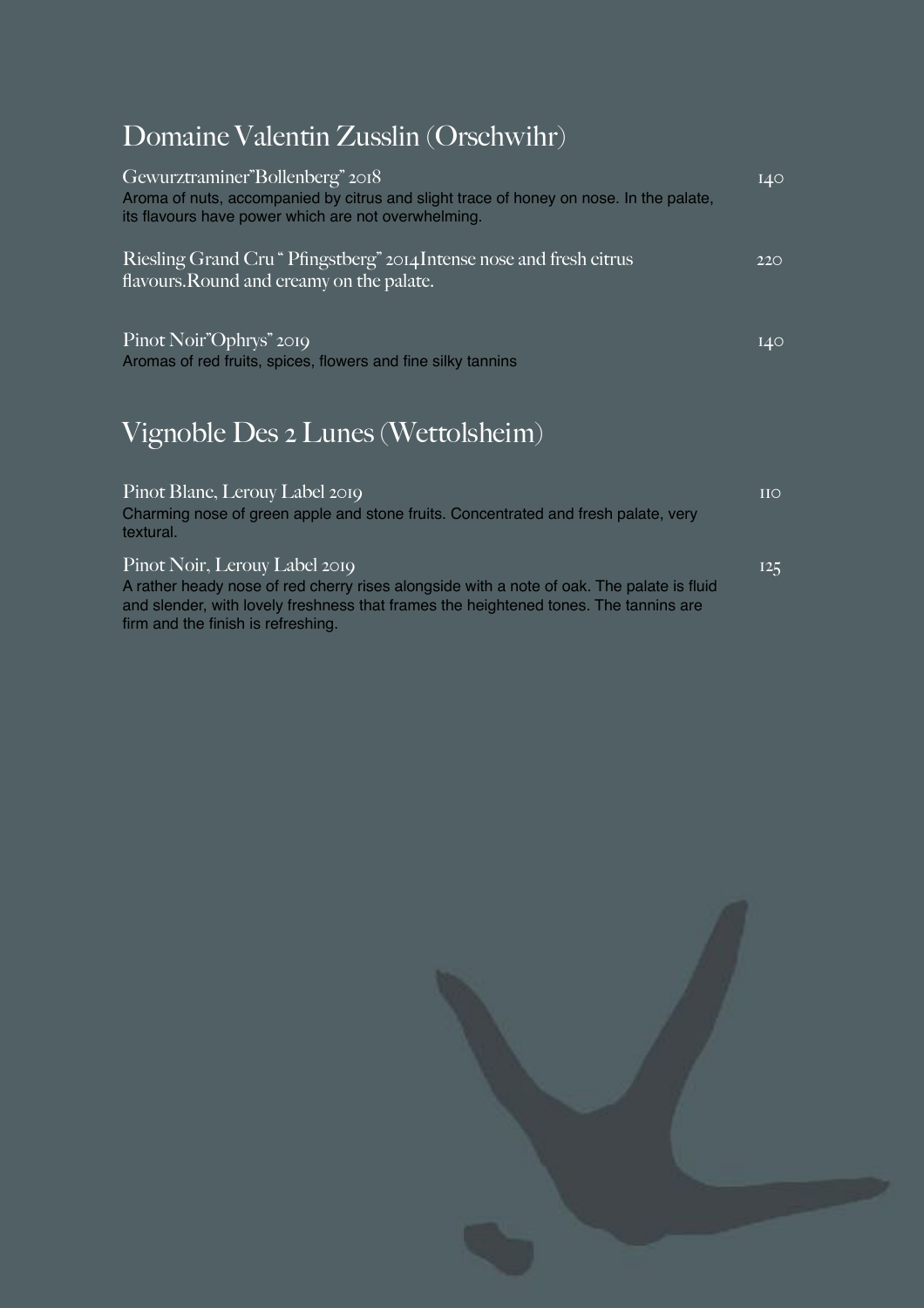# Domaine Valentin Zusslin (Orschwihr)

| Gewurztraminer"Bollenberg" 2018<br>Aroma of nuts, accompanied by citrus and slight trace of honey on nose. In the palate,<br>its flavours have power which are not overwhelming.                                   | <b>I40</b> |
|--------------------------------------------------------------------------------------------------------------------------------------------------------------------------------------------------------------------|------------|
| Riesling Grand Cru "Pfingstberg" 2014 Intense nose and fresh citrus<br>flavours. Round and creamy on the palate.                                                                                                   | 220        |
| Pinot Noir"Ophrys" 2019<br>Aromas of red fruits, spices, flowers and fine silky tannins                                                                                                                            | I4O        |
| Vignoble Des 2 Lunes (Wettolsheim)                                                                                                                                                                                 |            |
| Pinot Blanc, Lerouy Label 2019<br>Charming nose of green apple and stone fruits. Concentrated and fresh palate, very<br>textural.                                                                                  | <b>IIO</b> |
| Pinot Noir, Lerouy Label 2019<br>A rather heady nose of red cherry rises alongside with a note of oak. The palate is fluid<br>and slender, with lovely freshness that frames the heightened tones. The tannins are | 125        |

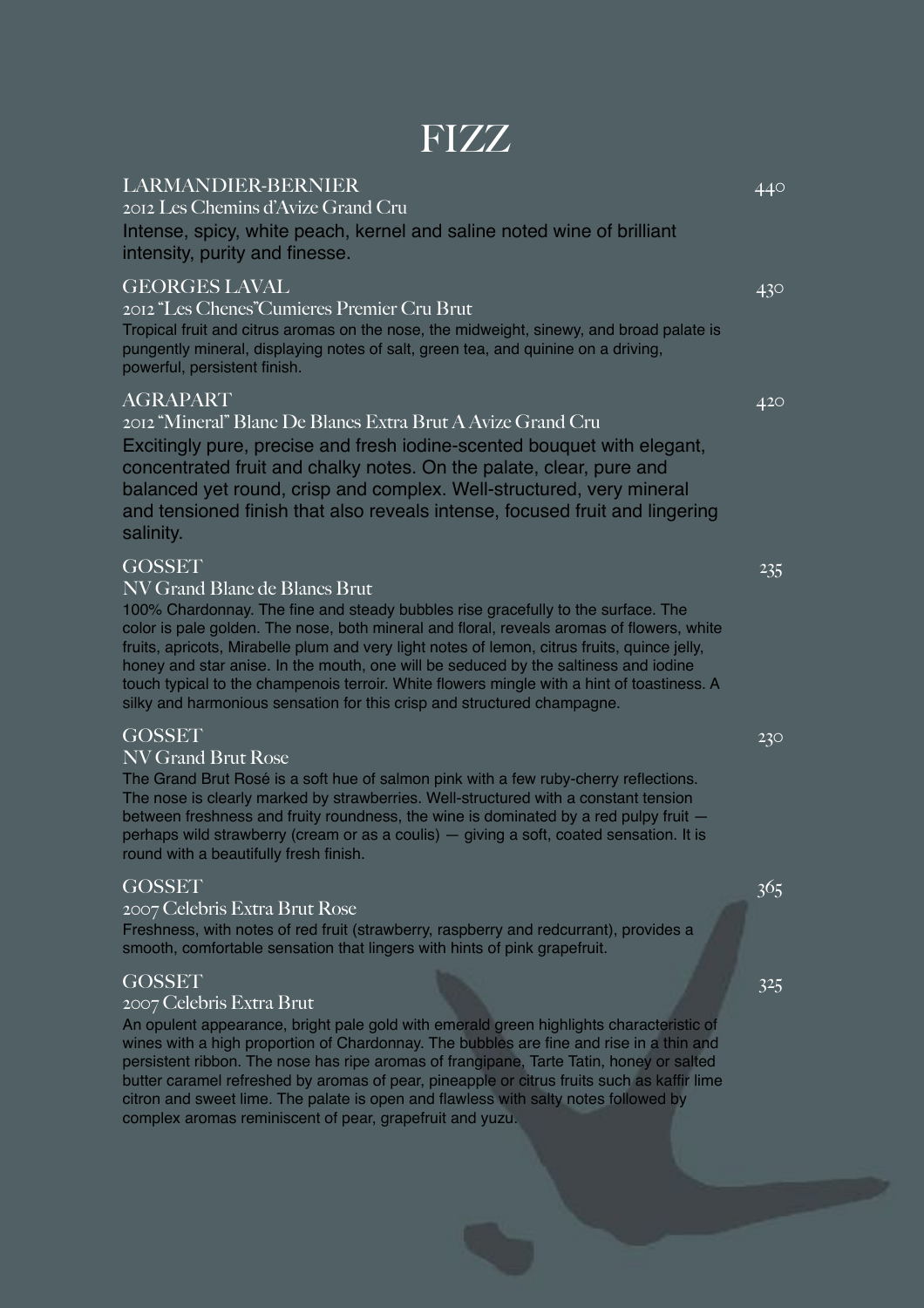| FIZZ                                                                                                                                                                                                                                                                                                                                                                                                            |  |
|-----------------------------------------------------------------------------------------------------------------------------------------------------------------------------------------------------------------------------------------------------------------------------------------------------------------------------------------------------------------------------------------------------------------|--|
| <b>LARMANDIER-BERNIER</b><br>2012 Les Chemins d'Avize Grand Cru<br>Intense, spicy, white peach, kernel and saline noted wine of brilliant<br>intensity, purity and finesse.                                                                                                                                                                                                                                     |  |
| GEORGES LAVAL<br>2012 "Les Chenes"Cumieres Premier Cru Brut<br>Tropical fruit and citrus aromas on the nose, the midweight, sinewy, and broad palate is<br>pungently mineral, displaying notes of salt, green tea, and quinine on a driving,<br>powerful, persistent finish.                                                                                                                                    |  |
| <b>AGRAPART</b><br>2012 "Mineral" Blanc De Blancs Extra Brut A Avize Grand Cru<br>Excitingly pure, precise and fresh iodine-scented bouquet with elegant,<br>concentrated fruit and chalky notes. On the palate, clear, pure and<br>balanced yet round, crisp and complex. Well-structured, very mineral<br>and tensioned finish that also reveals intense, focused fruit and lingering<br>salinity.            |  |
| GOSSET<br>NV Grand Blanc de Blancs Brut<br>100% Chardonnay. The fine and steady bubbles rise gracefully to the surface. The<br>color is pale golden. The nose, both mineral and floral, reveals aromas of flowers, white<br>fruits, apricots, Mirabelle plum and very light notes of lemon, citrus fruits, quince jelly,<br>honey and star anise. In the mouth, one will be seduced by the saltiness and iodine |  |

GOSSET

NV Grand Brut Rose

The Grand Brut Rosé is a soft hue of salmon pink with a few ruby-cherry reflections. The nose is clearly marked by strawberries. Well-structured with a constant tension between freshness and fruity roundness, the wine is dominated by a red pulpy fruit perhaps wild strawberry (cream or as a coulis) — giving a soft, coated sensation. It is round with a beautifully fresh finish.

touch typical to the champenois terroir. White flowers mingle with a hint of toastiness. A

silky and harmonious sensation for this crisp and structured champagne.

#### **GOSSET**

#### 2007 Celebris Extra Brut Rose

Freshness, with notes of red fruit (strawberry, raspberry and redcurrant), provides a smooth, comfortable sensation that lingers with hints of pink grapefruit.

#### **GOSSET**

#### 2007 Celebris Extra Brut

An opulent appearance, bright pale gold with emerald green highlights characteristic of wines with a high proportion of Chardonnay. The bubbles are fine and rise in a thin and persistent ribbon. The nose has ripe aromas of frangipane, Tarte Tatin, honey or salted butter caramel refreshed by aromas of pear, pineapple or citrus fruits such as kaffir lime citron and sweet lime. The palate is open and flawless with salty notes followed by complex aromas reminiscent of pear, grapefruit and yuzu.

365

440

430

420

235

230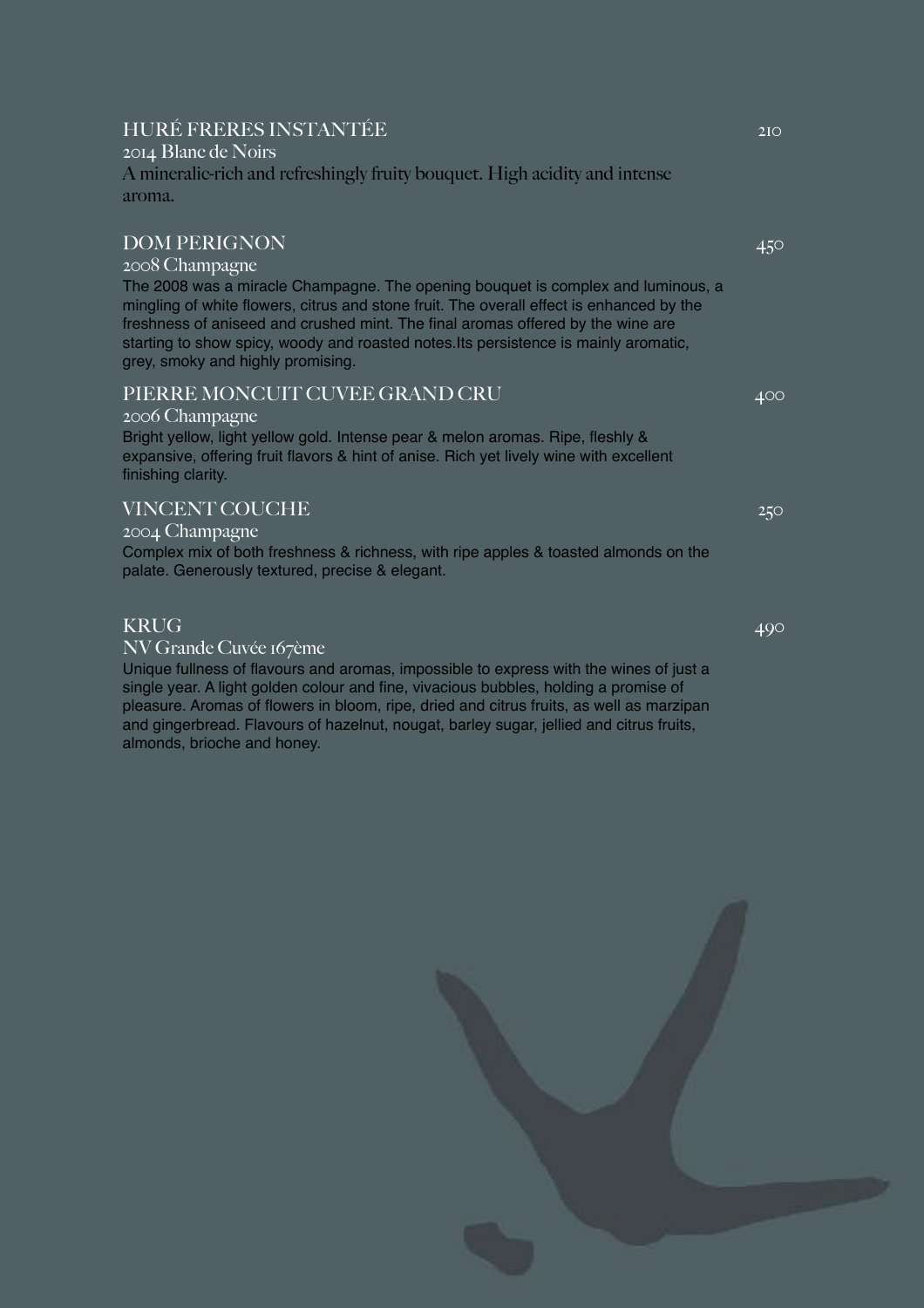| HUNE FNENES INSTANTEE                                                                                                                                                                 |
|---------------------------------------------------------------------------------------------------------------------------------------------------------------------------------------|
| 2014 Blanc de Noirs                                                                                                                                                                   |
| A mineralic-rich and refreshingly fruity bouquet. High acidity and intense                                                                                                            |
| aroma.                                                                                                                                                                                |
| <b>DOM PERIGNON</b>                                                                                                                                                                   |
| 2008 Champagne                                                                                                                                                                        |
| The 2008 was a miracle Champagne. The opening bouquet is complex and luminous, a<br>لمواديروا وممومومات والمملكم المسمريم موالى اثرسة ممملم امعرم مرسائم لمسمريها فلنواب فمرمضاه سأمس |

mingling of white flowers, citrus and stone fruit. The overall freshness of aniseed and crushed mint. The final aromas offered by the wine are starting to show spicy, woody and roasted notes.Its persistence is mainly aromatic, grey, smoky and highly promising.

## PIERRE MONCUIT CUVEE GRAND CRU

#### 2006 Champagne

Bright yellow, light yellow gold. Intense pear & melon aromas. Ripe, fleshly & expansive, offering fruit flavors & hint of anise. Rich yet lively wine with excellent finishing clarity.

#### VINCENT COUCHE

HURÉ FRERES INSTANTÉE

#### 2004 Champagne

Complex mix of both freshness & richness, with ripe apples & toasted almonds on the palate. Generously textured, precise & elegant.

#### KRUG

#### NV Grande Cuvée 167ème

Unique fullness of flavours and aromas, impossible to express with the wines of just a single year. A light golden colour and fine, vivacious bubbles, holding a promise of pleasure. Aromas of flowers in bloom, ripe, dried and citrus fruits, as well as marzipan and gingerbread. Flavours of hazelnut, nougat, barley sugar, jellied and citrus fruits, almonds, brioche and honey.



210

450

400

250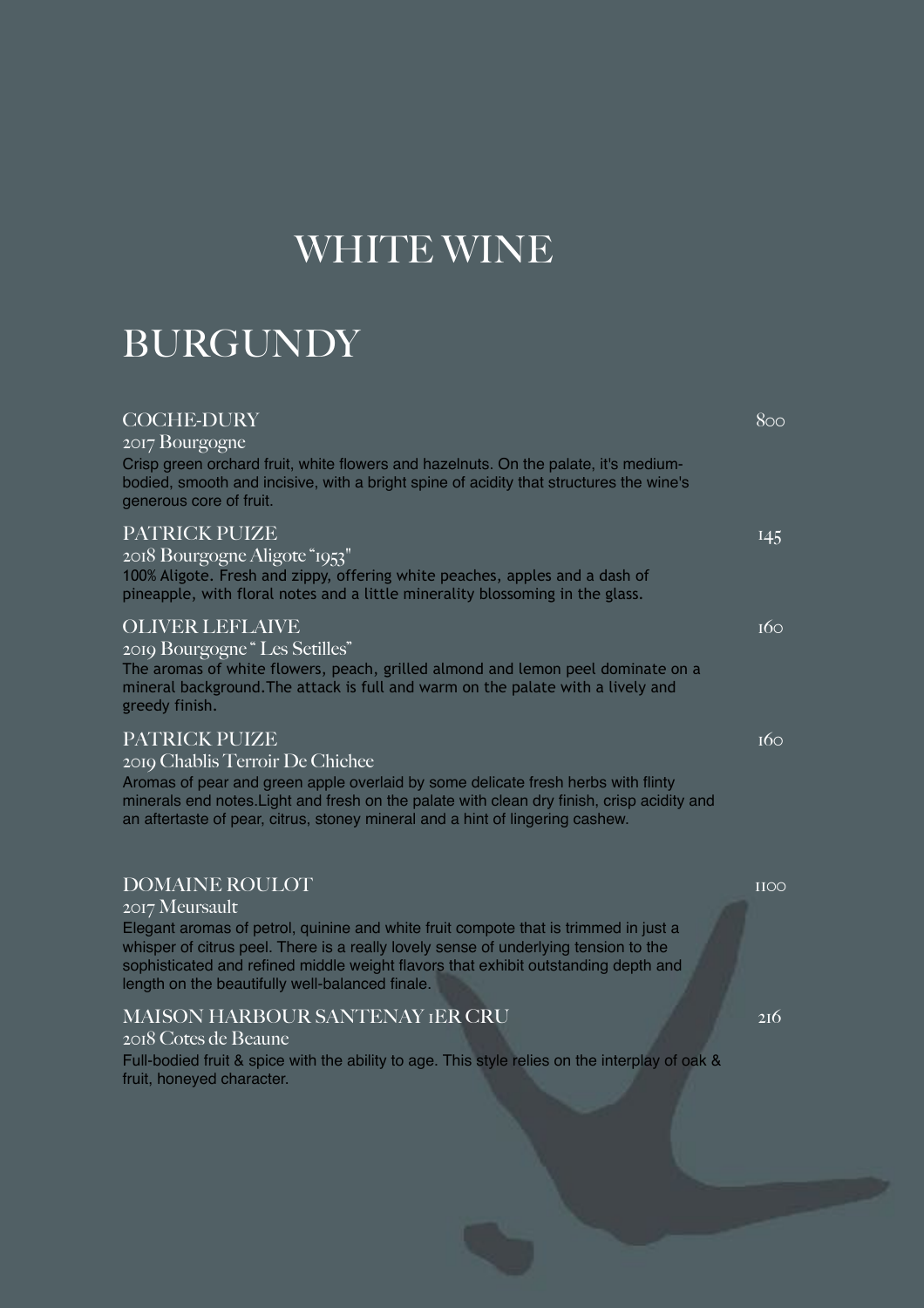# WHITE WINE

# BURGUNDY

| COCHE-DURY<br>2017 Bourgogne<br>Crisp green orchard fruit, white flowers and hazelnuts. On the palate, it's medium-<br>bodied, smooth and incisive, with a bright spine of acidity that structures the wine's<br>generous core of fruit.                                                                                                                       | 800         |
|----------------------------------------------------------------------------------------------------------------------------------------------------------------------------------------------------------------------------------------------------------------------------------------------------------------------------------------------------------------|-------------|
| <u>PAT</u> RICK PUIZE<br>2018 Bourgogne Aligote "1953"<br>100% Aligote. Fresh and zippy, offering white peaches, apples and a dash of<br>pineapple, with floral notes and a little minerality blossoming in the glass.                                                                                                                                         | 145         |
| <b>OLIVER LEFLAIVE</b><br>2019 Bourgogne " Les Setilles"<br>The aromas of white flowers, peach, grilled almond and lemon peel dominate on a<br>mineral background. The attack is full and warm on the palate with a lively and<br>greedy finish.                                                                                                               | 160         |
| PATRICK PUIZE<br>2019 Chablis Terroir De Chichee<br>Aromas of pear and green apple overlaid by some delicate fresh herbs with flinty<br>minerals end notes. Light and fresh on the palate with clean dry finish, crisp acidity and<br>an aftertaste of pear, citrus, stoney mineral and a hint of lingering cashew.                                            | 160         |
| <b>DOMAINE ROULOT</b><br>2017 Meursault<br>Elegant aromas of petrol, quinine and white fruit compote that is trimmed in just a<br>whisper of citrus peel. There is a really lovely sense of underlying tension to the<br>sophisticated and refined middle weight flavors that exhibit outstanding depth and<br>length on the beautifully well-balanced finale. | <b>IIOO</b> |

# MAISON HARBOUR SANTENAY 1ER CRU

#### 2018 Cotes de Beaune

Full-bodied fruit & spice with the ability to age. This style relies on the interplay of oak & fruit, honeyed character.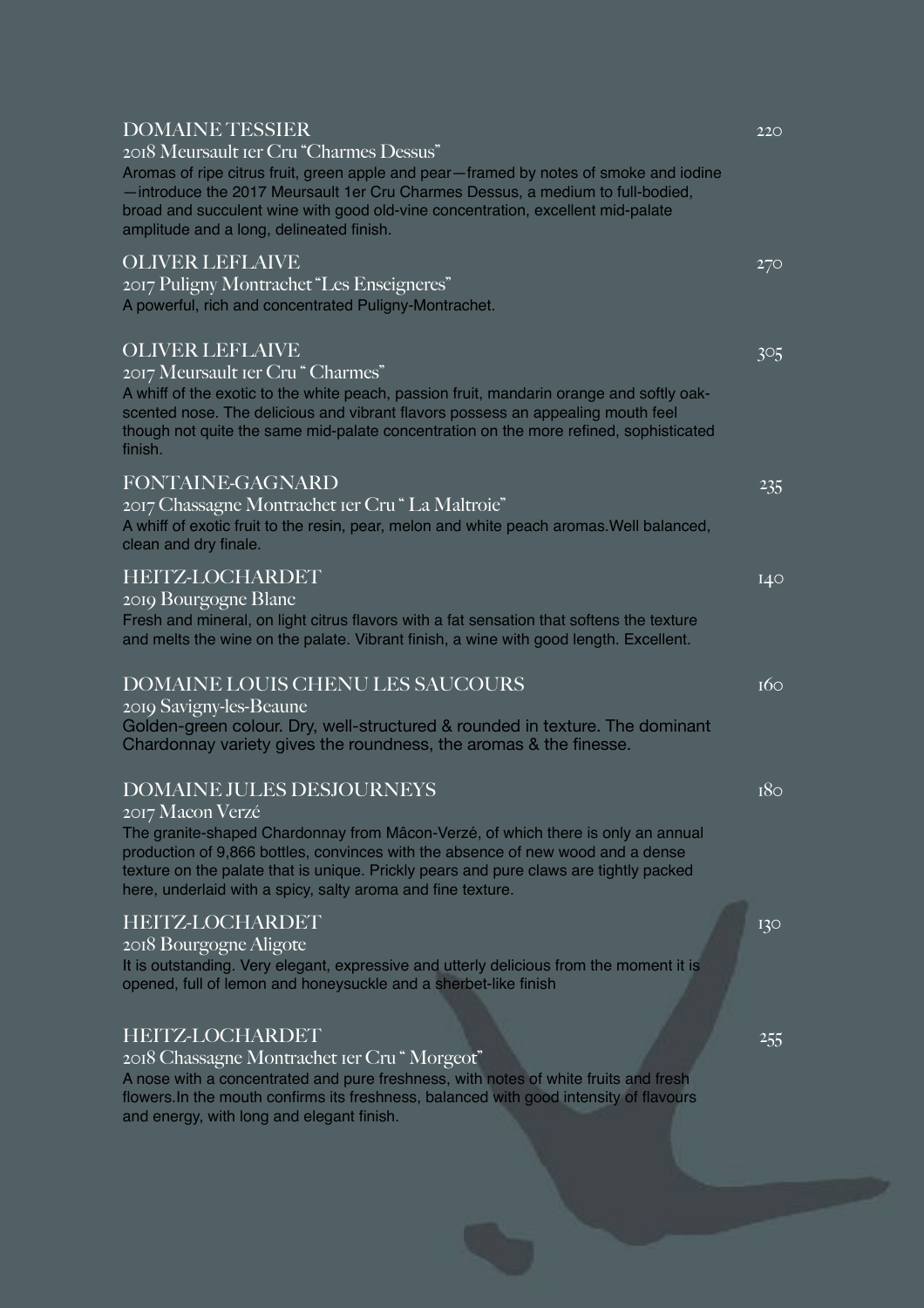| <b>DOMAINE TESSIER</b><br>2018 Meursault 1er Cru "Charmes Dessus"<br>Aromas of ripe citrus fruit, green apple and pear-framed by notes of smoke and iodine<br>-introduce the 2017 Meursault 1er Cru Charmes Dessus, a medium to full-bodied,<br>broad and succulent wine with good old-vine concentration, excellent mid-palate<br>amplitude and a long, delineated finish.         | 220 |
|-------------------------------------------------------------------------------------------------------------------------------------------------------------------------------------------------------------------------------------------------------------------------------------------------------------------------------------------------------------------------------------|-----|
| <b>OLIVER LEFLAIVE</b><br>2017 Puligny Montrachet "Les Enseigneres"<br>A powerful, rich and concentrated Puligny-Montrachet.                                                                                                                                                                                                                                                        | 270 |
| <b>OLIVER LEFLAIVE</b><br>2017 Meursault 1er Cru " Charmes"<br>A whiff of the exotic to the white peach, passion fruit, mandarin orange and softly oak-<br>scented nose. The delicious and vibrant flavors possess an appealing mouth feel<br>though not quite the same mid-palate concentration on the more refined, sophisticated<br>finish.                                      | 305 |
| FONTAINE-GAGNARD<br>2017 Chassagne Montrachet 1er Cru " La Maltroie"<br>A whiff of exotic fruit to the resin, pear, melon and white peach aromas. Well balanced,<br>clean and dry finale.                                                                                                                                                                                           | 235 |
| <b>HEITZ-LOCHARDET</b><br>2019 Bourgogne Blanc<br>Fresh and mineral, on light citrus flavors with a fat sensation that softens the texture<br>and melts the wine on the palate. Vibrant finish, a wine with good length. Excellent.                                                                                                                                                 | I40 |
| DOMAINE LOUIS CHENU LES SAUCOURS<br>2019 Savigny-les-Beaune<br>Golden-green colour. Dry, well-structured & rounded in texture. The dominant<br>Chardonnay variety gives the roundness, the aromas & the finesse.                                                                                                                                                                    | 160 |
| <b>DOMAINE JULES DESJOURNEYS</b><br>2017 Macon Verzé<br>The granite-shaped Chardonnay from Mâcon-Verzé, of which there is only an annual<br>production of 9,866 bottles, convinces with the absence of new wood and a dense<br>texture on the palate that is unique. Prickly pears and pure claws are tightly packed<br>here, underlaid with a spicy, salty aroma and fine texture. | 180 |
| HEITZ-LOCHARDET<br>2018 Bourgogne Aligote<br>It is outstanding. Very elegant, expressive and utterly delicious from the moment it is<br>opened, full of lemon and honeysuckle and a sherbet-like finish                                                                                                                                                                             | 130 |
| HEITZ-LOCHARDET<br>2018 Chassagne Montrachet 1er Cru " Morgeot"<br>A nose with a concentrated and pure freshness, with notes of white fruits and fresh<br>flowers. In the mouth confirms its freshness, balanced with good intensity of flavours<br>and energy, with long and elegant finish.                                                                                       | 255 |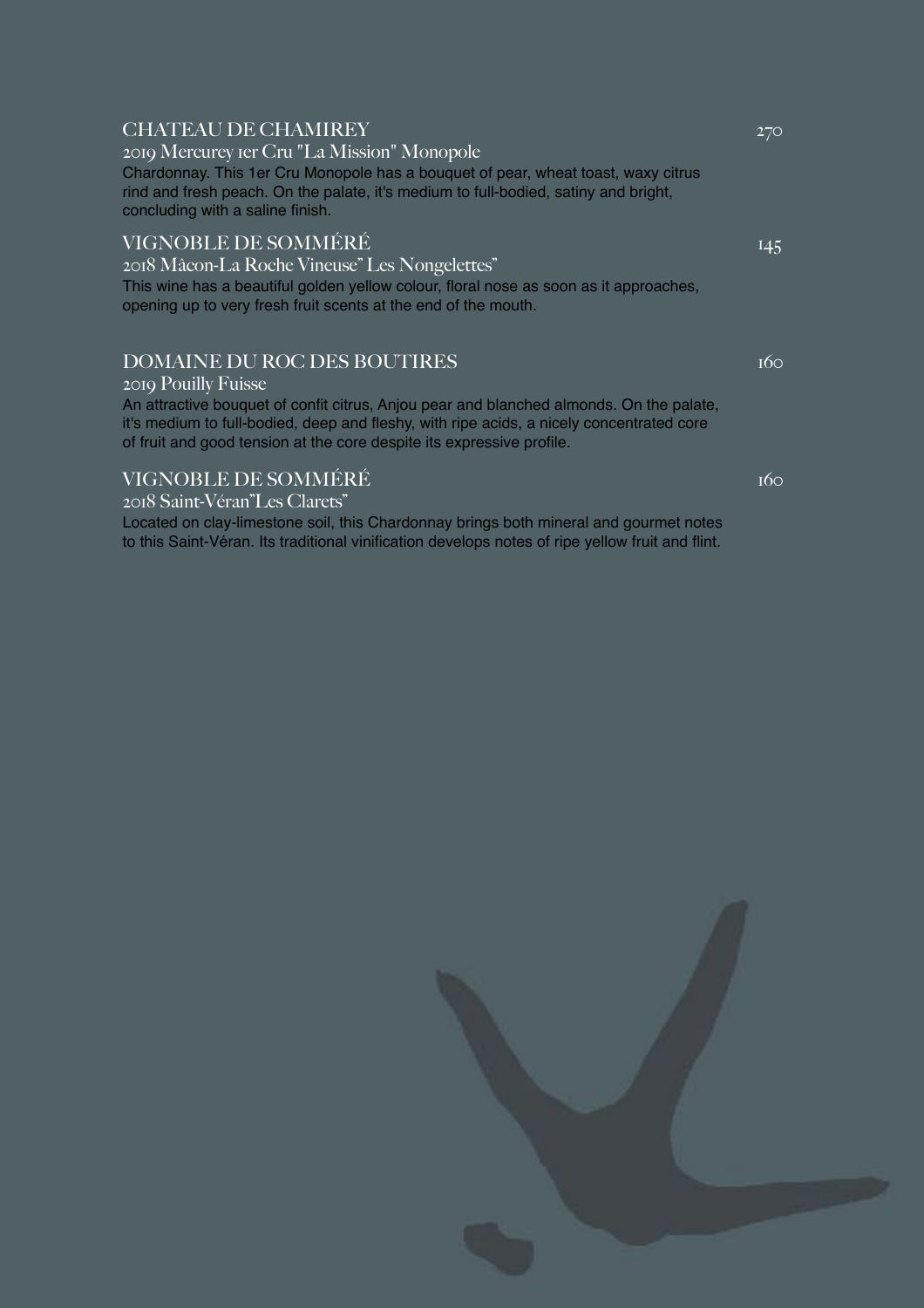| 2019 Mercurey Ier Cru "La Mission" Monopole<br>Chardonnay. This 1er Cru Monopole has a bouquet of pear, wheat toast, waxy citrus<br>rind and fresh peach. On the palate, it's medium to full-bodied, satiny and bright,<br>concluding with a saline finish. |
|-------------------------------------------------------------------------------------------------------------------------------------------------------------------------------------------------------------------------------------------------------------|
| VIGNOBLE DE SOMMÉRÉ<br>2018 Mâcon-La Roche Vineuse" Les Nongelettes"<br>This wine has a beautiful golden yellow colour, floral nose as soon as it approaches,<br>opening up to very fresh fruit scents at the end of the mouth.                             |

# DOMAINE DU ROC DES BOUTIRES

## 2019 Pouilly Fuisse

An attractive bouquet of confit citrus, Anjou pear and blanched almonds. On the palate, it's medium to full-bodied, deep and fleshy, with ripe acids, a nicely concentrated core of fruit and good tension at the core despite its expressive profile.

# VIGNOBLE DE SOMMÉRÉ

CHATEAU DE CHAMIREY

2018 Saint-Véran"Les Clarets"

Located on clay-limestone soil, this Chardonnay brings both mineral and gourmet notes to this Saint-Véran. Its traditional vinification develops notes of ripe yellow fruit and flint.

270

145

160

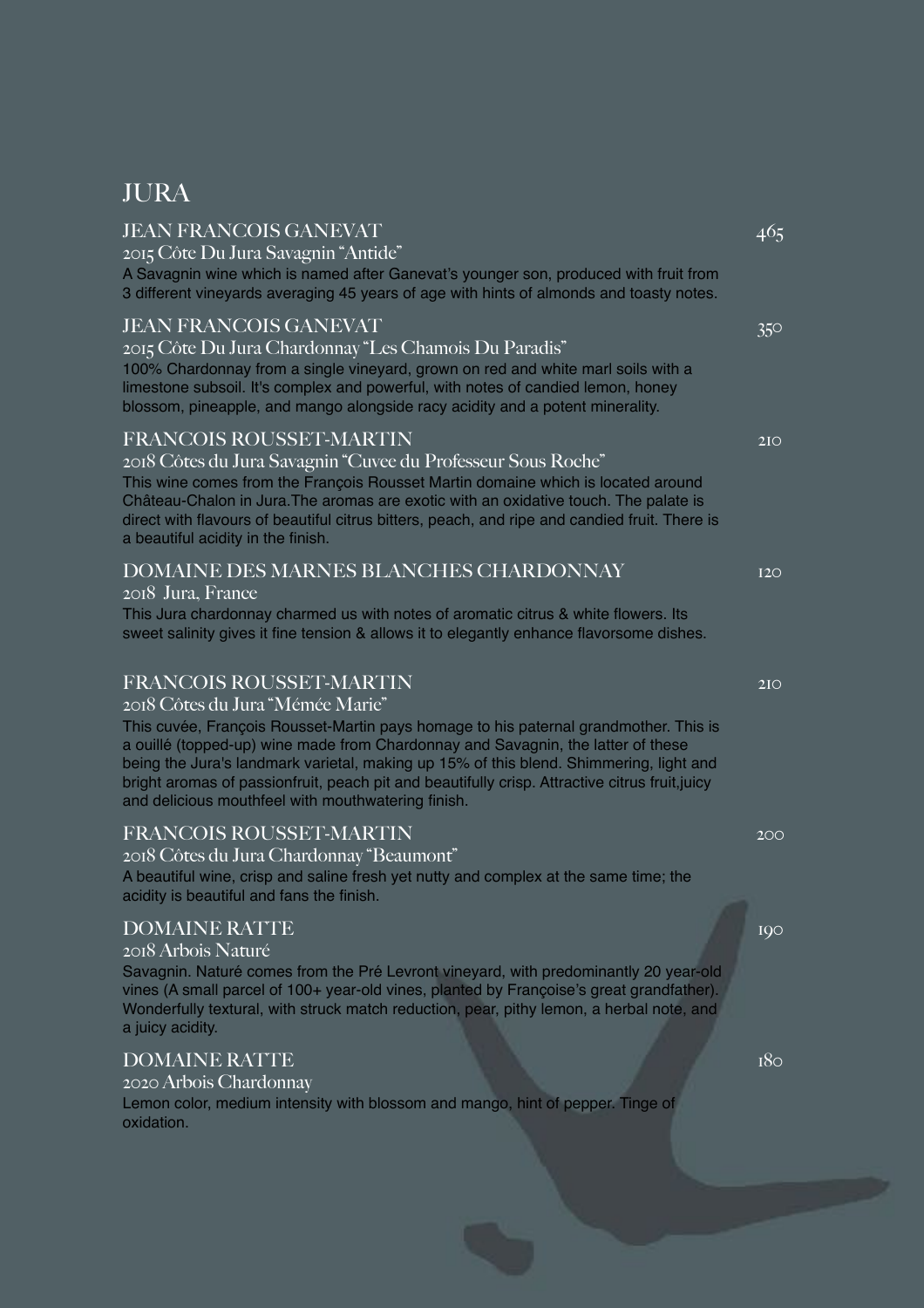# **JURA**

### JEAN FRANCOIS GANEVAT

2015 Côte Du Jura Savagnin "Antide"

A Savagnin wine which is named after Ganevat's younger son, produced with fruit from 3 different vineyards averaging 45 years of age with hints of almonds and toasty notes.

# JEAN FRANCOIS GANEVAT

#### 2015 Côte Du Jura Chardonnay "Les Chamois Du Paradis"

100% Chardonnay from a single vineyard, grown on red and white marl soils with a limestone subsoil. It's complex and powerful, with notes of candied lemon, honey blossom, pineapple, and mango alongside racy acidity and a potent minerality.

# FRANCOIS ROUSSET-MARTIN

2018 Côtes du Jura Savagnin "Cuvee du Professeur Sous Roche"

This wine comes from the François Rousset Martin domaine which is located around Château-Chalon in Jura.The aromas are exotic with an oxidative touch. The palate is direct with flavours of beautiful citrus bitters, peach, and ripe and candied fruit. There is a beautiful acidity in the finish.

## DOMAINE DES MARNES BLANCHES CHARDONNAY

#### 2018 Jura, France

This Jura chardonnay charmed us with notes of aromatic citrus & white flowers. Its sweet salinity gives it fine tension & allows it to elegantly enhance flavorsome dishes.

# FRANCOIS ROUSSET-MARTIN

### 2018 Côtes du Jura "Mémée Marie"

This cuvée, François Rousset-Martin pays homage to his paternal grandmother. This is a ouillé (topped-up) wine made from Chardonnay and Savagnin, the latter of these being the Jura's landmark varietal, making up 15% of this blend. Shimmering, light and bright aromas of passionfruit, peach pit and beautifully crisp. Attractive citrus fruit,juicy and delicious mouthfeel with mouthwatering finish.

### FRANCOIS ROUSSET-MARTIN

#### 2018 Côtes du Jura Chardonnay "Beaumont"

A beautiful wine, crisp and saline fresh yet nutty and complex at the same time; the acidity is beautiful and fans the finish.

### DOMAINE RATTE

#### 2018 Arbois Naturé

Savagnin. Naturé comes from the Pré Levront vineyard, with predominantly 20 year-old vines (A small parcel of 100+ year-old vines, planted by Françoise's great grandfather). Wonderfully textural, with struck match reduction, pear, pithy lemon, a herbal note, and a juicy acidity.

# DOMAINE RATTE

#### 2020 Arbois Chardonnay

Lemon color, medium intensity with blossom and mango, hint of pepper. Tinge of oxidation.

465

350

210

 $120$ 

210

200

190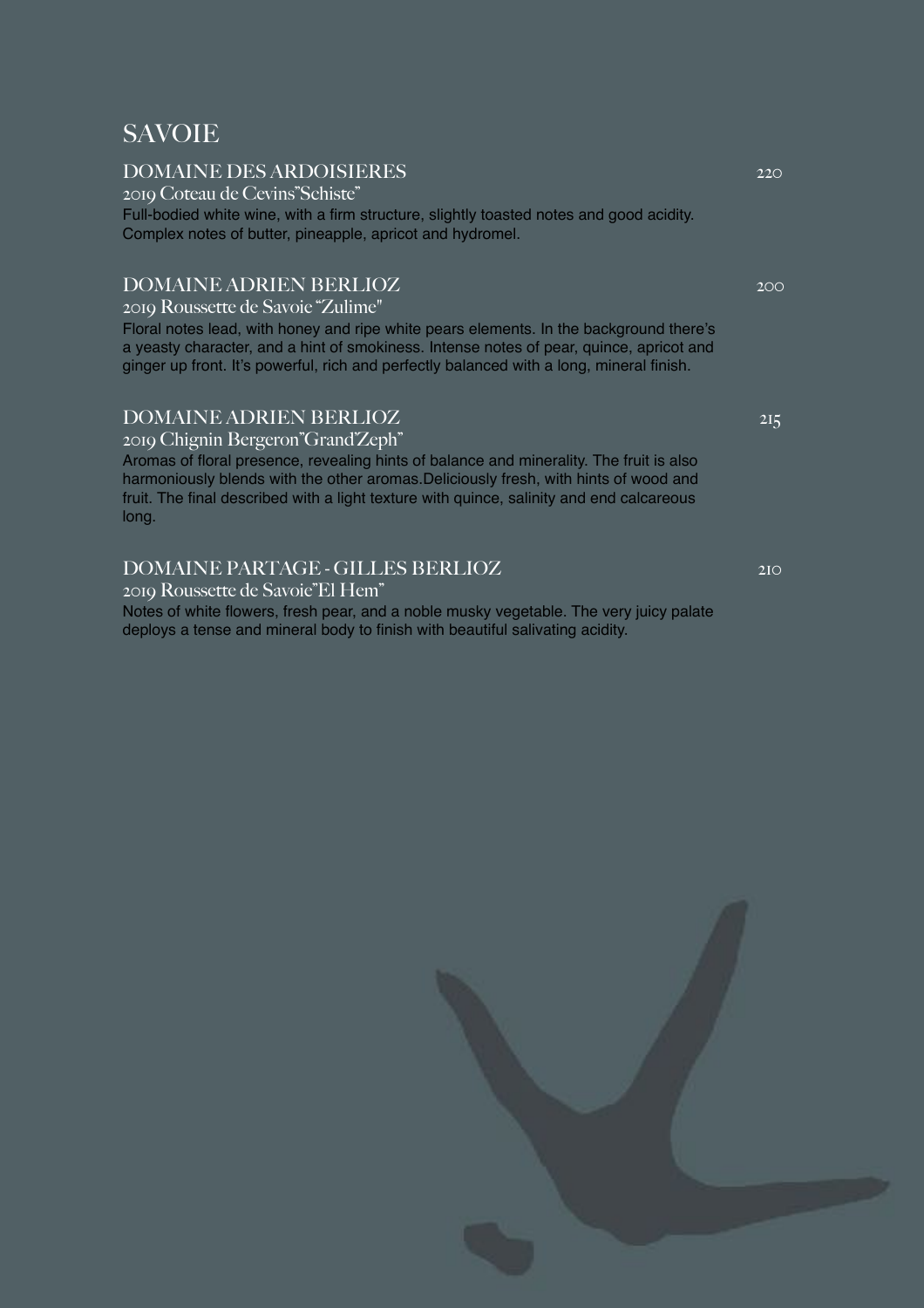# **SAVOIE**

# DOMAINE DES ARDOISIERES

2019 Coteau de Cevins"Schiste"

Full-bodied white wine, with a firm structure, slightly toasted notes and good acidity. Complex notes of butter, pineapple, apricot and hydromel.

#### DOMAINE ADRIEN BERLIOZ

#### 2019 Roussette de Savoie "Zulime"

Floral notes lead, with honey and ripe white pears elements. In the background there's a yeasty character, and a hint of smokiness. Intense notes of pear, quince, apricot and ginger up front. It's powerful, rich and perfectly balanced with a long, mineral finish.

## DOMAINE ADRIEN BERLIOZ

#### 2019 Chignin Bergeron"Grand'Zeph"

Aromas of floral presence, revealing hints of balance and minerality. The fruit is also harmoniously blends with the other aromas.Deliciously fresh, with hints of wood and fruit. The final described with a light texture with quince, salinity and end calcareous long.

#### DOMAINE PARTAGE - GILLES BERLIOZ

#### 2019 Roussette de Savoie"El Hem"

Notes of white flowers, fresh pear, and a noble musky vegetable. The very juicy palate deploys a tense and mineral body to finish with beautiful salivating acidity.

220

200



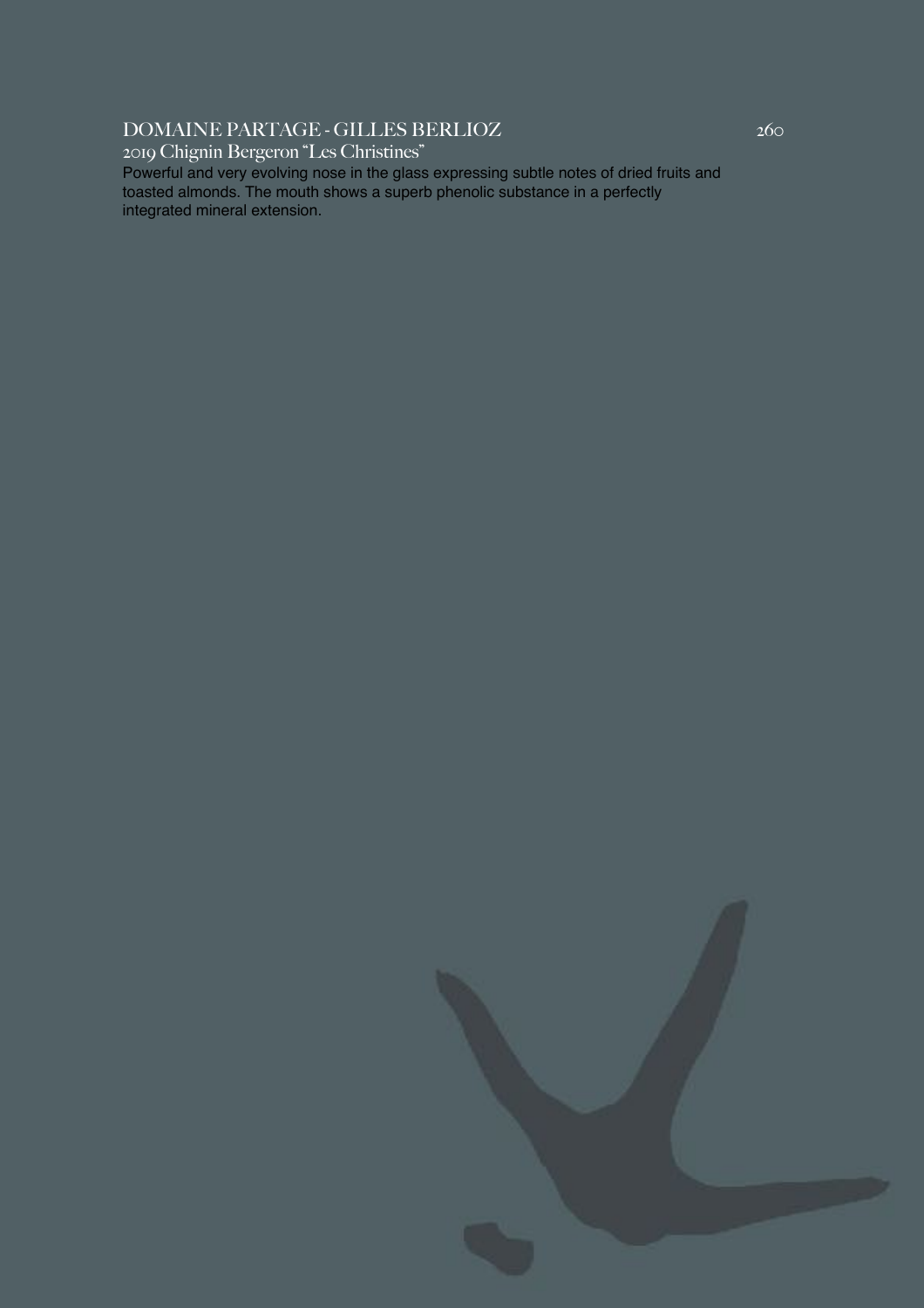# DOMAINE PARTAGE - GILLES BERLIOZ

# 2019 Chignin Bergeron "Les Christines"

Powerful and very evolving nose in the glass expressing subtle notes of dried fruits and toasted almonds. The mouth shows a superb phenolic substance in a perfectly integrated mineral extension.

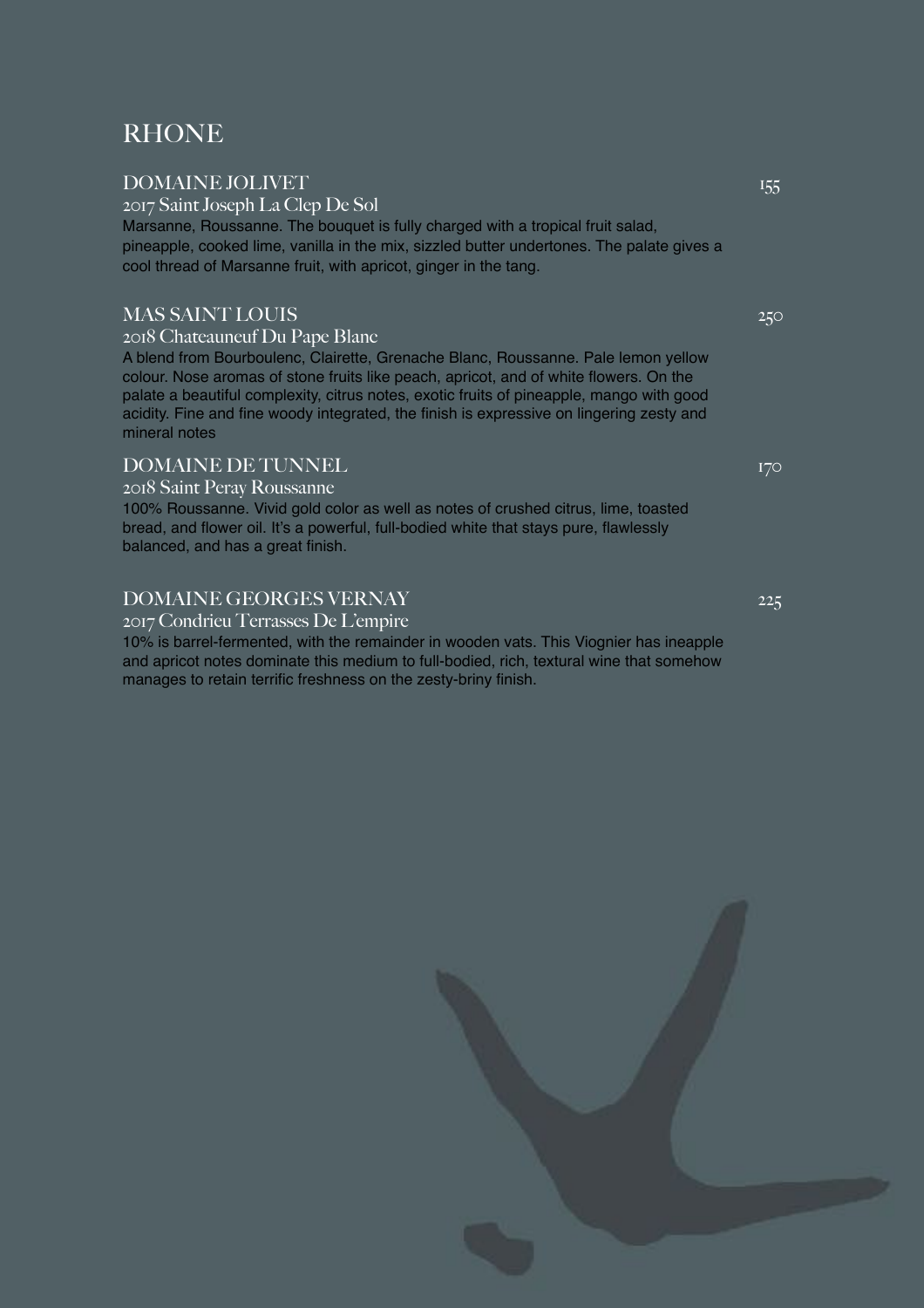# RHONE

# DOMAINE JOLIVET

2017 Saint Joseph La Clep De Sol

Marsanne, Roussanne. The bouquet is fully charged with a tropical fruit salad, pineapple, cooked lime, vanilla in the mix, sizzled butter undertones. The palate gives a cool thread of Marsanne fruit, with apricot, ginger in the tang.

## MAS SAINT LOUIS

#### 2018 Chateauneuf Du Pape Blanc

A blend from Bourboulenc, Clairette, Grenache Blanc, Roussanne. Pale lemon yellow colour. Nose aromas of stone fruits like peach, apricot, and of white flowers. On the palate a beautiful complexity, citrus notes, exotic fruits of pineapple, mango with good acidity. Fine and fine woody integrated, the finish is expressive on lingering zesty and mineral notes

#### DOMAINE DE TUNNEL

## 2018 Saint Peray Roussanne

100% Roussanne. Vivid gold color as well as notes of crushed citrus, lime, toasted bread, and flower oil. It's a powerful, full-bodied white that stays pure, flawlessly balanced, and has a great finish.

# DOMAINE GEORGES VERNAY

#### 2017 Condrieu Terrasses De L'empire

10% is barrel-fermented, with the remainder in wooden vats. This Viognier has ineapple and apricot notes dominate this medium to full-bodied, rich, textural wine that somehow manages to retain terrific freshness on the zesty-briny finish.



155

250

225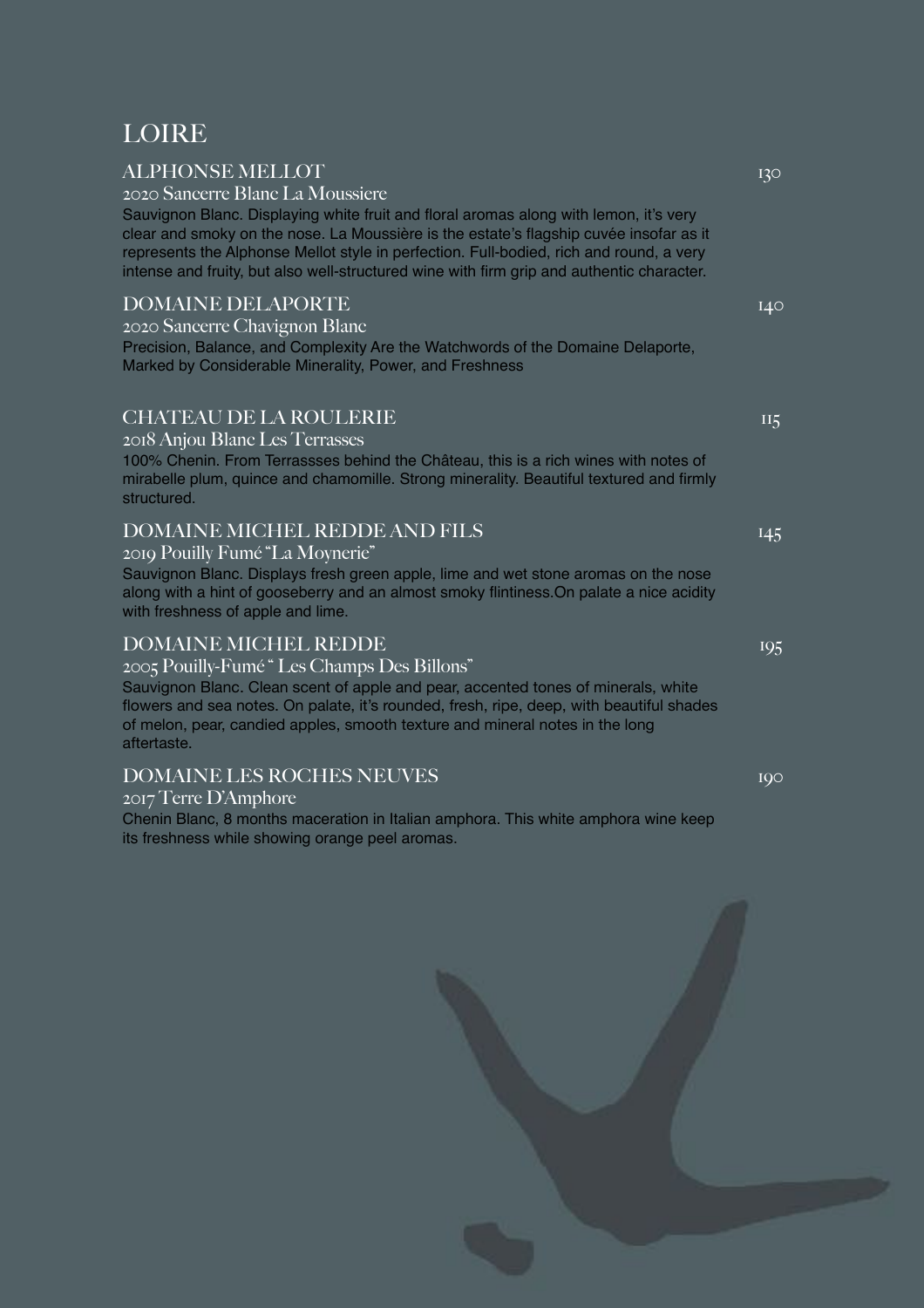# LOIRE

#### ALPHONSE MELLOT 2020 Sancerre Blanc La Moussiere

Sauvignon Blanc. Displaying white fruit and floral aromas along with lemon, it's very clear and smoky on the nose. La Moussière is the estate's flagship cuvée insofar as it represents the Alphonse Mellot style in perfection. Full-bodied, rich and round, a very intense and fruity, but also well-structured wine with firm grip and authentic character.

# DOMAINE DELAPORTE

2020 Sancerre Chavignon Blanc

Precision, Balance, and Complexity Are the Watchwords of the Domaine Delaporte, Marked by Considerable Minerality, Power, and Freshness

# CHATEAU DE LA ROULERIE

#### 2018 Anjou Blanc Les Terrasses

100% Chenin. From Terrassses behind the Château, this is a rich wines with notes of mirabelle plum, quince and chamomille. Strong minerality. Beautiful textured and firmly structured.

### DOMAINE MICHEL REDDE AND FILS

#### 2019 Pouilly Fumé "La Moynerie"

Sauvignon Blanc. Displays fresh green apple, lime and wet stone aromas on the nose along with a hint of gooseberry and an almost smoky flintiness.On palate a nice acidity with freshness of apple and lime.

#### DOMAINE MICHEL REDDE

#### 2005 Pouilly-Fumé " Les Champs Des Billons"

Sauvignon Blanc. Clean scent of apple and pear, accented tones of minerals, white flowers and sea notes. On palate, it's rounded, fresh, ripe, deep, with beautiful shades of melon, pear, candied apples, smooth texture and mineral notes in the long aftertaste.

### DOMAINE LES ROCHES NEUVES

#### 2017 Terre D'Amphore

Chenin Blanc, 8 months maceration in Italian amphora. This white amphora wine keep its freshness while showing orange peel aromas.

130

140

115

145

195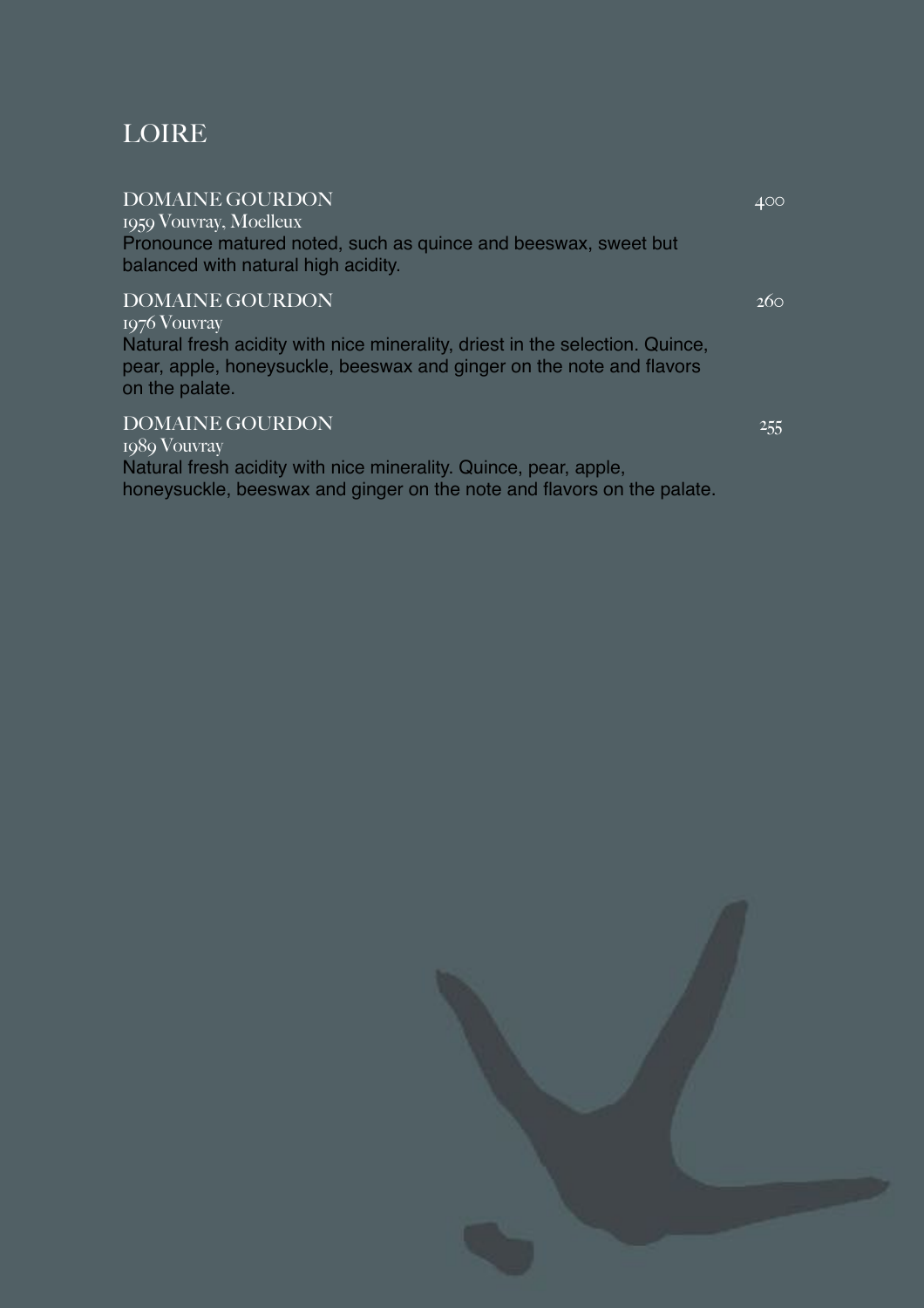# LOIRE

# DOMAINE GOURDON

1959 Vouvray, Moelleux Pronounce matured noted, such as quince and beeswax, sweet but balanced with natural high acidity.

# DOMAINE GOURDON

1976 Vouvray Natural fresh acidity with nice minerality, driest in the selection. Quince, pear, apple, honeysuckle, beeswax and ginger on the note and flavors on the palate.

# DOMAINE GOURDON

1989 Vouvray Natural fresh acidity with nice minerality. Quince, pear, apple, honeysuckle, beeswax and ginger on the note and flavors on the palate.



260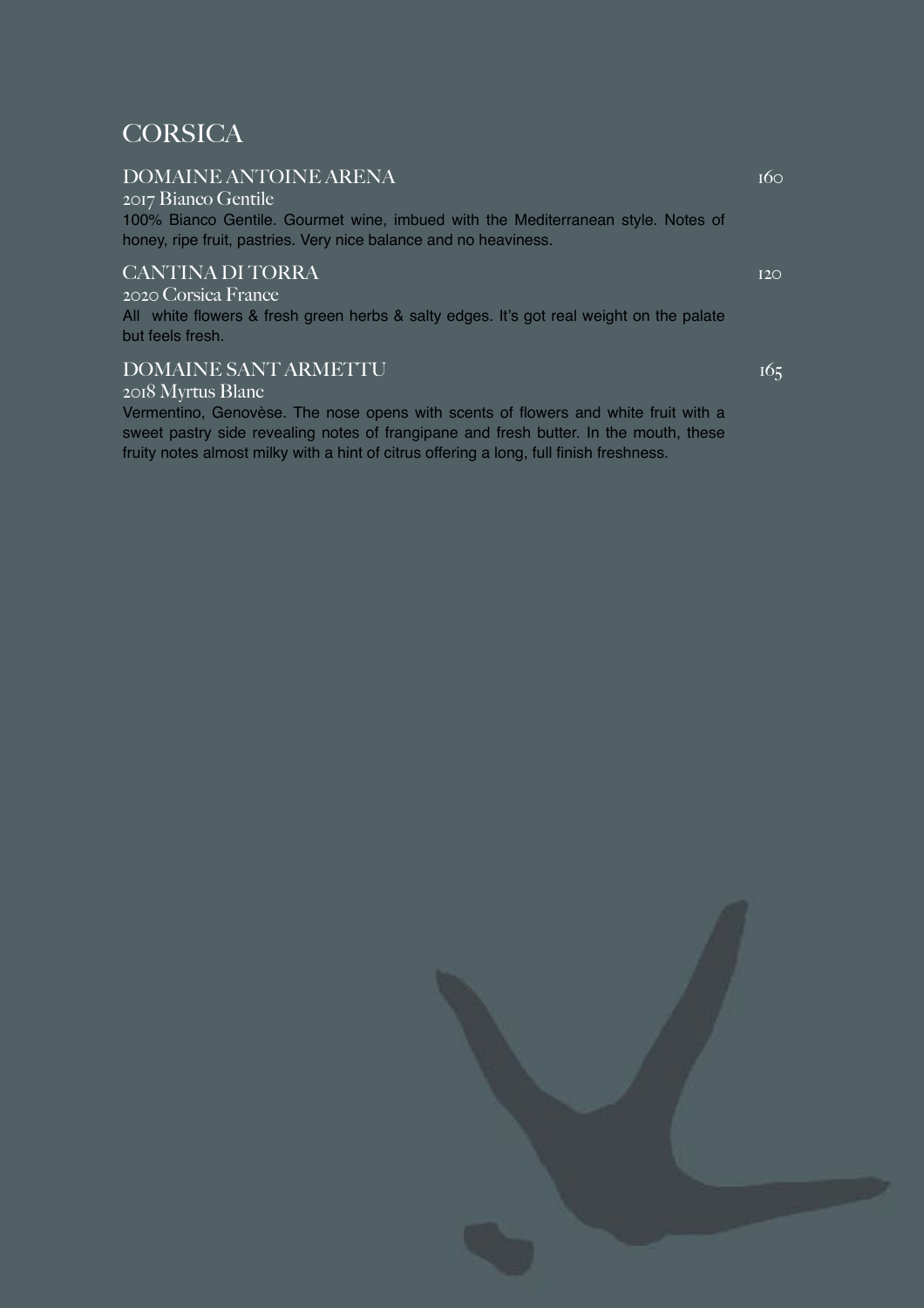# **CORSICA**

## DOMAINE ANTOINE ARENA

#### 2017 Bianco Gentile

100% Bianco Gentile. Gourmet wine, imbued with the Mediterranean style. Notes of honey, ripe fruit, pastries. Very nice balance and no heaviness.

## CANTINA DI TORRA

2020 Corsica France All white flowers & fresh green herbs & salty edges. It's got real weight on the palate but feels fresh.

# DOMAINE SANT ARMETTU

#### 2018 Myrtus Blanc

Vermentino, Genovèse. The nose opens with scents of flowers and white fruit with a sweet pastry side revealing notes of frangipane and fresh butter. In the mouth, these fruity notes almost milky with a hint of citrus offering a long, full finish freshness.



160

120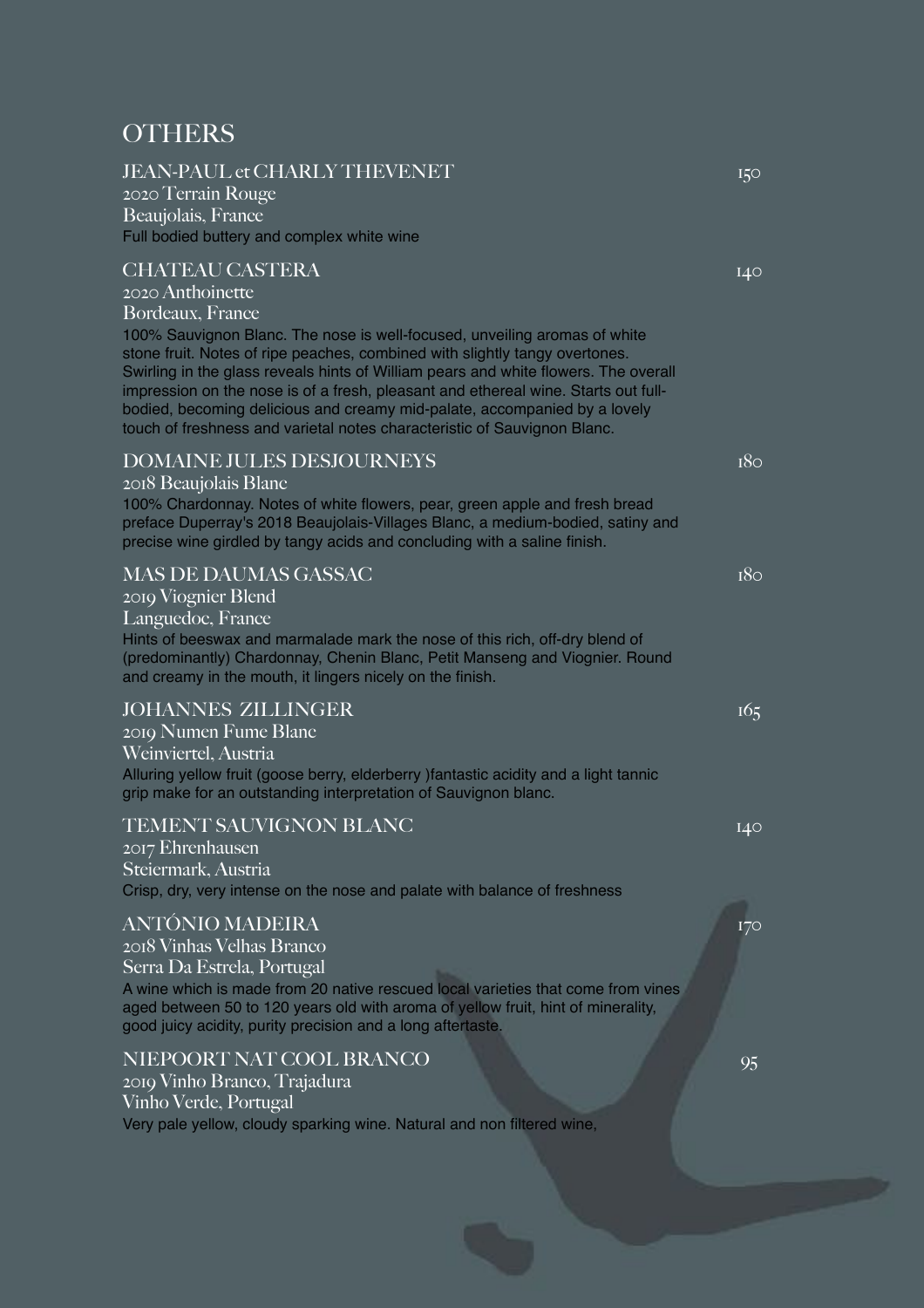# **OTHERS**

### JEAN-PAUL et CHARLY THEVENET

2020 Terrain Rouge Beaujolais, France Full bodied buttery and complex white wine

### CHATEAU CASTERA

#### 2020 Anthoinette

#### Bordeaux, France

100% Sauvignon Blanc. The nose is well-focused, unveiling aromas of white stone fruit. Notes of ripe peaches, combined with slightly tangy overtones. Swirling in the glass reveals hints of William pears and white flowers. The overall impression on the nose is of a fresh, pleasant and ethereal wine. Starts out fullbodied, becoming delicious and creamy mid-palate, accompanied by a lovely touch of freshness and varietal notes characteristic of Sauvignon Blanc.

### DOMAINE JULES DESJOURNEYS

#### 2018 Beaujolais Blanc

100% Chardonnay. Notes of white flowers, pear, green apple and fresh bread preface Duperray's 2018 Beaujolais-Villages Blanc, a medium-bodied, satiny and precise wine girdled by tangy acids and concluding with a saline finish.

#### MAS DE DAUMAS GASSAC

#### 2019 Viognier Blend

#### Languedoc, France

Hints of beeswax and marmalade mark the nose of this rich, off-dry blend of (predominantly) Chardonnay, Chenin Blanc, Petit Manseng and Viognier. Round and creamy in the mouth, it lingers nicely on the finish.

# JOHANNES ZILLINGER 2019 Numen Fume Blanc

# Weinviertel, Austria

Alluring yellow fruit (goose berry, elderberry )fantastic acidity and a light tannic grip make for an outstanding interpretation of Sauvignon blanc.

## TEMENT SAUVIGNON BLANC

2017 Ehrenhausen Steiermark, Austria

Crisp, dry, very intense on the nose and palate with balance of freshness

# ANTÓNIO MADEIRA

#### 2018 Vinhas Velhas Branco Serra Da Estrela, Portugal

A wine which is made from 20 native rescued local varieties that come from vines aged between 50 to 120 years old with aroma of yellow fruit, hint of minerality, good juicy acidity, purity precision and a long aftertaste.

### NIEPOORT NAT COOL BRANCO

#### 2019 Vinho Branco, Trajadura Vinho Verde, Portugal

Very pale yellow, cloudy sparking wine. Natural and non filtered wine,

180

180

150

140

165

170

140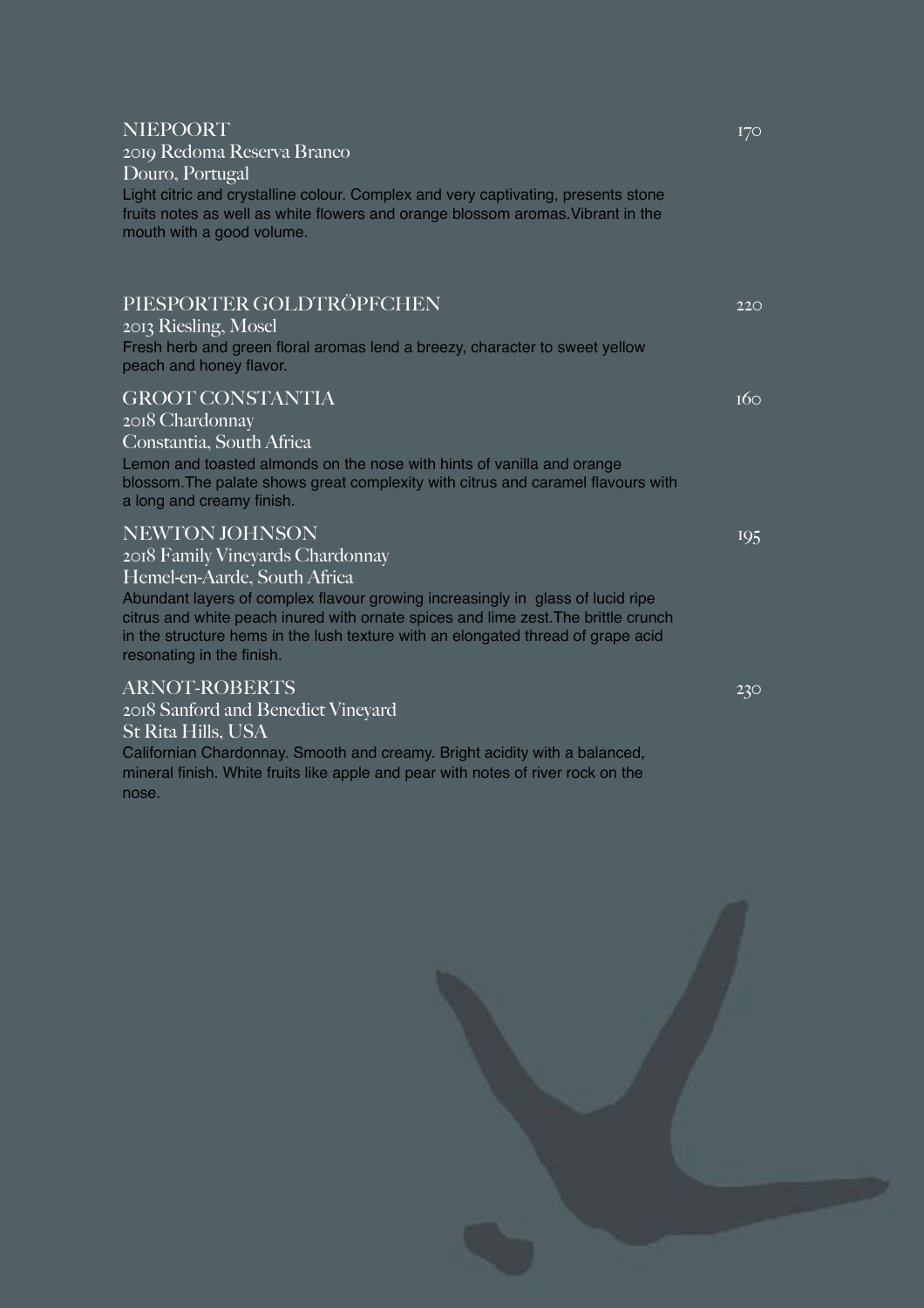| Douro, Portugal<br>Light citric and crystalline colour. Complex and very captivating, presents stone<br>fruits notes as well as white flowers and orange blossom aromas. Vibrant in the<br>mouth with a good volume.                                                                                                                                                        |     |
|-----------------------------------------------------------------------------------------------------------------------------------------------------------------------------------------------------------------------------------------------------------------------------------------------------------------------------------------------------------------------------|-----|
| PIESPORTER GOLDTRÖPFCHEN<br>2013 Riesling, Mosel<br>Fresh herb and green floral aromas lend a breezy, character to sweet yellow<br>peach and honey flavor.                                                                                                                                                                                                                  | 220 |
| <b>GROOT CONSTANTIA</b><br>2018 Chardonnay<br>Constantia, South Africa<br>Lemon and toasted almonds on the nose with hints of vanilla and orange<br>blossom. The palate shows great complexity with citrus and caramel flavours with<br>a long and creamy finish.                                                                                                           | 160 |
| NEWTON JOHNSON<br>2018 Family Vineyards Chardonnay<br>Hemel-en-Aarde, South Africa<br>Abundant layers of complex flavour growing increasingly in glass of lucid ripe<br>citrus and white peach inured with ornate spices and lime zest. The brittle crunch<br>in the structure hems in the lush texture with an elongated thread of grape acid<br>resonating in the finish. | 195 |
| <b>ARNOT-ROBERTS</b><br>2018 Sanford and Benedict Vineyard<br>St Rita Hills, USA<br>Californian Chardonnay. Smooth and creamy. Bright acidity with a balanced,                                                                                                                                                                                                              | 230 |

NIEPOORT

2019 Redoma Reserva Branco

mineral finish. White fruits like apple and pear with notes of river rock on the nose.

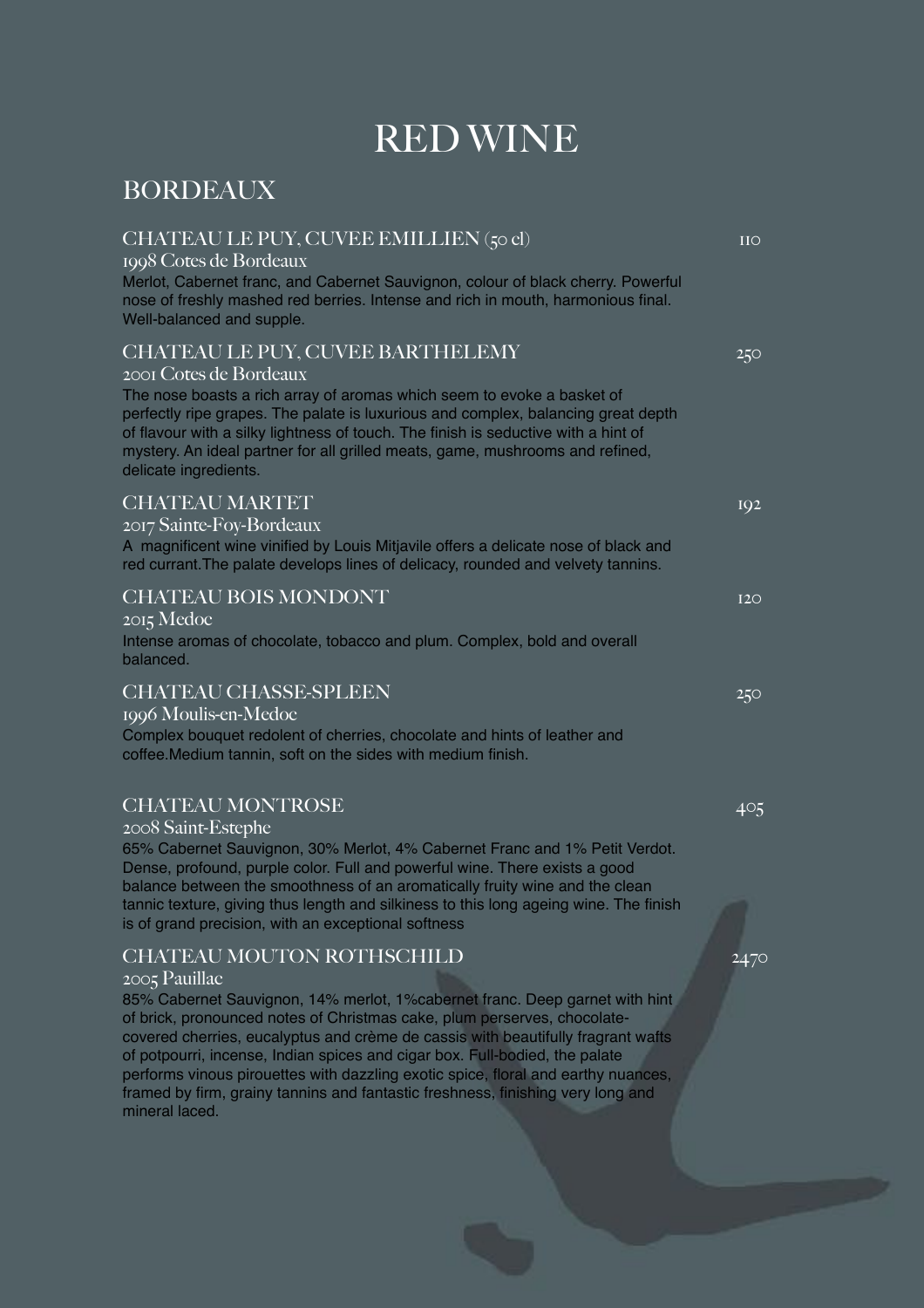# RED WINE

#### CHATEAU LE PUY, CUVEE EMILLIEN (50 cl) 1998 Cotes de Bordeaux Merlot, Cabernet franc, and Cabernet Sauvignon, colour of black cherry. Powerful nose of freshly mashed red berries. Intense and rich in mouth, harmonious final. Well-balanced and supple. 110 CHATEAU LE PUY, CUVEE BARTHELEMY 2001 Cotes de Bordeaux The nose boasts a rich array of aromas which seem to evoke a basket of perfectly ripe grapes. The palate is luxurious and complex, balancing great depth of flavour with a silky lightness of touch. The finish is seductive with a hint of mystery. An ideal partner for all grilled meats, game, mushrooms and refined, delicate ingredients. 250 CHATEAU MARTET 2017 Sainte-Foy-Bordeaux A magnificent wine vinified by Louis Mitjavile offers a delicate nose of black and red currant.The palate develops lines of delicacy, rounded and velvety tannins. 192 CHATEAU BOIS MONDONT 2015 Medoc Intense aromas of chocolate, tobacco and plum. Complex, bold and overall balanced. 120 CHATEAU CHASSE-SPLEEN 1996 Moulis-en-Medoc Complex bouquet redolent of cherries, chocolate and hints of leather and coffee.Medium tannin, soft on the sides with medium finish. 250 CHATEAU MONTROSE 405

2008 Saint-Estephe

BORDEAUX

65% Cabernet Sauvignon, 30% Merlot, 4% Cabernet Franc and 1% Petit Verdot. Dense, profound, purple color. Full and powerful wine. There exists a good balance between the smoothness of an aromatically fruity wine and the clean tannic texture, giving thus length and silkiness to this long ageing wine. The finish is of grand precision, with an exceptional softness

# CHATEAU MOUTON ROTHSCHILD

#### 2005 Pauillac

85% Cabernet Sauvignon, 14% merlot, 1%cabernet franc. Deep garnet with hint of brick, pronounced notes of Christmas cake, plum perserves, chocolatecovered cherries, eucalyptus and crème de cassis with beautifully fragrant wafts of potpourri, incense, Indian spices and cigar box. Full-bodied, the palate performs vinous pirouettes with dazzling exotic spice, floral and earthy nuances, framed by firm, grainy tannins and fantastic freshness, finishing very long and mineral laced.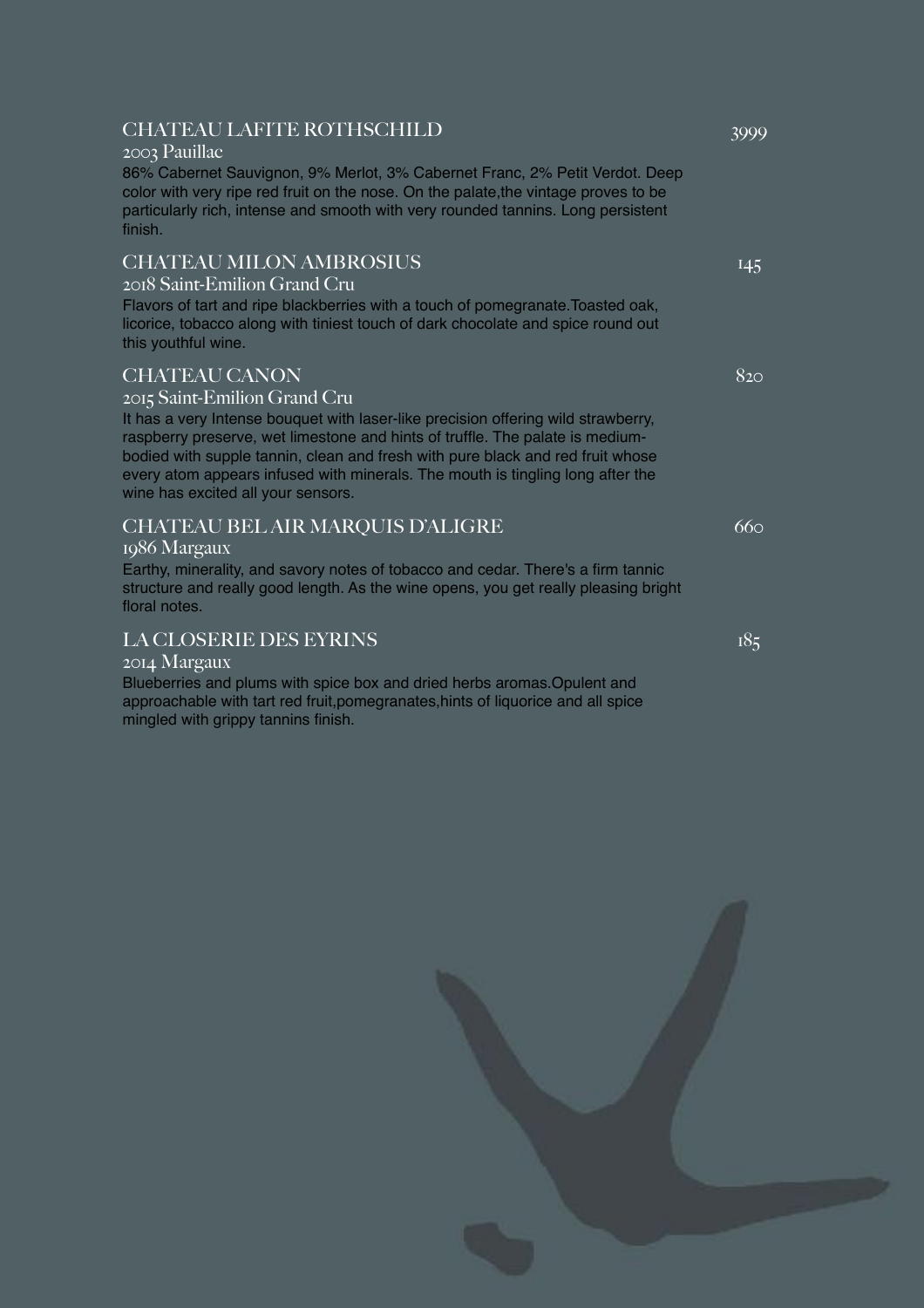#### CHATEAU LAFITE ROTHSCHILD

#### 2003 Pauillac

86% Cabernet Sauvignon, 9% Merlot, 3% Cabernet Franc, 2% Petit Verdot. Deep color with very ripe red fruit on the nose. On the palate,the vintage proves to be particularly rich, intense and smooth with very rounded tannins. Long persistent finish.

### CHATEAU MILON AMBROSIUS

#### 2018 Saint-Emilion Grand Cru

Flavors of tart and ripe blackberries with a touch of pomegranate.Toasted oak, licorice, tobacco along with tiniest touch of dark chocolate and spice round out this youthful wine.

#### CHATEAU CANON

#### 2015 Saint-Emilion Grand Cru

It has a very Intense bouquet with laser-like precision offering wild strawberry, raspberry preserve, wet limestone and hints of truffle. The palate is mediumbodied with supple tannin, clean and fresh with pure black and red fruit whose every atom appears infused with minerals. The mouth is tingling long after the wine has excited all your sensors.

#### CHATEAU BEL AIR MARQUIS D'ALIGRE

#### 1986 Margaux

Earthy, minerality, and savory notes of tobacco and cedar. There's a firm tannic structure and really good length. As the wine opens, you get really pleasing bright floral notes.

## LA CLOSERIE DES EYRINS

#### 2014 Margaux

Blueberries and plums with spice box and dried herbs aromas.Opulent and approachable with tart red fruit,pomegranates,hints of liquorice and all spice mingled with grippy tannins finish.

3999

145

 $820$ 

660

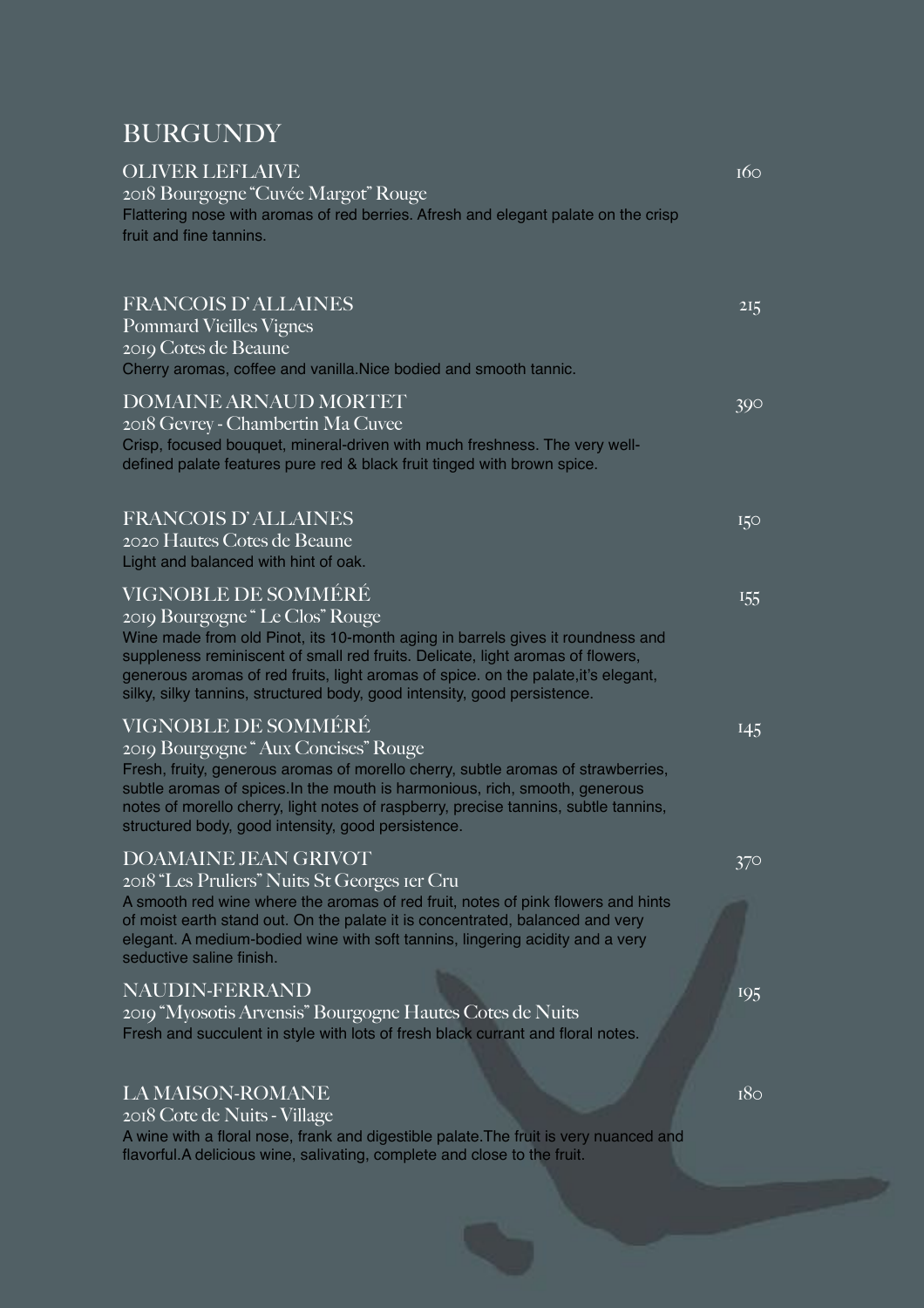# BURGUNDY

| <b>OLIVER LEFLAIVE</b><br>2018 Bourgogne "Cuvée Margot" Rouge<br>Flattering nose with aromas of red berries. Afresh and elegant palate on the crisp<br>fruit and fine tannins.                                                                                                                                                                                                                     | 160             |
|----------------------------------------------------------------------------------------------------------------------------------------------------------------------------------------------------------------------------------------------------------------------------------------------------------------------------------------------------------------------------------------------------|-----------------|
| <b>FRANCOIS D'ALLAINES</b><br>Pommard Vieilles Vignes<br>2019 Cotes de Beaune<br>Cherry aromas, coffee and vanilla. Nice bodied and smooth tannic.                                                                                                                                                                                                                                                 | 215             |
| DOMAINE ARNAUD MORTET<br>2018 Gevrey - Chambertin Ma Cuvee<br>Crisp, focused bouquet, mineral-driven with much freshness. The very well-<br>defined palate features pure red & black fruit tinged with brown spice.                                                                                                                                                                                | 390             |
| <b>FRANCOIS D'ALLAINES</b><br>2020 Hautes Cotes de Beaune<br>Light and balanced with hint of oak.                                                                                                                                                                                                                                                                                                  | 150             |
| <u>VIGNOBLE DE SOMMÉRÉ</u><br>2019 Bourgogne " Le Clos" Rouge<br>Wine made from old Pinot, its 10-month aging in barrels gives it roundness and<br>suppleness reminiscent of small red fruits. Delicate, light aromas of flowers,<br>generous aromas of red fruits, light aromas of spice. on the palate,it's elegant,<br>silky, silky tannins, structured body, good intensity, good persistence. | 155             |
| <u>VIGNOBLE DE SOMMÉRÉ</u><br>2019 Bourgogne " Aux Concises" Rouge<br>Fresh, fruity, generous aromas of morello cherry, subtle aromas of strawberries,<br>subtle aromas of spices. In the mouth is harmonious, rich, smooth, generous<br>notes of morello cherry, light notes of raspberry, precise tannins, subtle tannins,<br>structured body, good intensity, good persistence.                 | 145             |
| DOAMAINE JEAN GRIVOT<br>2018 "Les Pruliers" Nuits St Georges 1er Cru<br>A smooth red wine where the aromas of red fruit, notes of pink flowers and hints<br>of moist earth stand out. On the palate it is concentrated, balanced and very<br>elegant. A medium-bodied wine with soft tannins, lingering acidity and a very<br>seductive saline finish.                                             | $37^\circ$      |
| <b>NAUDIN-FERRAND</b><br>2019 "Myosotis Arvensis" Bourgogne Hautes Cotes de Nuits<br>Fresh and succulent in style with lots of fresh black currant and floral notes.                                                                                                                                                                                                                               | 195             |
| LA MAISON-ROMANE<br>2018 Cote de Nuits - Village                                                                                                                                                                                                                                                                                                                                                   | 18 <sub>O</sub> |

A wine with a floral nose, frank and digestible palate.The fruit is very nuanced and flavorful.A delicious wine, salivating, complete and close to the fruit.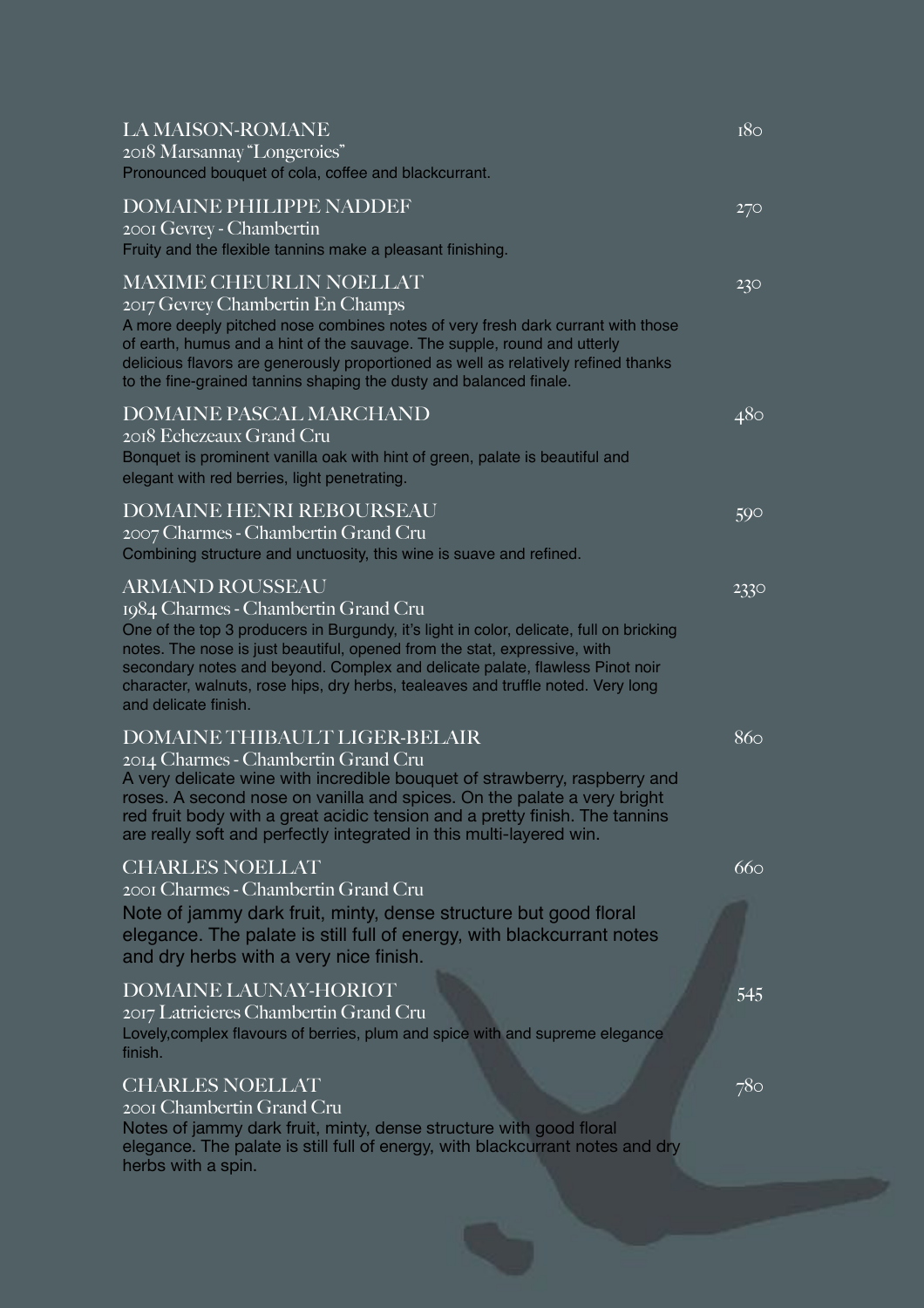| <b>LA MAISON-ROMANE</b><br>2018 Marsannay "Longeroies"<br>Pronounced bouquet of cola, coffee and blackcurrant.                                                                                                                                                                                                                                                                                                             | 18 <sub>O</sub> |
|----------------------------------------------------------------------------------------------------------------------------------------------------------------------------------------------------------------------------------------------------------------------------------------------------------------------------------------------------------------------------------------------------------------------------|-----------------|
| DOMAINE PHILIPPE NADDEF<br>2001 Gevrey - Chambertin<br>Fruity and the flexible tannins make a pleasant finishing.                                                                                                                                                                                                                                                                                                          | 270             |
| MAXIME CHEURLIN NOELLAT<br>2017 Gevrey Chambertin En Champs<br>A more deeply pitched nose combines notes of very fresh dark currant with those<br>of earth, humus and a hint of the sauvage. The supple, round and utterly<br>delicious flavors are generously proportioned as well as relatively refined thanks<br>to the fine-grained tannins shaping the dusty and balanced finale.                                     | 230             |
| <b>DOMAINE PASCAL MARCHAND</b><br>2018 Echezeaux Grand Cru<br>Bonquet is prominent vanilla oak with hint of green, palate is beautiful and<br>elegant with red berries, light penetrating.                                                                                                                                                                                                                                 | 48 <sub>0</sub> |
| DOMAINE HENRI REBOURSEAU<br>2007 Charmes - Chambertin Grand Cru<br>Combining structure and unctuosity, this wine is suave and refined.                                                                                                                                                                                                                                                                                     | 590             |
| ARMAND ROUSSEAU<br>1984 Charmes - Chambertin Grand Cru<br>One of the top 3 producers in Burgundy, it's light in color, delicate, full on bricking<br>notes. The nose is just beautiful, opened from the stat, expressive, with<br>secondary notes and beyond. Complex and delicate palate, flawless Pinot noir<br>character, walnuts, rose hips, dry herbs, tealeaves and truffle noted. Very long<br>and delicate finish. | 2330            |
| DOMAINE THIBAULT LIGER-BELAIR<br>2014 Charmes - Chambertin Grand Cru<br>A very delicate wine with incredible bouquet of strawberry, raspberry and<br>roses. A second nose on vanilla and spices. On the palate a very bright<br>red fruit body with a great acidic tension and a pretty finish. The tannins<br>are really soft and perfectly integrated in this multi-layered win.                                         | 860             |
| <b>CHARLES NOELLAT</b><br>2001 Charmes - Chambertin Grand Cru<br>Note of jammy dark fruit, minty, dense structure but good floral<br>elegance. The palate is still full of energy, with blackcurrant notes<br>and dry herbs with a very nice finish.                                                                                                                                                                       | 660             |
| <b>DOMAINE LAUNAY-HORIOT</b><br>2017 Latricieres Chambertin Grand Cru<br>Lovely, complex flavours of berries, plum and spice with and supreme elegance<br>finish.                                                                                                                                                                                                                                                          | 545             |
| CHARLES NOELLAT<br>2001 Chambertin Grand Cru<br>Notes of jammy dark fruit, minty, dense structure with good floral<br>elegance. The palate is still full of energy, with blackcurrant notes and dry<br>herbs with a spin.                                                                                                                                                                                                  | 780             |
|                                                                                                                                                                                                                                                                                                                                                                                                                            |                 |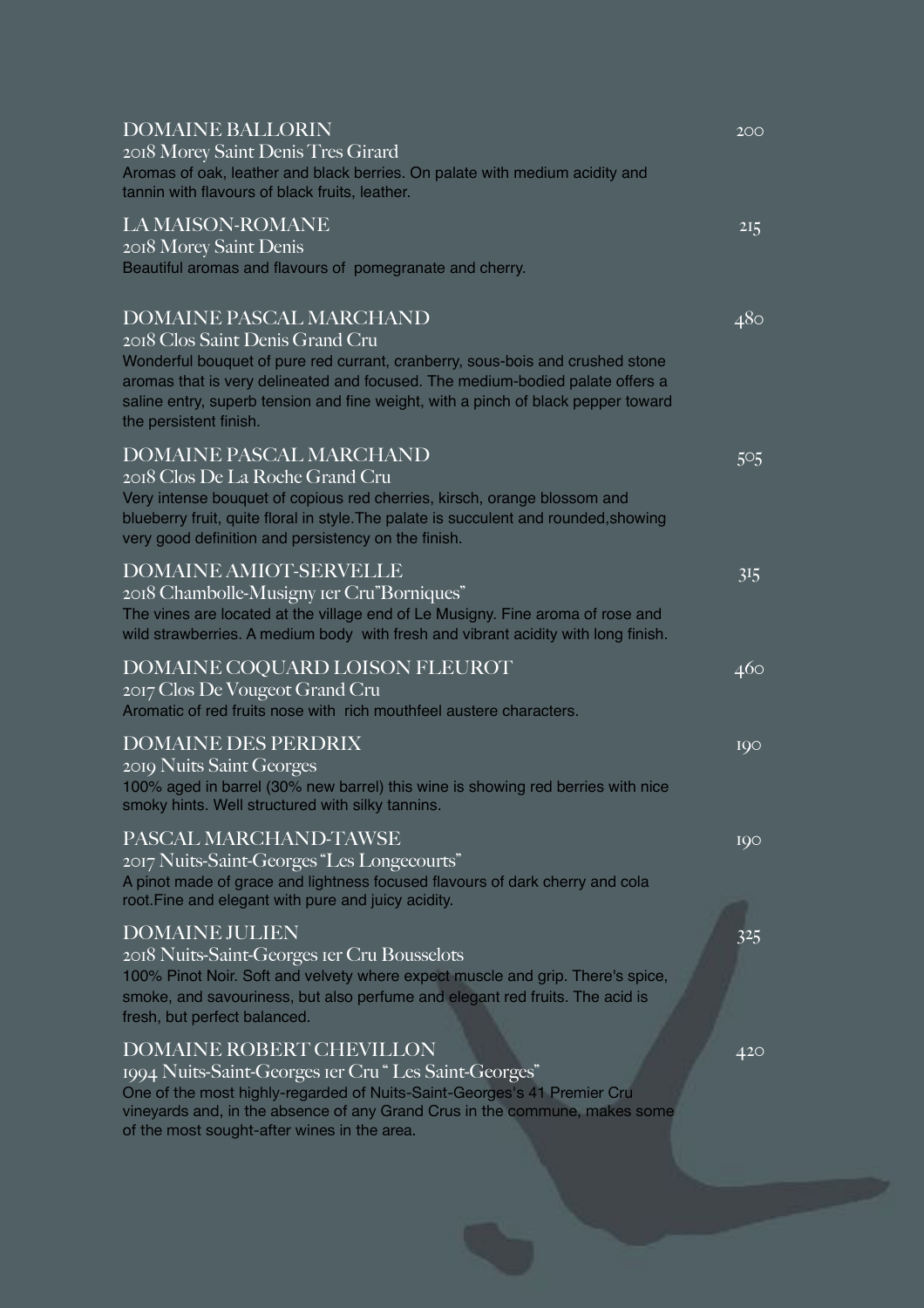| <b>DOMAINE BALLORIN</b><br>2018 Morey Saint Denis Tres Girard<br>Aromas of oak, leather and black berries. On palate with medium acidity and<br>tannin with flavours of black fruits, leather.                                                                                                                                                     | 200              |
|----------------------------------------------------------------------------------------------------------------------------------------------------------------------------------------------------------------------------------------------------------------------------------------------------------------------------------------------------|------------------|
| <b>LA MAISON-ROMANE</b><br>2018 Morey Saint Denis<br>Beautiful aromas and flavours of pomegranate and cherry.                                                                                                                                                                                                                                      | 215              |
| <b>DOMAINE PASCAL MARCHAND</b><br>2018 Clos Saint Denis Grand Cru<br>Wonderful bouquet of pure red currant, cranberry, sous-bois and crushed stone<br>aromas that is very delineated and focused. The medium-bodied palate offers a<br>saline entry, superb tension and fine weight, with a pinch of black pepper toward<br>the persistent finish. | 480              |
| <b>DOMAINE PASCAL MARCHAND</b><br>2018 Clos De La Roche Grand Cru<br>Very intense bouquet of copious red cherries, kirsch, orange blossom and<br>blueberry fruit, quite floral in style. The palate is succulent and rounded, showing<br>very good definition and persistency on the finish.                                                       | 5 <sup>°</sup> 5 |
| <b>DOMAINE AMIOT-SERVELLE</b><br>2018 Chambolle-Musigny rer Cru"Borniques"<br>The vines are located at the village end of Le Musigny. Fine aroma of rose and<br>wild strawberries. A medium body with fresh and vibrant acidity with long finish.                                                                                                  | 3 <sub>15</sub>  |
| DOMAINE COQUARD LOISON FLEUROT<br>2017 Clos De Vougeot Grand Cru<br>Aromatic of red fruits nose with rich mouthfeel austere characters.                                                                                                                                                                                                            | 460              |
| <b>DOMAINE DES PERDRIX</b><br>2019 Nuits Saint Georges<br>100% aged in barrel (30% new barrel) this wine is showing red berries with nice<br>smoky hints. Well structured with silky tannins.                                                                                                                                                      | 190              |
| PASCAL MARCHAND-TAWSE<br>2017 Nuits-Saint-Georges "Les Longecourts"<br>A pinot made of grace and lightness focused flavours of dark cherry and cola<br>root. Fine and elegant with pure and juicy acidity.                                                                                                                                         | 100              |
| <b>DOMAINE JULIEN</b><br>2018 Nuits-Saint-Georges Ier Cru Bousselots<br>100% Pinot Noir. Soft and velvety where expect muscle and grip. There's spice,<br>smoke, and savouriness, but also perfume and elegant red fruits. The acid is<br>fresh, but perfect balanced.                                                                             | 325              |
| <b>DOMAINE ROBERT CHEVILLON</b><br>1994 Nuits-Saint-Georges Ier Cru "Les Saint-Georges"<br>One of the most highly-regarded of Nuits-Saint-Georges's 41 Premier Cru<br>vineyards and, in the absence of any Grand Crus in the commune, makes some<br>of the most sought-after wines in the area.                                                    | 420              |
|                                                                                                                                                                                                                                                                                                                                                    |                  |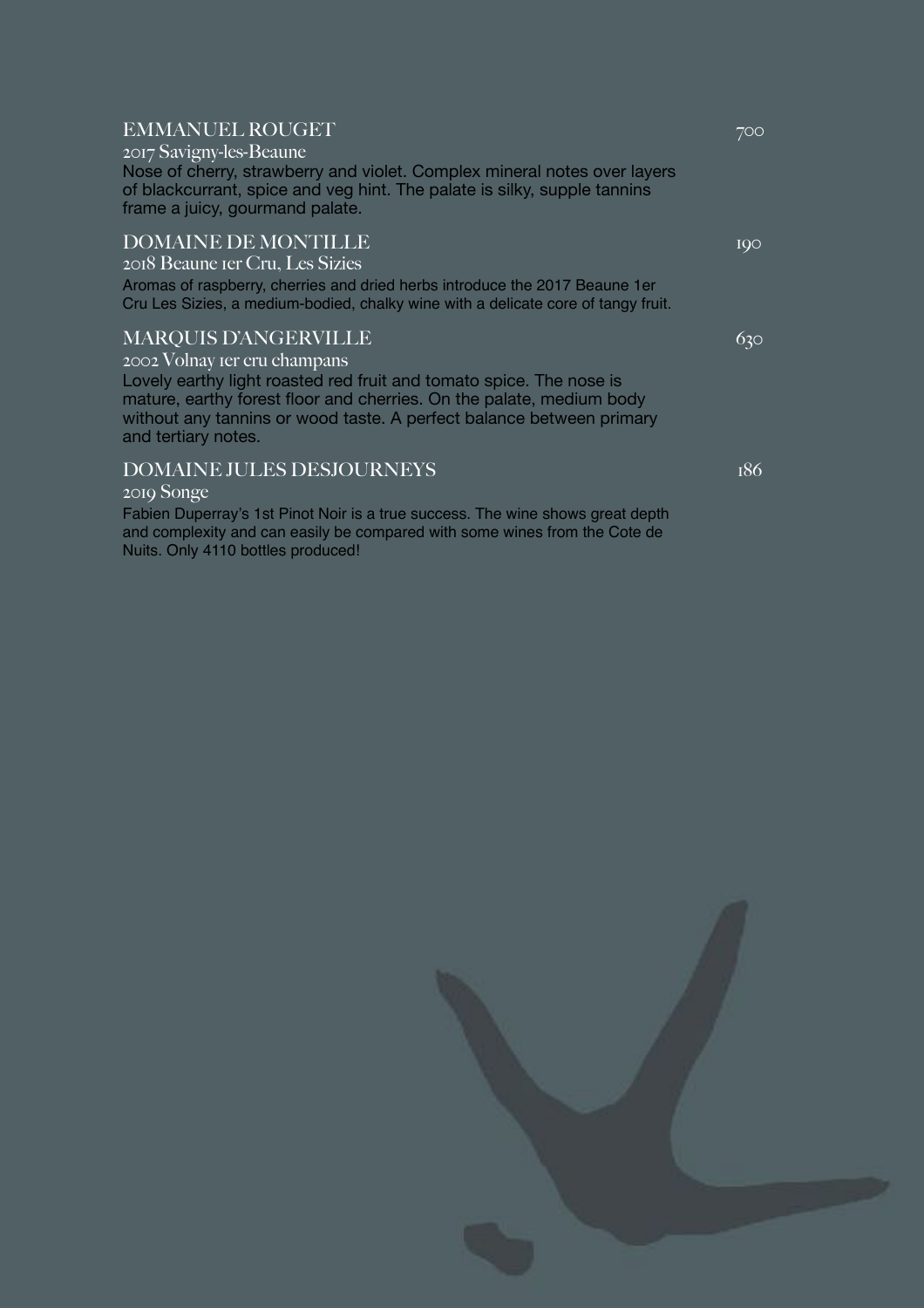## EMMANUEL ROUGET

2017 Savigny-les-Beaune Nose of cherry, strawberry and violet. Complex mineral notes over layers of blackcurrant, spice and veg hint. The palate is silky, supple tannins frame a juicy, gourmand palate.

## DOMAINE DE MONTILLE

2018 Beaune 1er Cru, Les Sizies Aromas of raspberry, cherries and dried herbs introduce the 2017 Beaune 1er Cru Les Sizies, a medium-bodied, chalky wine with a delicate core of tangy fruit.

#### MARQUIS D'ANGERVILLE

2002 Volnay 1er cru champans

Lovely earthy light roasted red fruit and tomato spice. The nose is mature, earthy forest floor and cherries. On the palate, medium body without any tannins or wood taste. A perfect balance between primary and tertiary notes.

#### DOMAINE JULES DESJOURNEYS

#### 2019 Songe

Fabien Duperray's 1st Pinot Noir is a true success. The wine shows great depth and complexity and can easily be compared with some wines from the Cote de Nuits. Only 4110 bottles produced!

700

190

630

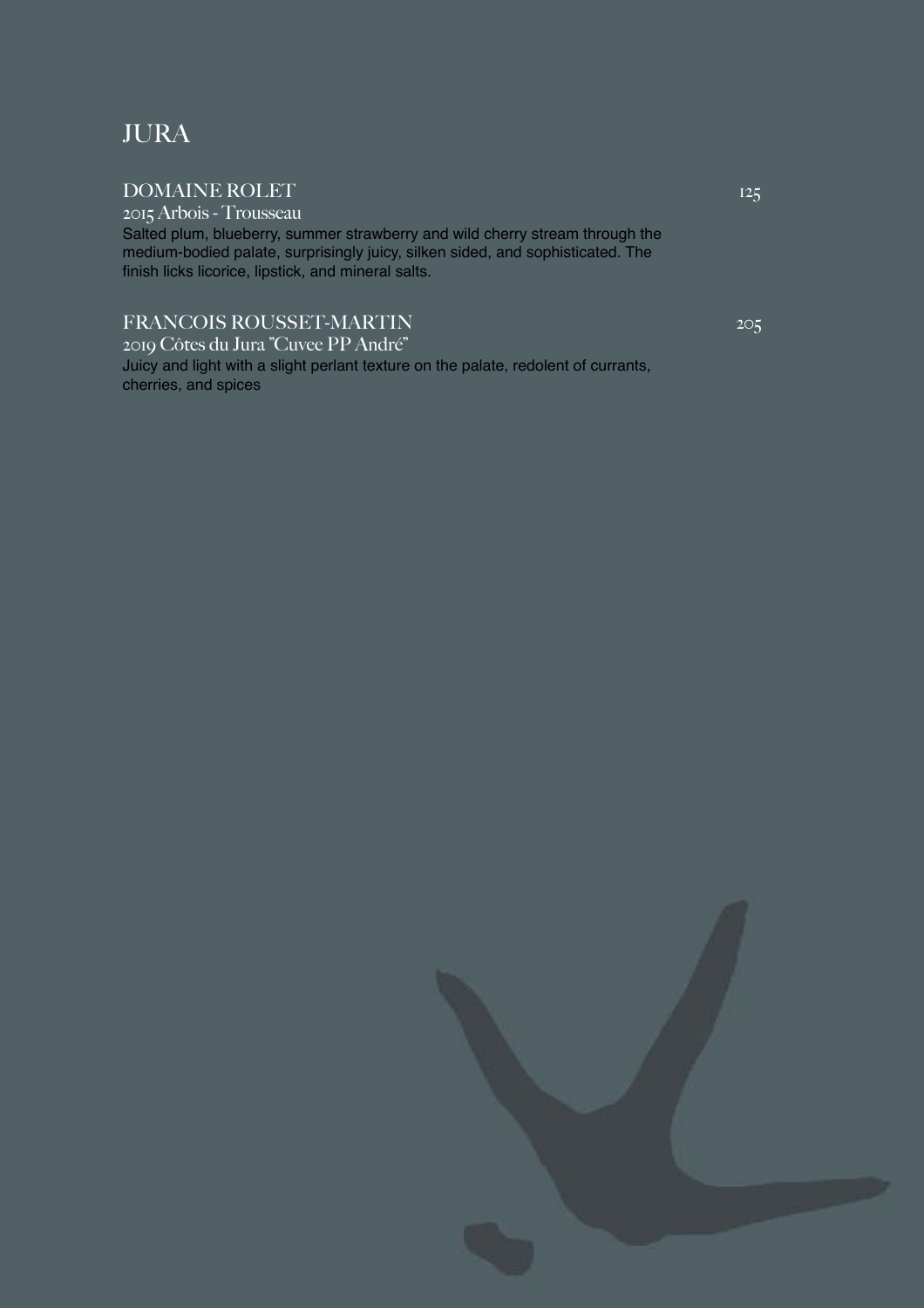# JURA

# DOMAINE ROLET

2015 Arbois - Trousseau

Salted plum, blueberry, summer strawberry and wild cherry stream through the medium-bodied palate, surprisingly juicy, silken sided, and sophisticated. The finish licks licorice, lipstick, and mineral salts.

# FRANCOIS ROUSSET-MARTIN

## 2019 Côtes du Jura "Cuvee PP André"

Juicy and light with a slight perlant texture on the palate, redolent of currants, cherries, and spices

205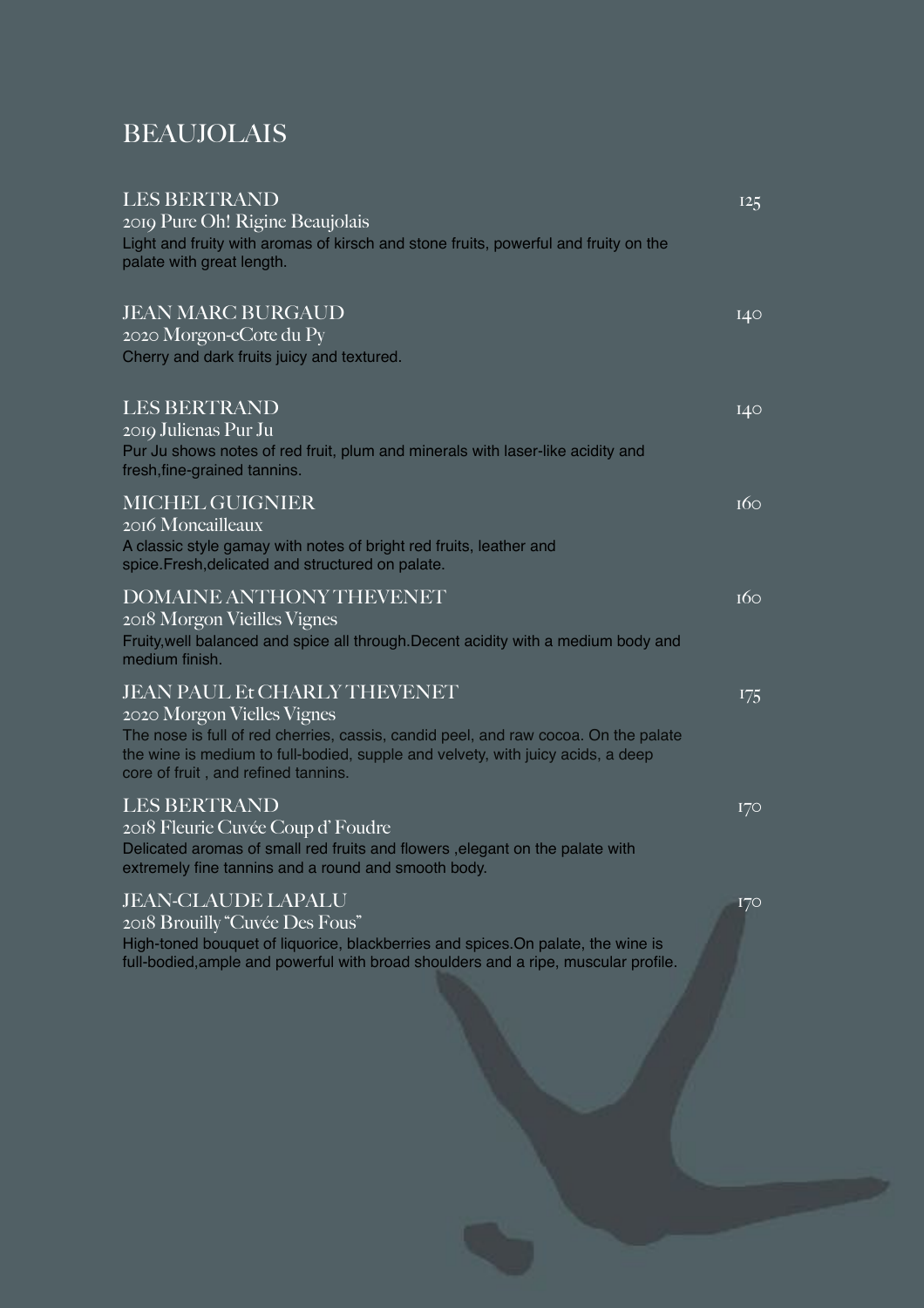# BEAUJOLAIS

| <b>LES BERTRAND</b><br>2019 Pure Oh! Rigine Beaujolais<br>Light and fruity with aromas of kirsch and stone fruits, powerful and fruity on the<br>palate with great length.                                                                                                         | 125 |
|------------------------------------------------------------------------------------------------------------------------------------------------------------------------------------------------------------------------------------------------------------------------------------|-----|
| <b>JEAN MARC BURGAUD</b><br>2020 Morgon-cCote du Py<br>Cherry and dark fruits juicy and textured.                                                                                                                                                                                  | I40 |
| <b>LES BERTRAND</b><br>2019 Julienas Pur Ju<br>Pur Ju shows notes of red fruit, plum and minerals with laser-like acidity and<br>fresh, fine-grained tannins.                                                                                                                      | I40 |
| <b>MICHEL GUIGNIER</b><br>2016 Moncailleaux<br>A classic style gamay with notes of bright red fruits, leather and<br>spice.Fresh, delicated and structured on palate.                                                                                                              | 160 |
| DOMAINE ANTHONY THEVENET<br>2018 Morgon Vieilles Vignes<br>Fruity, well balanced and spice all through. Decent acidity with a medium body and<br>medium finish.                                                                                                                    | 160 |
| <b>JEAN PAUL Et CHARLY THEVENET</b><br>2020 Morgon Vielles Vignes<br>The nose is full of red cherries, cassis, candid peel, and raw cocoa. On the palate<br>the wine is medium to full-bodied, supple and velvety, with juicy acids, a deep<br>core of fruit, and refined tannins. | 175 |
| <b>LES BERTRAND</b><br>2018 Fleurie Cuvée Coup d' Foudre<br>Delicated aromas of small red fruits and flowers , elegant on the palate with<br>extremely fine tannins and a round and smooth body.                                                                                   | I70 |
| <b>JEAN-CLAUDE LAPALU</b><br>2018 Brouilly "Cuvée Des Fous"<br>High-toned bouquet of liquorice, blackberries and spices. On palate, the wine is<br>full-bodied, ample and powerful with broad shoulders and a ripe, muscular profile.                                              | I70 |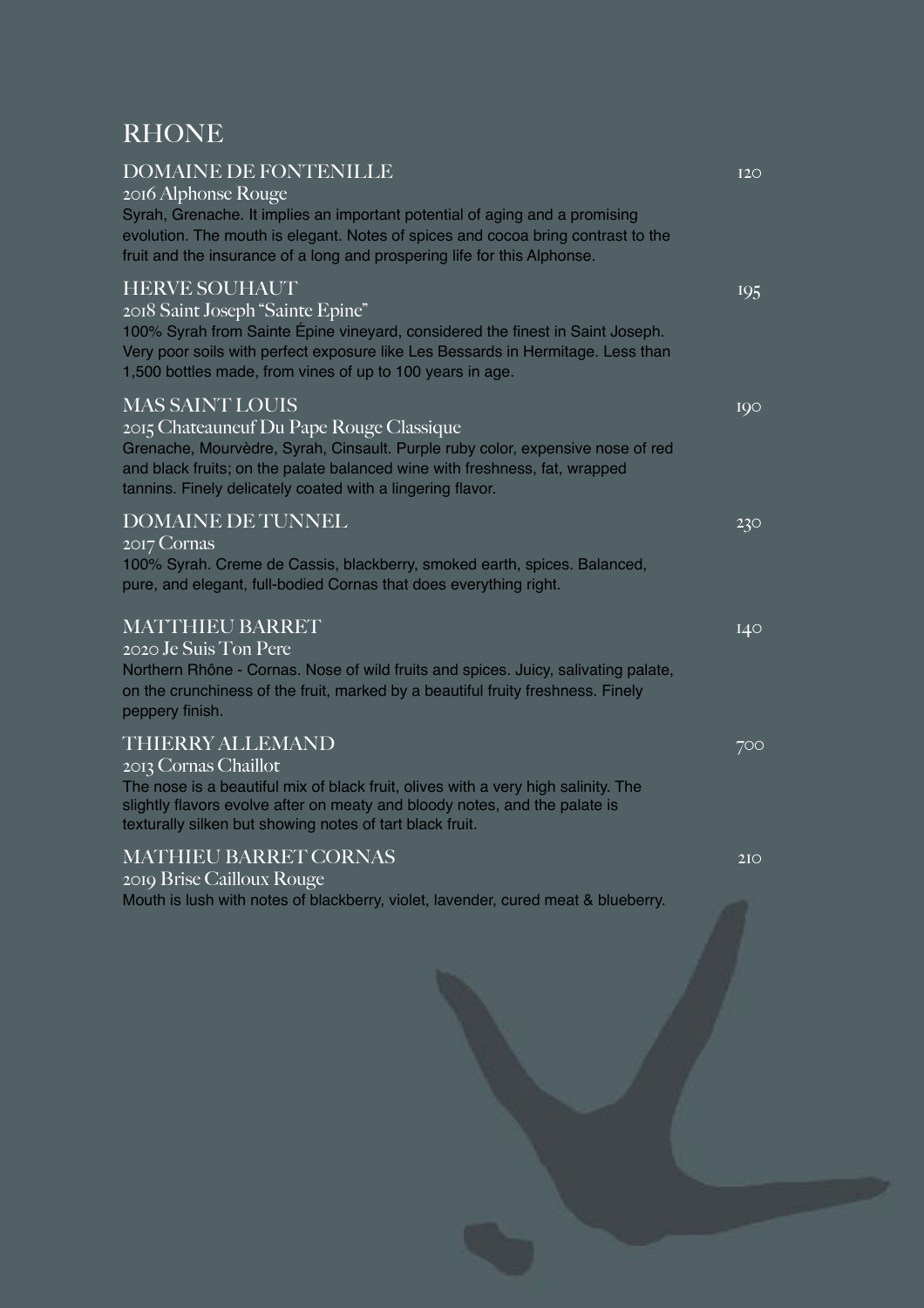# RHONE

| <b>DOMAINE DE FONTENILLE</b><br>2016 Alphonse Rouge<br>Syrah, Grenache. It implies an important potential of aging and a promising<br>evolution. The mouth is elegant. Notes of spices and cocoa bring contrast to the<br>fruit and the insurance of a long and prospering life for this Alphonse. | 120             |
|----------------------------------------------------------------------------------------------------------------------------------------------------------------------------------------------------------------------------------------------------------------------------------------------------|-----------------|
| <b>HERVE SOUHAUT</b><br>2018 Saint Joseph "Sainte Epine"<br>100% Syrah from Sainte Épine vineyard, considered the finest in Saint Joseph.<br>Very poor soils with perfect exposure like Les Bessards in Hermitage. Less than<br>1,500 bottles made, from vines of up to 100 years in age.          | 195             |
| <b>MAS SAINT LOUIS</b><br>2015 Chateauneuf Du Pape Rouge Classique<br>Grenache, Mourvèdre, Syrah, Cinsault. Purple ruby color, expensive nose of red<br>and black fruits; on the palate balanced wine with freshness, fat, wrapped<br>tannins. Finely delicately coated with a lingering flavor.   | 100             |
| <b>DOMAINE DE TUNNEL</b><br>2017 Cornas<br>100% Syrah. Creme de Cassis, blackberry, smoked earth, spices. Balanced,<br>pure, and elegant, full-bodied Cornas that does everything right.                                                                                                           | 230             |
| <b>MATTHIEU BARRET</b><br>2020 Je Suis Ton Pere<br>Northern Rhône - Cornas. Nose of wild fruits and spices. Juicy, salivating palate,<br>on the crunchiness of the fruit, marked by a beautiful fruity freshness. Finely<br>peppery finish.                                                        | <b>I40</b>      |
| THIERRY ALLEMAND<br>2013 Cornas Chaillot<br>The nose is a beautiful mix of black fruit, olives with a very high salinity. The<br>slightly flavors evolve after on meaty and bloody notes, and the palate is<br>texturally silken but showing notes of tart black fruit.                            | 700             |
| MATHIEU BARRET CORNAS<br>2019 Brise Cailloux Rouge<br>Mouth is lush with notes of blackberry, violet, lavender, cured meat & blueberry.                                                                                                                                                            | 2I <sub>O</sub> |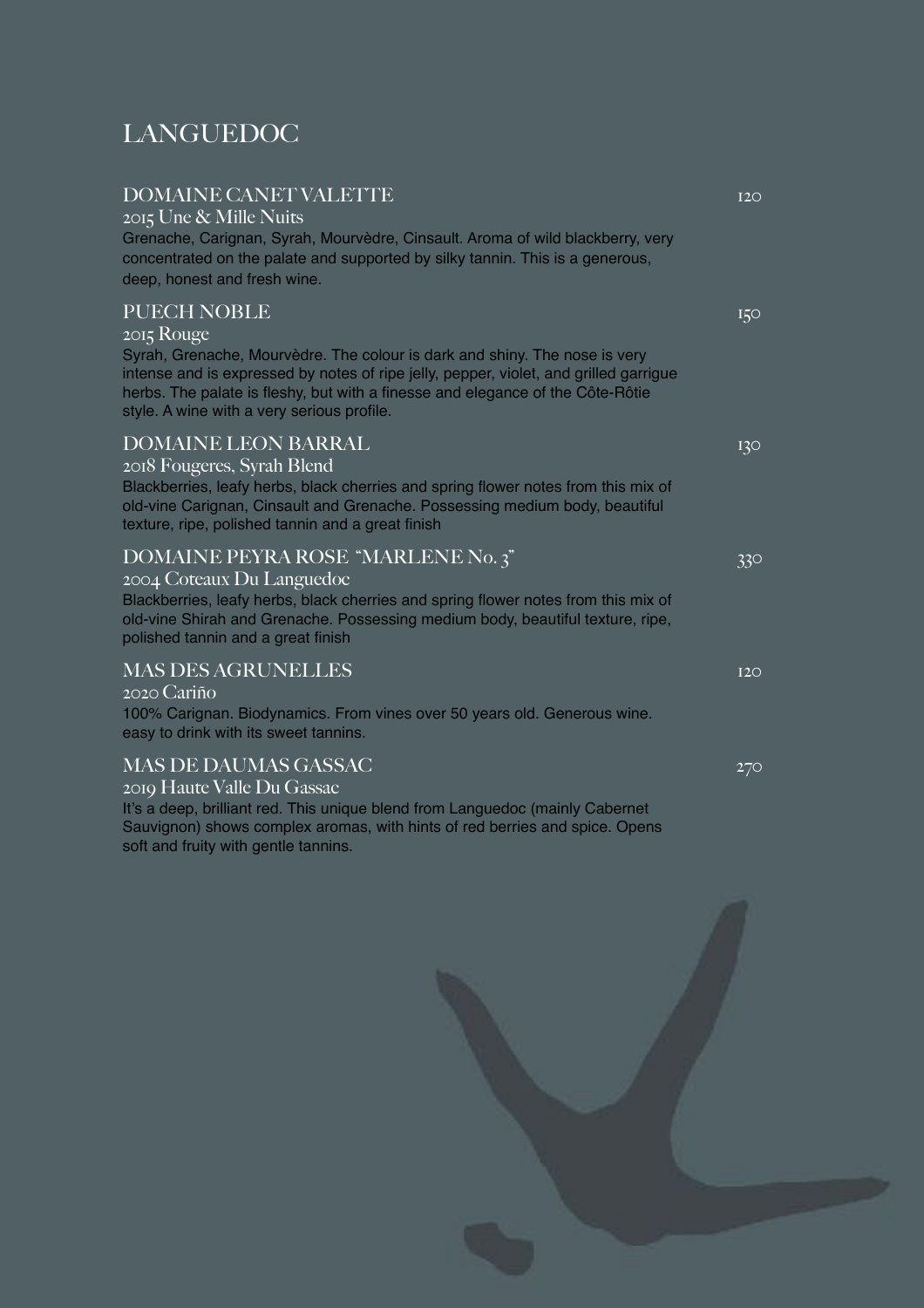# LANGUEDOC

### DOMAINE CANET VALETTE

#### 2015 Une & Mille Nuits

Grenache, Carignan, Syrah, Mourvèdre, Cinsault. Aroma of wild blackberry, very concentrated on the palate and supported by silky tannin. This is a generous, deep, honest and fresh wine.

#### PUECH NOBLE

#### 2015 Rouge

Syrah, Grenache, Mourvèdre. The colour is dark and shiny. The nose is very intense and is expressed by notes of ripe jelly, pepper, violet, and grilled garrigue herbs. The palate is fleshy, but with a finesse and elegance of the Côte-Rôtie style. A wine with a very serious profile.

### DOMAINE LEON BARRAL

#### 2018 Fougeres, Syrah Blend

Blackberries, leafy herbs, black cherries and spring flower notes from this mix of old-vine Carignan, Cinsault and Grenache. Possessing medium body, beautiful texture, ripe, polished tannin and a great finish

# DOMAINE PEYRA ROSE "MARLENE No. 3"

#### 2004 Coteaux Du Languedoc

Blackberries, leafy herbs, black cherries and spring flower notes from this mix of old-vine Shirah and Grenache. Possessing medium body, beautiful texture, ripe, polished tannin and a great finish

# MAS DES AGRUNELLES

2020 Cariño

100% Carignan. Biodynamics. From vines over 50 years old. Generous wine. easy to drink with its sweet tannins.

### MAS DE DAUMAS GASSAC

#### 2019 Haute Valle Du Gassac

It's a deep, brilliant red. This unique blend from Languedoc (mainly Cabernet Sauvignon) shows complex aromas, with hints of red berries and spice. Opens soft and fruity with gentle tannins.

120

150

130

330

120

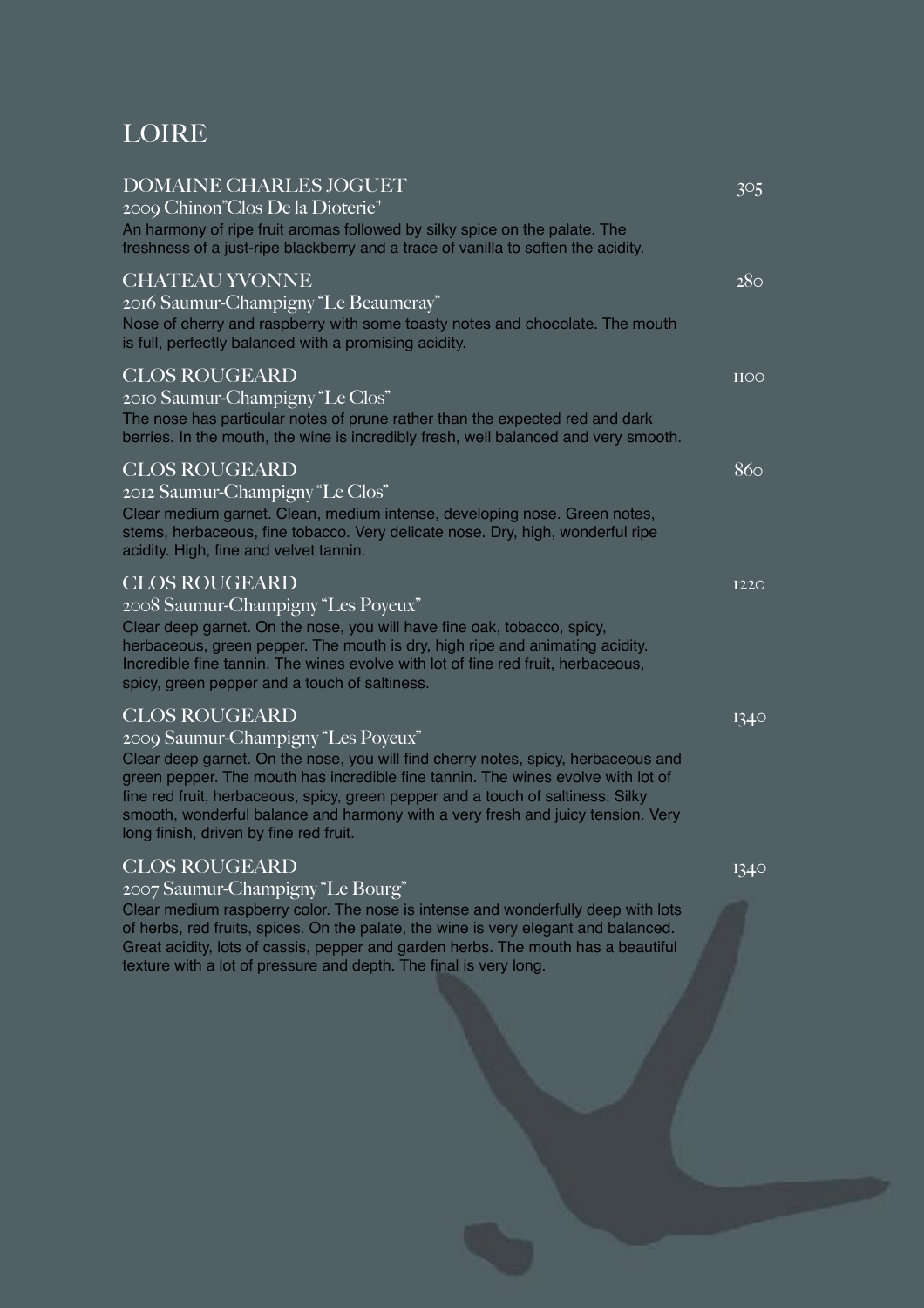# LOIRE

| DOMAINE CHARLES JOGUET<br>2009 Chinon"Clos De la Dioterie"<br>An harmony of ripe fruit aromas followed by silky spice on the palate. The<br>freshness of a just-ripe blackberry and a trace of vanilla to soften the acidity.                                                                                                                                                                                                                       | 305         |
|-----------------------------------------------------------------------------------------------------------------------------------------------------------------------------------------------------------------------------------------------------------------------------------------------------------------------------------------------------------------------------------------------------------------------------------------------------|-------------|
| <b>CHATEAU YVONNE</b><br>2016 Saumur-Champigny "Le Beaumeray"<br>Nose of cherry and raspberry with some toasty notes and chocolate. The mouth<br>is full, perfectly balanced with a promising acidity.                                                                                                                                                                                                                                              | 280         |
| <b>CLOS ROUGEARD</b><br>2010 Saumur-Champigny "Le Clos"<br>The nose has particular notes of prune rather than the expected red and dark<br>berries. In the mouth, the wine is incredibly fresh, well balanced and very smooth.                                                                                                                                                                                                                      | <b>IIOO</b> |
| <b>CLOS ROUGEARD</b><br>2012 Saumur-Champigny "Le Clos"<br>Clear medium garnet. Clean, medium intense, developing nose. Green notes,<br>stems, herbaceous, fine tobacco. Very delicate nose. Dry, high, wonderful ripe<br>acidity. High, fine and velvet tannin.                                                                                                                                                                                    | 860         |
| <b>CLOS ROUGEARD</b><br>2008 Saumur-Champigny "Les Poyeux"<br>Clear deep garnet. On the nose, you will have fine oak, tobacco, spicy,<br>herbaceous, green pepper. The mouth is dry, high ripe and animating acidity.<br>Incredible fine tannin. The wines evolve with lot of fine red fruit, herbaceous,<br>spicy, green pepper and a touch of saltiness.                                                                                          | 1220        |
| <b>CLOS ROUGEARD</b><br>2009 Saumur-Champigny "Les Poyeux"<br>Clear deep garnet. On the nose, you will find cherry notes, spicy, herbaceous and<br>green pepper. The mouth has incredible fine tannin. The wines evolve with lot of<br>fine red fruit, herbaceous, spicy, green pepper and a touch of saltiness. Silky<br>smooth, wonderful balance and harmony with a very fresh and juicy tension. Very<br>long finish, driven by fine red fruit. | 1340        |
| <b>CLOS ROUGEARD</b><br>2007 Saumur-Champigny "Le Bourg"<br>Clear medium raspberry color. The nose is intense and wonderfully deep with lots<br>of herbs, red fruits, spices. On the palate, the wine is very elegant and balanced.                                                                                                                                                                                                                 | 1340        |

Great acidity, lots of cassis, pepper and garden herbs. The mouth has a beautiful

texture with a lot of pressure and depth. The final is very long.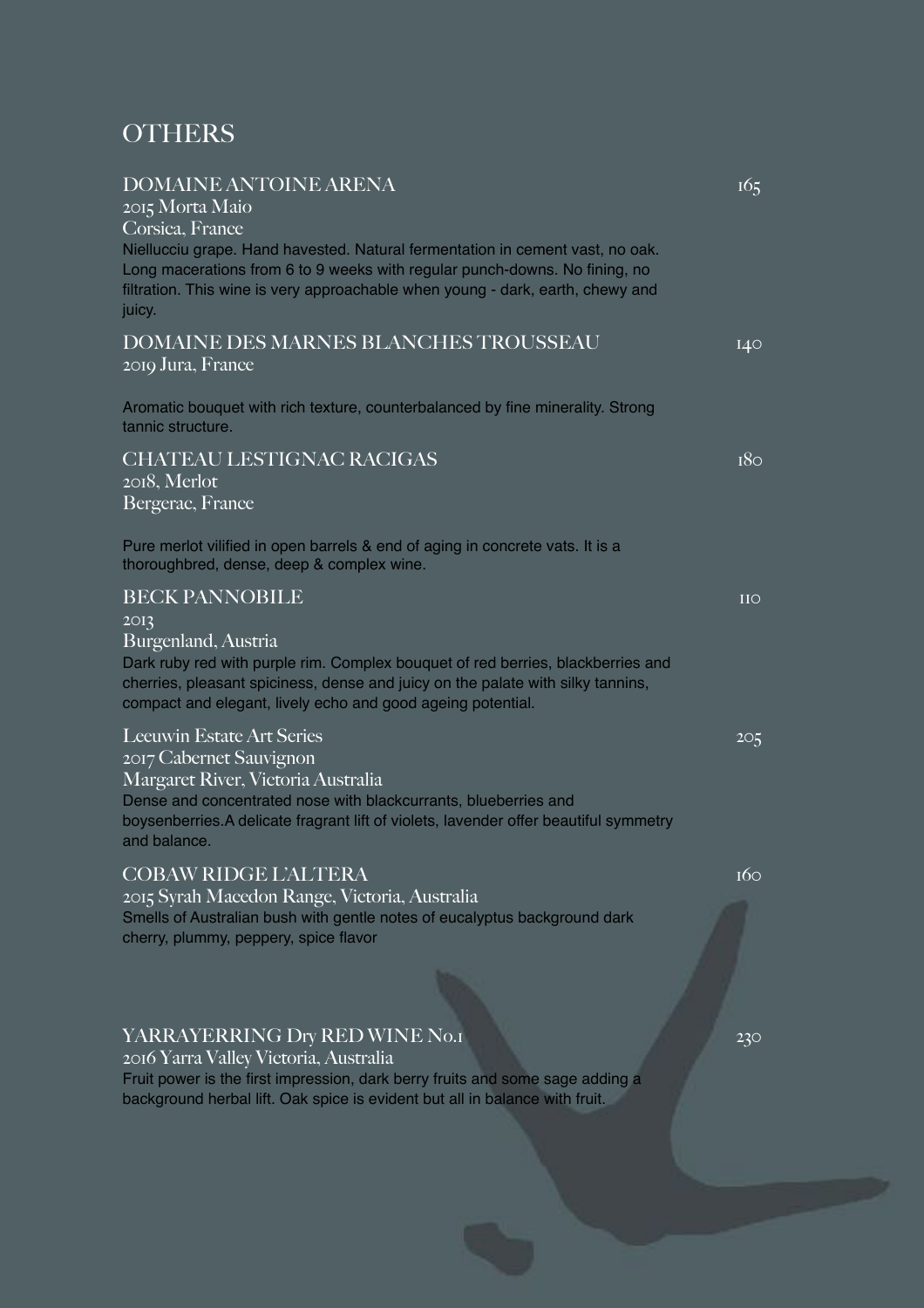# **OTHERS**

| DOMAINE ANTOINE ARENA<br>2015 Morta Maio                                                                                                                                                                                                                                                  | 165             |
|-------------------------------------------------------------------------------------------------------------------------------------------------------------------------------------------------------------------------------------------------------------------------------------------|-----------------|
| Corsica, France<br>Niellucciu grape. Hand havested. Natural fermentation in cement vast, no oak.<br>Long macerations from 6 to 9 weeks with regular punch-downs. No fining, no<br>filtration. This wine is very approachable when young - dark, earth, chewy and<br>juicy.                |                 |
| DOMAINE DES MARNES BLANCHES TROUSSEAU<br>2019 Jura, France                                                                                                                                                                                                                                | I40             |
| Aromatic bouquet with rich texture, counterbalanced by fine minerality. Strong<br>tannic structure.                                                                                                                                                                                       |                 |
| CHATEAU LESTIGNAC RACIGAS<br>2018, Merlot<br>Bergerac, France                                                                                                                                                                                                                             | 180             |
| Pure merlot vilified in open barrels & end of aging in concrete vats. It is a<br>thoroughbred, dense, deep & complex wine.                                                                                                                                                                |                 |
| <b>BECK PANNOBILE</b><br>2013<br>Burgenland, Austria<br>Dark ruby red with purple rim. Complex bouquet of red berries, blackberries and<br>cherries, pleasant spiciness, dense and juicy on the palate with silky tannins,<br>compact and elegant, lively echo and good ageing potential. | <b>IIO</b>      |
| Leeuwin Estate Art Series<br>2017 Cabernet Sauvignon<br>Margaret River, Victoria Australia<br>Dense and concentrated nose with blackcurrants, blueberries and<br>boysenberries.A delicate fragrant lift of violets, lavender offer beautiful symmetry<br>and balance.                     | 205             |
| COBAW RIDGE L'ALTERA<br>2015 Syrah Macedon Range, Victoria, Australia<br>Smells of Australian bush with gentle notes of eucalyptus background dark<br>cherry, plummy, peppery, spice flavor                                                                                               | 16 <sub>O</sub> |
| YARRAYERRING Dry RED WINE No.1<br>2016 Yarra Valley Victoria, Australia<br>Fruit power is the first impression, dark berry fruits and some sage adding a<br>background herbal lift. Oak spice is evident but all in balance with fruit.                                                   | 230             |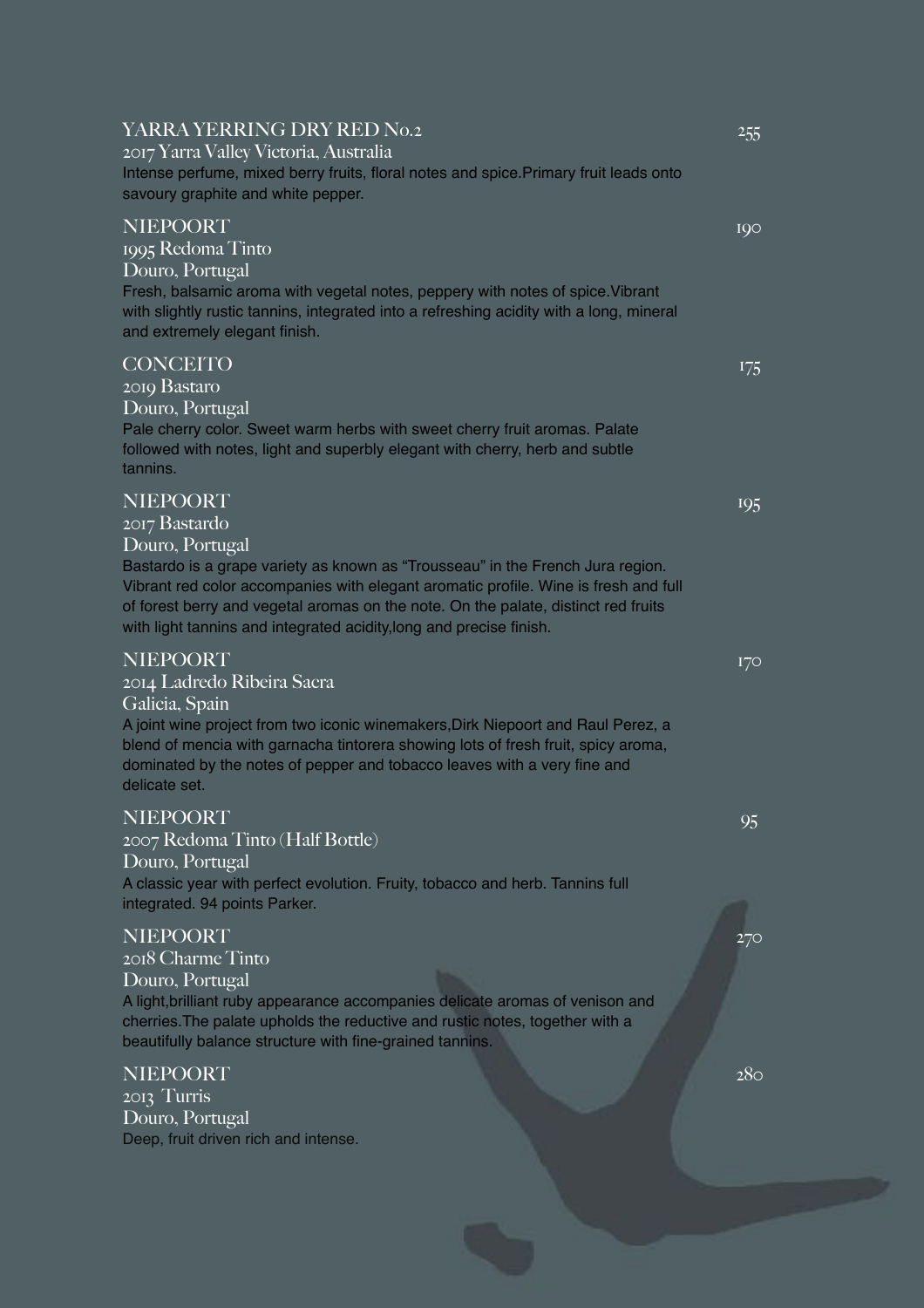| YARRA YERRING DRY RED No.2<br>2017 Yarra Valley Victoria, Australia<br>Intense perfume, mixed berry fruits, floral notes and spice. Primary fruit leads onto<br>savoury graphite and white pepper.                                                                                                                                                                                 | 255              |
|------------------------------------------------------------------------------------------------------------------------------------------------------------------------------------------------------------------------------------------------------------------------------------------------------------------------------------------------------------------------------------|------------------|
| NIEPOORT<br>1995 Redoma Tinto<br>Douro, Portugal<br>Fresh, balsamic aroma with vegetal notes, peppery with notes of spice. Vibrant<br>with slightly rustic tannins, integrated into a refreshing acidity with a long, mineral<br>and extremely elegant finish.                                                                                                                     | 190              |
| <u>CO</u> NCEITO<br>2019 Bastaro<br>Douro, Portugal<br>Pale cherry color. Sweet warm herbs with sweet cherry fruit aromas. Palate<br>followed with notes, light and superbly elegant with cherry, herb and subtle<br>tannins.                                                                                                                                                      | 175              |
| NIEPOORT<br>2017 Bastardo<br>Douro, Portugal<br>Bastardo is a grape variety as known as "Trousseau" in the French Jura region.<br>Vibrant red color accompanies with elegant aromatic profile. Wine is fresh and full<br>of forest berry and vegetal aromas on the note. On the palate, distinct red fruits<br>with light tannins and integrated acidity, long and precise finish. | 195              |
| NIEPOORT<br><u>2014 La</u> dredo <del>Ri</del> beira Sacra<br>Galicia, Spain<br>A joint wine project from two iconic winemakers, Dirk Niepoort and Raul Perez, a<br>blend of mencia with garnacha tintorera showing lots of fresh fruit, spicy aroma,<br>dominated by the notes of pepper and tobacco leaves with a very fine and<br>delicate set.                                 | $I\overline{7}O$ |
| NIEPOORT<br>2007 Redoma Tinto (Half Bottle)<br>Douro, Portugal<br>A classic year with perfect evolution. Fruity, tobacco and herb. Tannins full<br>integrated. 94 points Parker.                                                                                                                                                                                                   | 95               |
| NIEPOORT<br>2018 Charme Tinto<br>Douro, Portugal<br>A light, brilliant ruby appearance accompanies delicate aromas of venison and<br>cherries. The palate upholds the reductive and rustic notes, together with a<br>beautifully balance structure with fine-grained tannins.                                                                                                      | 270              |
| NIEPOORT<br>2013 Turris<br>Douro, Portugal<br>Deep, fruit driven rich and intense.                                                                                                                                                                                                                                                                                                 | 28 <sub>O</sub>  |
|                                                                                                                                                                                                                                                                                                                                                                                    |                  |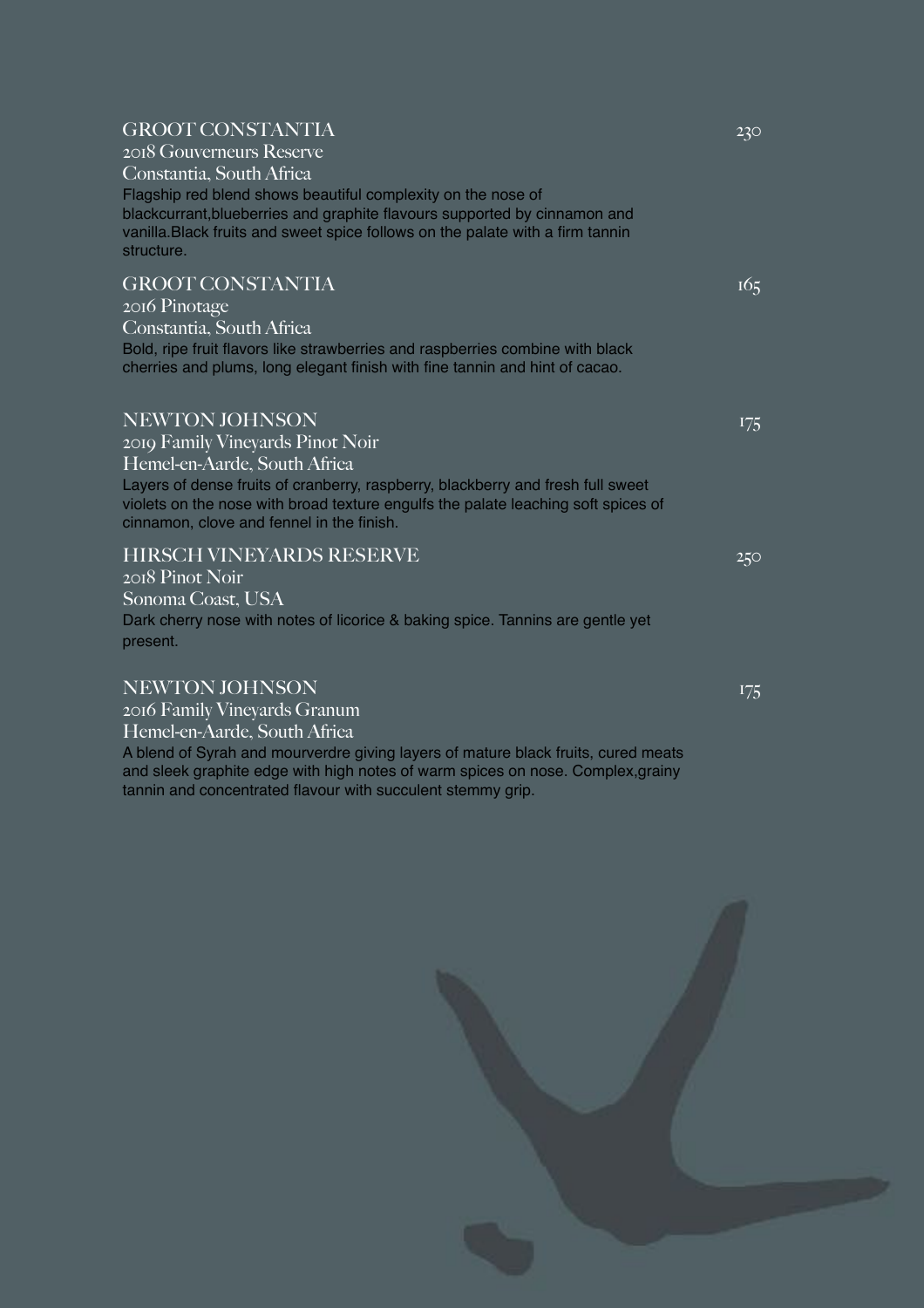| GROOT CONSTANTIA<br>2018 Gouverneurs Reserve<br>Constantia, South Africa<br>Flagship red blend shows beautiful complexity on the nose of<br>blackcurrant, blueberries and graphite flavours supported by cinnamon and<br>vanilla. Black fruits and sweet spice follows on the palate with a firm tannin<br>structure. | 230 |
|-----------------------------------------------------------------------------------------------------------------------------------------------------------------------------------------------------------------------------------------------------------------------------------------------------------------------|-----|
| <b>GROOT CONSTANTIA</b><br>2016 Pinotage<br>Constantia, South Africa<br>Bold, ripe fruit flavors like strawberries and raspberries combine with black<br>cherries and plums, long elegant finish with fine tannin and hint of cacao.                                                                                  | 165 |
| NEWTON JOHNSON<br>2019 Family Vineyards Pinot Noir<br>Hemel-en-Aarde, South Africa<br>Layers of dense fruits of cranberry, raspberry, blackberry and fresh full sweet<br>violets on the nose with broad texture engulfs the palate leaching soft spices of<br>cinnamon, clove and fennel in the finish.               | 175 |
| HIRSCH VINEYARDS RESERVE<br>2018 Pinot Noir<br>Sonoma Coast, USA<br>Dark cherry nose with notes of licorice & baking spice. Tannins are gentle yet<br>present.                                                                                                                                                        | 250 |
| NEWTON JOHNSON                                                                                                                                                                                                                                                                                                        | 175 |

2016 Family Vineyards Granum

Hemel-en-Aarde, South Africa

A blend of Syrah and mourverdre giving layers of mature black fruits, cured meats and sleek graphite edge with high notes of warm spices on nose. Complex,grainy tannin and concentrated flavour with succulent stemmy grip.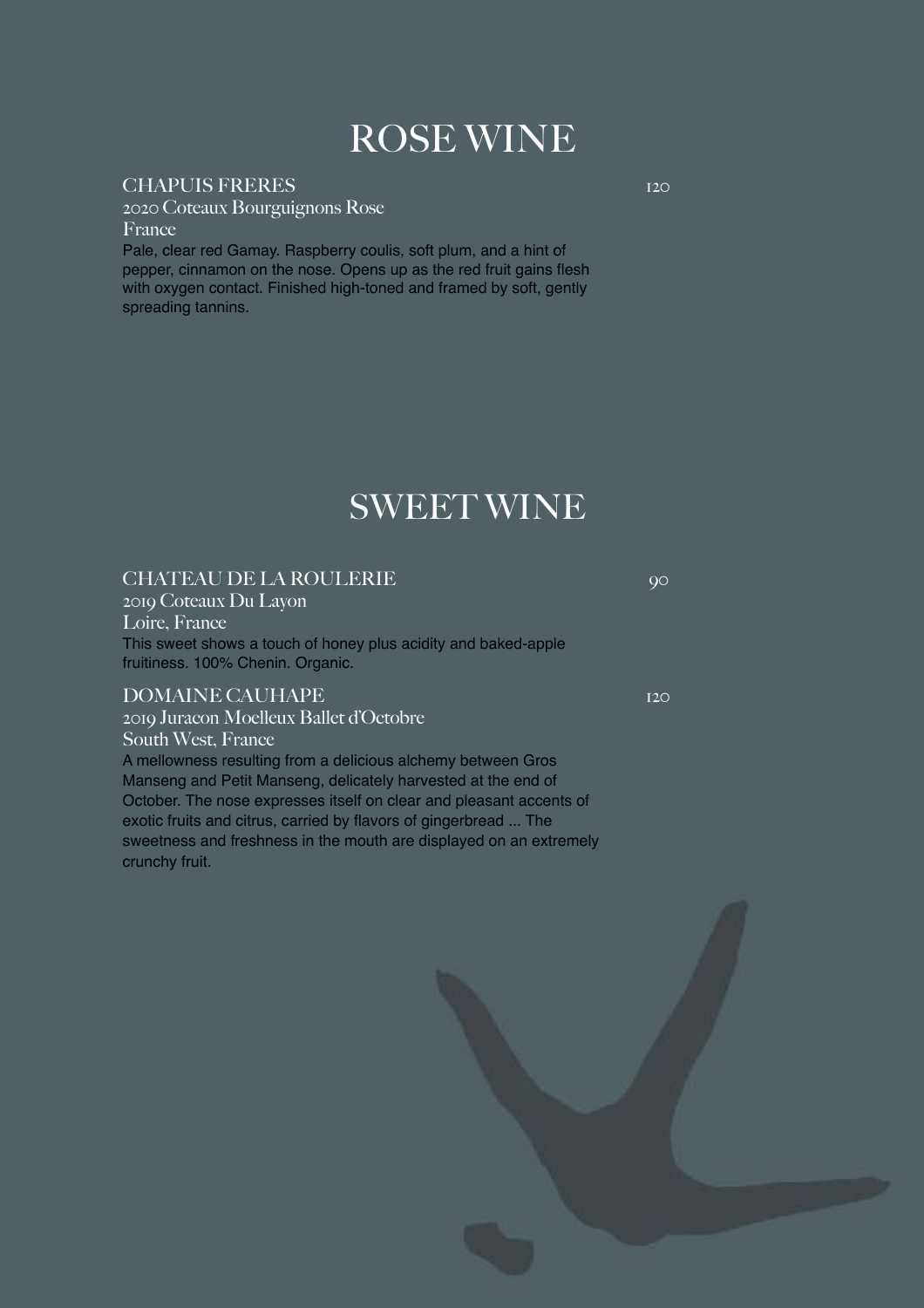# ROSE WINE

### CHAPUIS FRERES

# 2020 Coteaux Bourguignons Rose

#### France

Pale, clear red Gamay. Raspberry coulis, soft plum, and a hint of pepper, cinnamon on the nose. Opens up as the red fruit gains flesh with oxygen contact. Finished high-toned and framed by soft, gently spreading tannins.

SWEET WINE

| <b>CHATEAU DE LA ROULERIE</b><br>2019 Coteaux Du Layon<br>Loire, France<br>This sweet shows a touch of honey plus acidity and baked-apple<br>fruitiness. 100% Chenin. Organic.                                                                                                                                                                                                                                                                             | QO  |
|------------------------------------------------------------------------------------------------------------------------------------------------------------------------------------------------------------------------------------------------------------------------------------------------------------------------------------------------------------------------------------------------------------------------------------------------------------|-----|
| <b>DOMAINE CAUHAPE</b><br>2019 Juracon Moelleux Ballet d'Octobre<br>South West, France<br>A mellowness resulting from a delicious alchemy between Gros<br>Manseng and Petit Manseng, delicately harvested at the end of<br>October. The nose expresses itself on clear and pleasant accents of<br>exotic fruits and citrus, carried by flavors of gingerbread  The<br>sweetness and freshness in the mouth are displayed on an extremely<br>crunchy fruit. | 12O |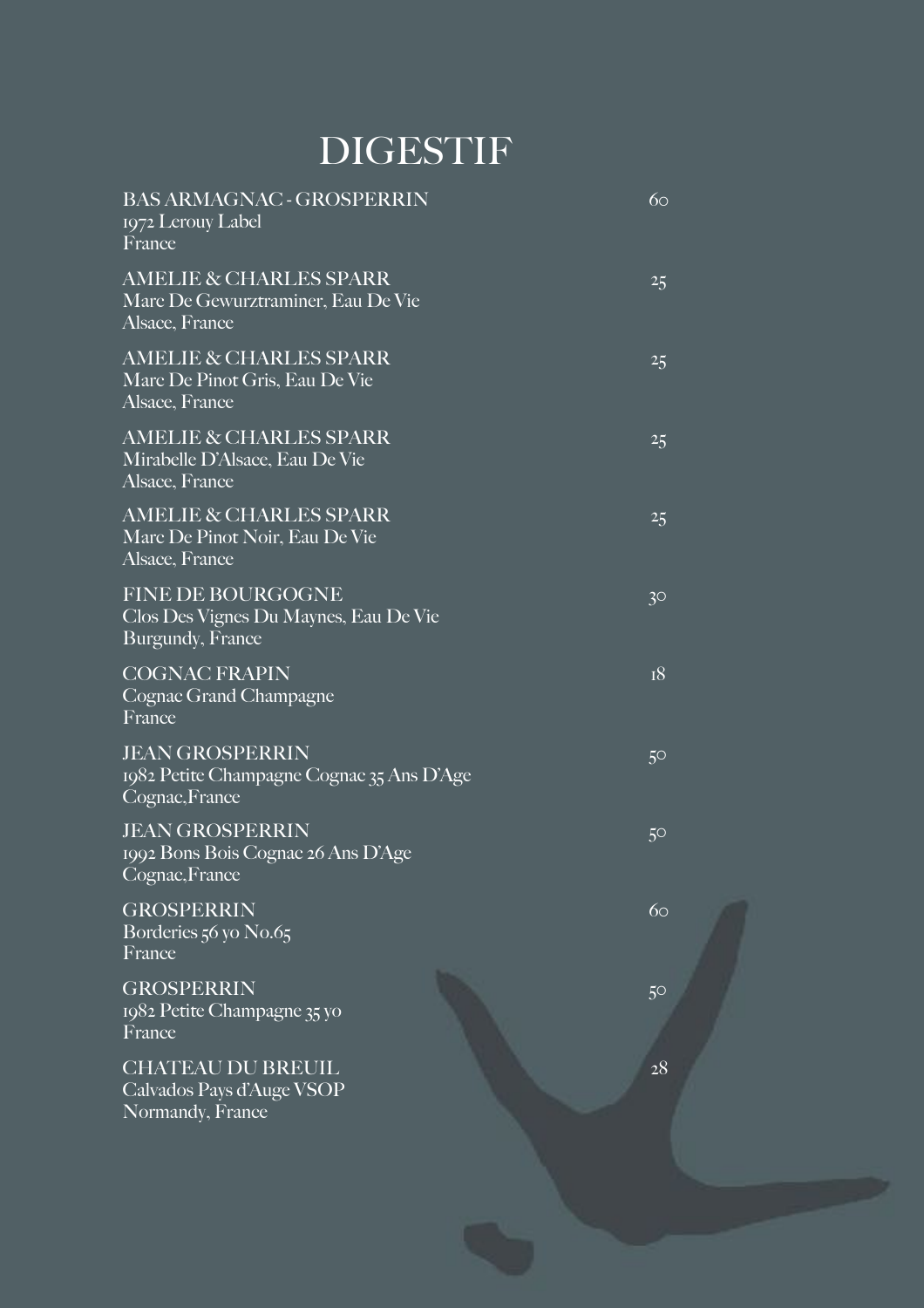# DIGESTIF

| <b>BAS ARMAGNAC - GROSPERRIN</b><br>1972 Lerouy Label<br>France                           | 60        |
|-------------------------------------------------------------------------------------------|-----------|
| <b>AMELIE &amp; CHARLES SPARR</b><br>Marc De Gewurztraminer, Eau De Vie<br>Alsace, France | 25        |
| <b>AMELIE &amp; CHARLES SPARR</b><br>Marc De Pinot Gris, Eau De Vie<br>Alsace, France     | 25        |
| <b>AMELIE &amp; CHARLES SPARR</b><br>Mirabelle D'Alsace, Eau De Vie<br>Alsace, France     | 25        |
| <b>AMELIE &amp; CHARLES SPARR</b><br>Marc De Pinot Noir, Eau De Vie<br>Alsace, France     | 25        |
| <b>FINE DE BOURGOGNE</b><br>Clos Des Vignes Du Maynes, Eau De Vie<br>Burgundy, France     | 30        |
| <b>COGNAC FRAPIN</b><br>Cognac Grand Champagne<br>France                                  | 18        |
| <b>JEAN GROSPERRIN</b><br>1982 Petite Champagne Cognac 35 Ans D'Age<br>Cognac, France     | 50        |
| <b>JEAN GROSPERRIN</b><br>1992 Bons Bois Cognac 26 Ans D'Age<br>Cognac, France            | $5^\circ$ |
| <b>GROSPERRIN</b><br>Borderies 56 yo No.65<br>France                                      | 60        |
| <b>GROSPERRIN</b><br>1982 Petite Champagne 35 yo<br>France                                | 50        |
| <b>CHATEAU DU BREUIL</b><br>Calvados Pays d'Auge VSOP<br>Normandy, France                 | 28        |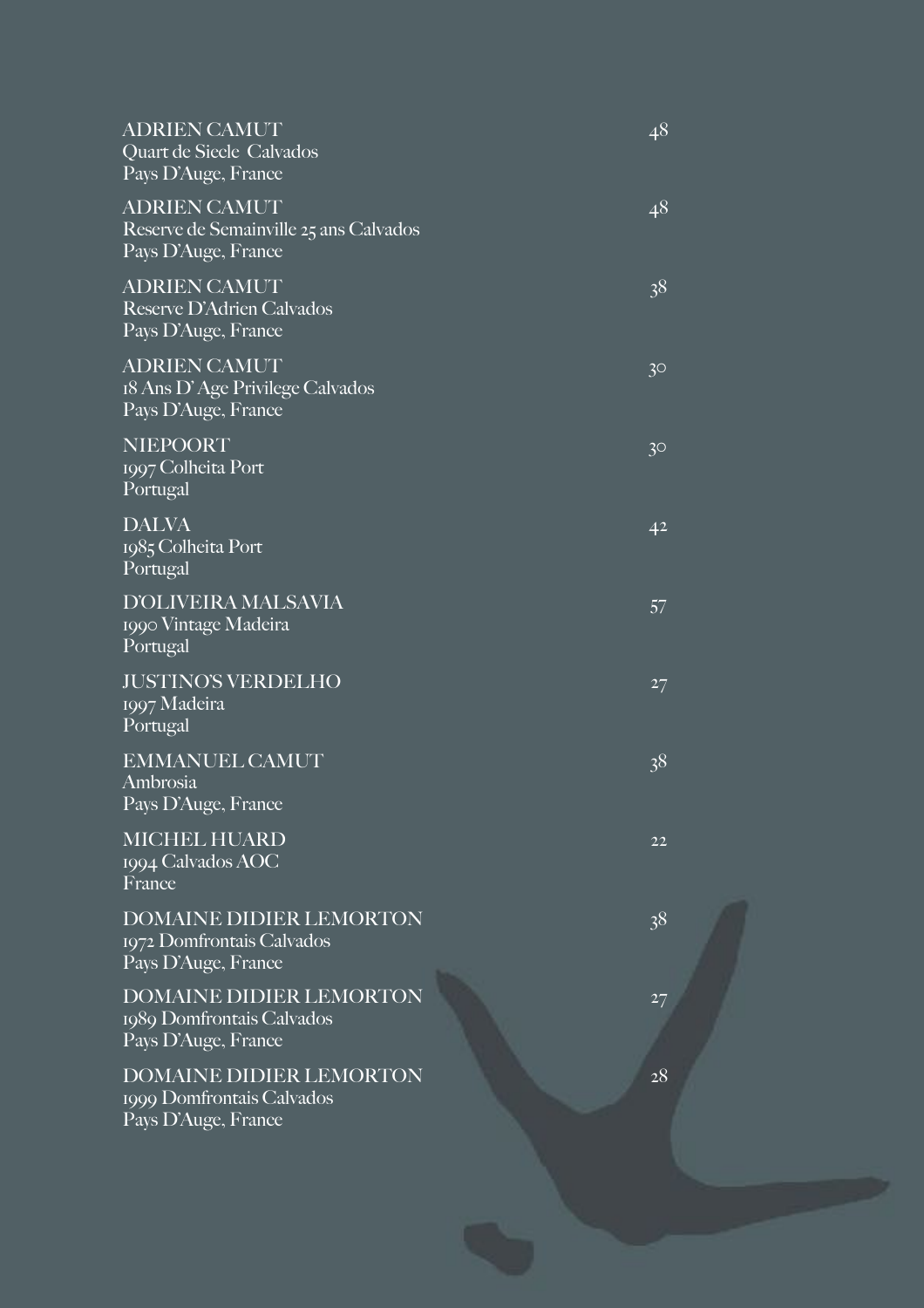| <b>ADRIEN CAMUT</b><br>Quart de Siecle Calvados<br>Pays D'Auge, France               | 48             |
|--------------------------------------------------------------------------------------|----------------|
| <b>ADRIEN CAMUT</b><br>Reserve de Semainville 25 ans Calvados<br>Pays D'Auge, France | 48             |
| <b>ADRIEN CAMUT</b><br>Reserve D'Adrien Calvados<br>Pays D'Auge, France              | 38             |
| ADRIEN CAMUT<br>18 Ans D'Age Privilege Calvados<br>Pays D'Auge, France               | $3^\circ$      |
| <b>NIEPOORT</b><br>1997 Colheita Port<br>Portugal                                    | 30             |
| $\overline{\mathrm{DALVA}}$<br>1985 Colheita Port<br>Portugal                        | 4 <sup>2</sup> |
| D'OLIVEIRA MALSAVIA<br>1990 Vintage Madeira<br>Portugal                              | 57             |
| <b>JUSTINO'S VERDELHO</b><br>1997 Madeira<br>Portugal                                | 27             |
| <b>EMMANUEL CAMUT</b><br>Ambrosia<br>Pays D'Auge, France                             | 38             |
| MICHEL HUARD<br>1994 Calvados AOC<br>France                                          | 22             |
| DOMAINE DIDIER LEMORTON<br>1972 Domfrontais Calvados<br>Pays D'Auge, France          | 38             |
| <b>DOMAINE DIDIER LEMORTON</b><br>1989 Domfrontais Calvados<br>Pays D'Auge, France   | 27             |
| DOMAINE DIDIER LEMORTON<br>1999 Domfrontais Calvados<br>Pays D'Auge, France          | 28             |
|                                                                                      |                |
|                                                                                      |                |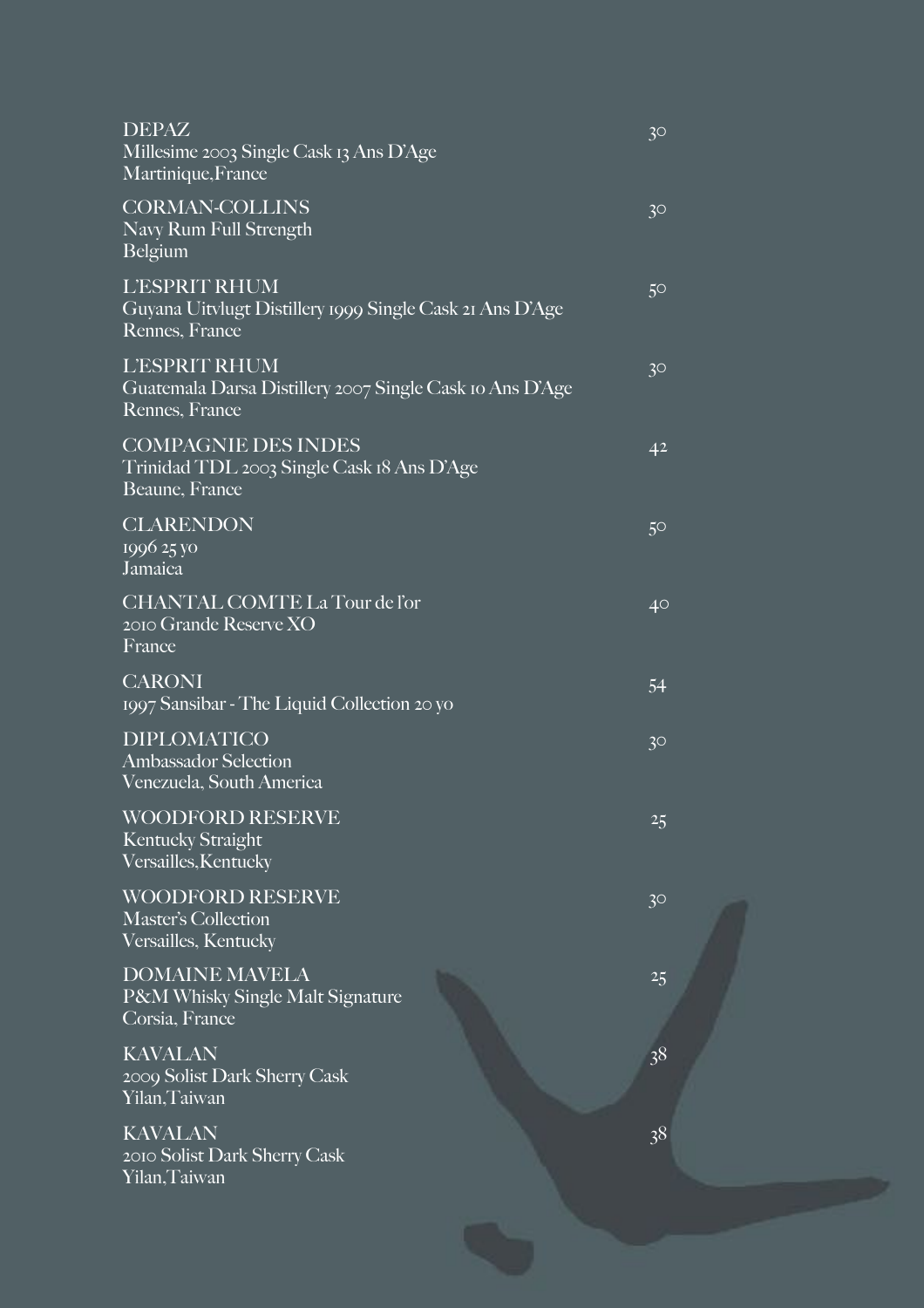| <b>DEPAZ</b><br>Millesime 2003 Single Cask 13 Ans D'Age<br>Martinique, France                      | 30             |
|----------------------------------------------------------------------------------------------------|----------------|
| <b>CORMAN-COLLINS</b><br>Navy Rum Full Strength<br>Belgium                                         | 30             |
| <b>L'ESPRIT RHUM</b><br>Guyana Uitvlugt Distillery 1999 Single Cask 21 Ans D'Age<br>Rennes, France | $5^\circ$      |
| <b>L'ESPRIT RHUM</b><br>Guatemala Darsa Distillery 2007 Single Cask 10 Ans D'Age<br>Rennes, France | 30             |
| <b>COMPAGNIE DES INDES</b><br>Trinidad TDL 2003 Single Cask 18 Ans D'Age<br>Beaune, France         | 4 <sup>2</sup> |
| <b>CLARENDON</b><br>$\frac{1000}{25}$ yo<br>Jamaica                                                | $5^\circ$      |
| CHANTAL COMTE La Tour de l'or<br>2010 Grande Reserve XO<br>France                                  | 40             |
| <b>CARONI</b><br>1997 Sansibar - The Liquid Collection 20 yo                                       | 54             |
| <b>DIPLOMATICO</b><br><b>Ambassador Selection</b><br>Venezuela, South America                      | 30             |
| <b>WOODFORD RESERVE</b><br>Kentucky Straight<br>Versailles, Kentucky                               | 25             |
| <b>WOODFORD RESERVE</b><br><b>Master's Collection</b><br>Versailles, Kentucky                      | 30             |
| <b>DOMAINE MAVELA</b><br><b>P&amp;M Whisky Single Malt Signature</b><br>Corsia, France             | 25             |
| <b>KAVALAN</b><br>2009 Solist Dark Sherry Cask<br>Yilan, Taiwan                                    | 38             |
| <b>KAVALAN</b><br>2010 Solist Dark Sherry Cask<br>Yilan, Taiwan                                    | 38             |
|                                                                                                    |                |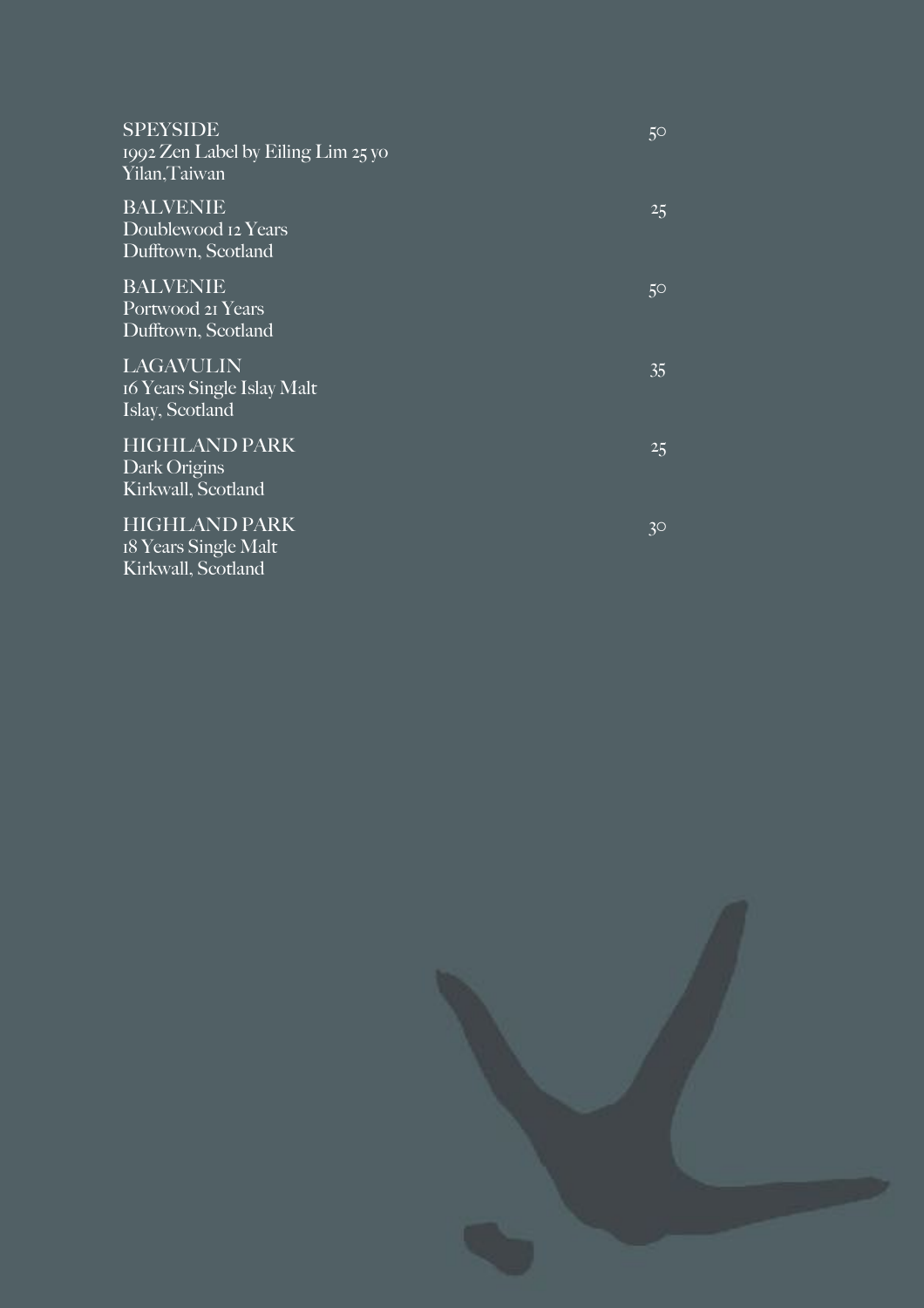| <b>SPEYSIDE</b><br>1992 Zen Label by Eiling Lim 25 yo<br>Yilan, Taiwan | $5^\circ$      |
|------------------------------------------------------------------------|----------------|
| <b>BALVENIE</b><br>Doublewood 12 Years<br>Dufftown, Scotland           | 25             |
| <b>BALVENIE</b><br>Portwood 21 Years<br>Dufftown, Scotland             | $5^\circ$      |
| <b>LAGAVULIN</b><br>16 Years Single Islay Malt<br>Islay, Scotland      | 35             |
| <b>HIGHLAND PARK</b><br>Dark Origins<br>Kirkwall, Scotland             | 25             |
| <b>HIGHLAND PARK</b><br>18 Years Single Malt<br>Kirkwall, Scotland     | 3 <sup>o</sup> |